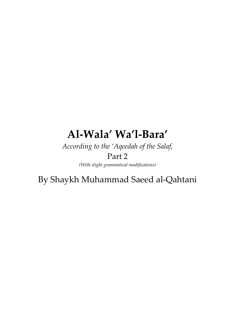# **Al-Wala' Wa'l-Bara'**

*According to the 'Aqeedah of the Salaf,*

Part 2

*(With slight grammatical modifications)*

By Shaykh Muhammad Saeed al-Qahtani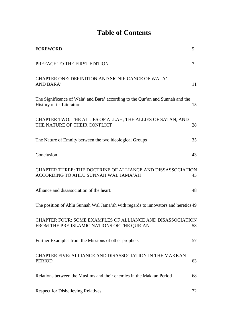## **Table of Contents**

| <b>FOREWORD</b>                                                                                             | 5      |
|-------------------------------------------------------------------------------------------------------------|--------|
| PREFACE TO THE FIRST EDITION                                                                                | $\tau$ |
| CHAPTER ONE: DEFINITION AND SIGNIFICANCE OF WALA'<br>AND BARA'                                              | 11     |
| The Significance of Wala' and Bara' according to the Qur'an and Sunnah and the<br>History of its Literature | 15     |
| CHAPTER TWO: THE ALLIES OF ALLAH, THE ALLIES OF SATAN, AND<br>THE NATURE OF THEIR CONFLICT                  | 28     |
| The Nature of Emnity between the two ideological Groups                                                     | 35     |
| Conclusion                                                                                                  | 43     |
| CHAPTER THREE: THE DOCTRINE OF ALLIANCE AND DISSASSOCIATION<br>ACCORDING TO AHLU SUNNAH WAL JAMA'AH         | 45     |
| Alliance and disassociation of the heart:                                                                   | 48     |
| The position of Ahlu Sunnah Wal Jama'ah with regards to innovators and heretics 49                          |        |
| CHAPTER FOUR: SOME EXAMPLES OF ALLIANCE AND DISASSOCIATION<br>FROM THE PRE-ISLAMIC NATIONS OF THE QUR'AN    | 53     |
| Further Examples from the Missions of other prophets                                                        | 57     |
| CHAPTER FIVE: ALLIANCE AND DISASSOCIATION IN THE MAKKAN<br><b>PERIOD</b>                                    | 63     |
| Relations between the Muslims and their enemies in the Makkan Period                                        | 68     |
| <b>Respect for Disbelieving Relatives</b>                                                                   | 72     |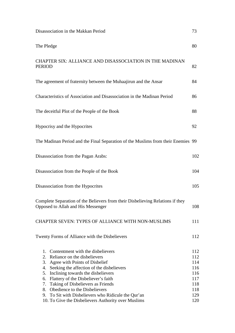| 73                                                                               |
|----------------------------------------------------------------------------------|
| 80                                                                               |
| 82                                                                               |
| 84                                                                               |
| 86                                                                               |
| 88                                                                               |
| 92                                                                               |
| The Madinan Period and the Final Separation of the Muslims from their Enemies 99 |
| 102                                                                              |
| 104                                                                              |
| 105                                                                              |
| 108                                                                              |
| 111                                                                              |
| 112                                                                              |
| 112<br>112<br>114<br>116<br>116<br>117<br>118<br>118<br>129<br>120               |
|                                                                                  |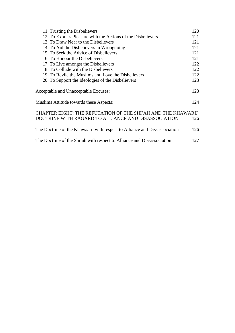| 11. Trusting the Disbelievers                                              | 120 |
|----------------------------------------------------------------------------|-----|
| 12. To Express Pleasure with the Actions of the Disbelievers               | 121 |
| 13. To Draw Near to the Disbelievers                                       | 121 |
| 14. To Aid the Disbelievers in Wrongdoing                                  | 121 |
| 15. To Seek the Advice of Disbelievers                                     | 121 |
| 16. To Honour the Disbelievers                                             | 121 |
| 17. To Live amongst the Disbelievers                                       | 122 |
| 18. To Collude with the Disbelievers                                       | 122 |
| 19. To Revile the Muslims and Love the Disbelievers                        | 122 |
| 20. To Support the Ideologies of the Disbelievers                          | 123 |
| Acceptable and Unacceptable Excuses:                                       | 123 |
| Muslims Attitude towards these Aspects:                                    | 124 |
| CHAPTER EIGHT: THE REFUTATION OF THE SHI'AH AND THE KHAWARIJ               |     |
| DOCTRINE WITH RAGARD TO ALLIANCE AND DISASSOCIATION                        | 126 |
| The Doctrine of the Khawaarij with respect to Alliance and Dissassociation | 126 |
| The Doctrine of the Shi'ah with respect to Alliance and Dissassociation    | 127 |
|                                                                            |     |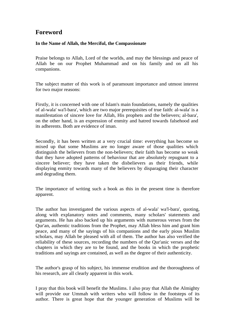## **Foreword**

#### **In the Name of Allah, the Merciful, the Compassionate**

Praise belongs to Allah, Lord of the worlds, and may the blessings and peace of Allah be on our Prophet Muhammad and on his family and on all his companions.

The subject matter of this work is of paramount importance and utmost interest for two major reasons:

Firstly, it is concerned with one of Islam's main foundations, namely the qualities of al-wala' wa'l-bara', which are two major prerequisites of true faith: al-wala' is a manifestation of sincere love for Allah, His prophets and the believers; al-bara', on the other hand, is an expression of enmity and hatred towards falsehood and its adherents. Both are evidence of iman.

Secondly, it has been written at a very crucial time: everything has become so mixed up that some Muslims are no longer aware of those qualities which distinguish the believers from the non-believers; their faith has become so weak that they have adopted patterns of behaviour that are absolutely repugnant to a sincere believer; they have taken the disbelievers as their friends, while displaying enmity towards many of the believers by disparaging their character and degrading them.

The importance of writing such a book as this in the present time is therefore apparent.

The author has investigated the various aspects of al-wala' wa'l-bara', quoting, along with explanatory notes and comments, many scholars' statements and arguments. He has also backed up his arguments with numerous verses from the Qur'an, authentic traditions from the Prophet, may Allah bless him and grant him peace, and many of the sayings of his companions and the early pious Muslim scholars, may Allah be pleased with all of them. The author has also verified the reliability of these sources, recording the numbers of the Qur'anic verses and the chapters in which they are to be found, and the books in which the prophetic traditions and sayings are contained, as well as the degree of their authenticity.

The author's grasp of his subject, his immense erudition and the thoroughness of his research, are all clearly apparent in this work.

I pray that this book will benefit the Muslims. I also pray that Allah the Almighty will provide our Ummah with writers who will follow in the footsteps of its author. There is great hope that the younger generation of Muslims will be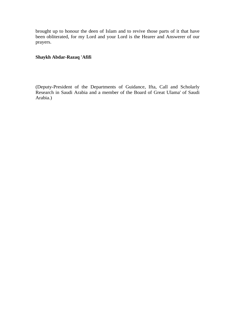brought up to honour the deen of Islam and to revive those parts of it that have been obliterated, for my Lord and your Lord is the Hearer and Answerer of our prayers.

#### **Shaykh Abdar-Razaq 'Afifi**

(Deputy-President of the Departments of Guidance, Ifta, Call and Scholarly Research in Saudi Arabia and a member of the Board of Great Ulama' of Saudi Arabia.)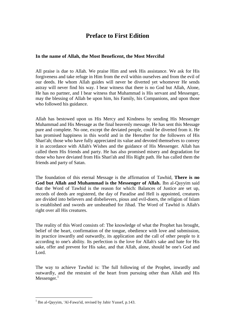## **Preface to First Edition**

#### **In the name of Allah, the Most Beneficent, the Most Merciful**

All praise is due to Allah. We praise Him and seek His assistance. We ask for His forgiveness and take refuge in Him from the evil within ourselves and from the evil of our deeds. He whom Allah guides will never be diverted yet whomever He sends astray will never find his way. I bear witness that there is no God but Allah, Alone, He has no partner, and I bear witness that Muhammad is His servant and Messenger, may the blessing of Allah be upon him, his Family, his Companions, and upon those who followed his guidance.

Allah has bestowed upon us His Mercy and Kindness by sending His Messenger Muhammad and His Message as the final heavenly message. He has sent this Message pure and complete. No one, except the deviated people, could be diverted from it. He has promised happiness in this world and in the Hereafter for the followers of His Shari'ah; those who have fully appreciated its value and devoted themselves to convey it in accordance with Allah's Wishes and the guidance of His Messenger. Allah has called them His friends and party. He has also promised misery and degradation for those who have deviated from His Shari'ah and His Right path. He has called them the friends and party of Satan.

The foundation of this eternal Message is the affirmation of Tawhid, **There is no God but Allah and Muhammad is the Messenger of Allah.** Ibn al-Qayyim said that the Word of Tawhid is the reason for which: Balances of Justice are set up, records of deeds are registered, the day of Paradise and Hell is appointed, creatures are divided into believers and disbelievers, pious and evil-doers, the religion of Islam is established and swords are unsheathed for Jihad. The Word of Tawhid is Allah's right over all His creatures.

The reality of this Word consists of: The knowledge of what the Prophet has brought, belief of the heart, confirmation of the tongue, obedience with love and submission, its practice inwardly and outwardly, its application and the call of other people to it according to one's ability. Its perfection is the love for Allah's sake and hate for His sake, offer and prevent for His sake, and that Allah, alone, should be one's God and Lord.

The way to achieve Tawhid is: The full following of the Prophet, inwardly and outwardly, and the restraint of the heart from pursuing other than Allah and His  $M$ essenger.<sup>[1](#page-6-0)</sup>

<span id="page-6-0"></span><sup>&</sup>lt;sup>1</sup> Ibn al-Qayyim, 'Al-Fawa'id, revised by Jabir Yussef, p.143.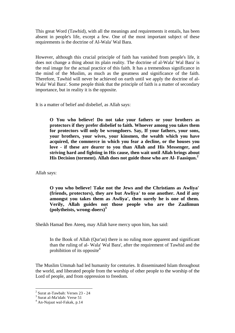This great Word (Tawhid), with all the meanings and requirements it entails, has been absent in people's life, except a few. One of the most important subject of these requirements is the doctrine of Al-Wala' Wal Bara.

However, although this crucial principle of faith has vanished from people's life, it does not change a thing about its plain reality. The doctrine of al-Wala' Wal Bara' is the real image for the actual practice of this faith. It has a tremendous significance in the mind of the Muslim, as much as the greatness and significance of the faith. Therefore, Tawhid will never be achieved on earth until we apply the doctrine of al-Wala' Wal Bara'. Some people think that the principle of faith is a matter of secondary importance, but in reality it is the opposite.

It is a matter of belief and disbelief, as Allah says:

**O You who believe! Do not take your fathers or your brothers as protectors if they prefer disbelief to faith. Whoever among you takes them for protectors will only be wrongdoers. Say, If your fathers, your sons, your brothers, your wives, your kinsmen, the wealth which you have acquired, the commerce in which you fear a decline, or the houses you love - if these are dearer to you than Allah and His Messenger, and striving hard and fighting in His cause, then wait until Allah brings about His Decision (torment). Allah does not guide those who are Al- Faasiqun.[2](#page-7-0)**

Allah says:

**O you who believe! Take not the Jews and the Christians as Awliya' (friends, protectors), they are but Awliya' to one another. And if any amongst you takes them as Awliya', then surely he is one of them. Verily, Allah guides not those people who are the Zaalimun (polytheists, wrong-doers)[3](#page-7-1)**

Sheikh Hamad Ben Ateeq, may Allah have mercy upon him, has said:

In the Book of Allah (Qur'an) there is no ruling more apparent and significant than the ruling of al- Wala' Wal Bara', after the requirement of Tawhid and the prohibition of its opposite<sup>[4](#page-7-2)</sup>

The Muslim Ummah had led humanity for centuries. It disseminated Islam throughout the world, and liberated people from the worship of other people to the worship of the Lord of people, and from oppression to freedom.

<span id="page-7-1"></span><span id="page-7-0"></span><sup>&</sup>lt;sup>2</sup> Surat at-Tawbah: Verses 23 - 24

<span id="page-7-2"></span><sup>3</sup> Surat al-Ma'idah: Verse 51

<sup>4</sup> An-Najaat wal-Fakak, p.14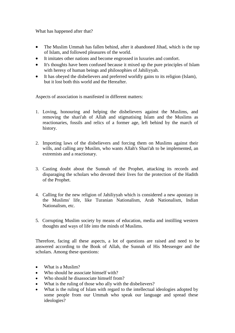What has happened after that?

- The Muslim Ummah has fallen behind, after it abandoned Jihad, which is the top of Islam, and followed pleasures of the world.
- It imitates other nations and become engrossed in luxuries and comfort.
- It's thoughts have been confused because it mixed up the pure principles of Islam with heresy of human beings and philosophies of Jahiliyyah.
- It has obeyed the disbelievers and preferred worldly gains to its religion (Islam), but it lost both this world and the Hereafter.

Aspects of association is manifested in different matters:

- 1. Loving, honouring and helping the disbelievers against the Muslims, and removing the shari'ah of Allah and stigmatising Islam and the Muslims as reactionaries, fossils and relics of a former age, left behind by the march of history.
- 2. Importing laws of the disbelievers and forcing them on Muslims against their wills, and calling any Muslim, who wants Allah's Shari'ah to be implemented, an extremists and a reactionary.
- 3. Casting doubt about the Sunnah of the Prophet, attacking its records and disparaging the scholars who devoted their lives for the protection of the Hadith of the Prophet.
- 4. Calling for the new religion of Jahiliyyah which is considered a new apostasy in the Muslims' life, like Turanian Nationalism, Arab Nationalism, Indian Nationalism, etc.
- 5. Corrupting Muslim society by means of education, media and instilling western thoughts and ways of life into the minds of Muslims.

Therefore, facing all these aspects, a lot of questions are raised and need to be answered according to the Book of Allah, the Sunnah of His Messenger and the scholars. Among these questions:

- What is a Muslim?
- Who should he associate himself with?
- Who should he disassociate himself from?
- What is the ruling of those who ally with the disbelievers?
- What is the ruling of Islam with regard to the intellectual ideologies adopted by some people from our Ummah who speak our language and spread these ideologies?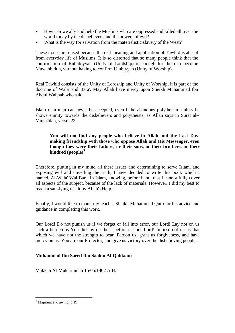- How can we ally and help the Muslims who are oppressed and killed all over the world today by the disbelievers and the powers of evil?
- What is the way for salvation from the materialistic slavery of the West?

These issues are raised because the real meaning and application of Tawhid is absent from everyday life of Muslims. It is so distorted that so many people think that the confirmation of Rububiyyah (Unity of Lordship) is enough for them to become Muwahhidun, without having to confirm Uluhiyyah (Unity of Worship).

Real Tawhid consists of the Unity of Lordship and Unity of Worship, it is part of the doctrine of Wala' and Bara'. May Allah have mercy upon Sheikh Muhammad Ibn Abdul Wahhab who said:

Islam of a man can never be accepted, even if he abandons polytheism, unless he shows enmity towards the disbelievers and polytheists, as Allah says in Surat al-- Muja'dilah, verse: 22,

#### **You will not find any people who believe in Allah and the Last Day, making friendship with those who oppose Allah and His Messenger, even though they were their fathers, or their sons, or their brothers, or their kindred (people)[5](#page-9-0)**

Therefore, putting in my mind all these issues and determining to serve Islam, and exposing evil and unveiling the truth, I have decided to write this book which I named, Al-Wala' Wal Bara' In Islam, knowing, before hand, that I cannot fully cover all aspects of the subject, because of the lack of materials. However, I did my best to reach a satisfying result by Allah's Help.

Finally, I would like to thank my teacher Sheikh Muhammad Qutb for his advice and guidance in completing this work.

Our Lord! Do not punish us if we forget or fall into error, our Lord! Lay not on us such a burden as You did lay on those before us; our Lord! Impose not on us that which we have not the strength to bear. Pardon us, grant us forgiveness, and have mercy on us. You are our Protector, and give us victory over the disbelieving people.

#### **Muhammad Ibn Saeed Ibn Saalim Al-Qahtaani**

Makkah Al-Mukarramah 15/05/1402 A.H.

<span id="page-9-0"></span><sup>&</sup>lt;sup>5</sup> Majmuat at-Tawhid, p.19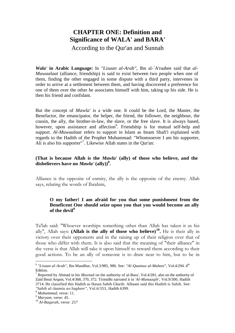## **CHAPTER ONE: Definition and Significance of WALA' and BARA'**

According to the Qur'an and Sunnah

*Wala'* **in Arabic Language:** In *"Lisaan al-Arab",* Ibn al-`A'raabee said that *al-Muwaalaat* (alliance, friendship) is said to exist between two people when one of them, finding the other engaged in some dispute with a third party, intervenes in order to arrive at a settlement between them, and having discovered a preference for one of them over the other he associates himself with him, taking up his side. He is then his friend and confidant.

But the concept of *Mawla'* is a wide one. It could be the Lord, the Master, the Benefactor, the emancipator, the helper, the friend, the follower, the neighbour, the cousin, the ally, the brother-in-law, the slave, or the free slave. It is always based, however, upon assistance and affection<sup>[6](#page-10-0)</sup>. Friendship is for mutual self-help and support. *Al-Muwaalaat* refers to support in Islam as Imam Shafi'i explained with regards to the Hadith of the Prophet Muhammad: "Whomsoever I am his supporter, Ali is also his supporter"<sup>7</sup>[.](#page-10-1) Likewise Allah states in the Qur'an:

#### **(That is because Allah is the** *Mawla'* **(ally) of those who believe, and the disbelievers have no** *Mawla'* **(ally))<sup>8</sup> [.](#page-10-2)**

Alliance is the opposite of enmity, the ally is the opposite of the enemy. Allah says, relating the words of Ibrahim,

#### **O my father! I am afraid for you that some punishment from the Beneficent One should seize upon you that you would become an ally**  $\int$ **of**the devi[l](#page-10-3)<sup>9</sup>

Ta'lab said: "Whoever worships something other than Allah has taken it as his ally", Allah says: **(Allah is the ally of those who believe)[10](#page-10-4) .** He is their ally in victory over their opponents and in the raising up of their religion over that of those who differ with them. It is also said that the meaning of "their alliance" in the verse is that Allah will take it upon himself to reward them according to their good actions. To be an ally of someone is to draw near to him, but to be in

<span id="page-10-0"></span><sup>&</sup>lt;sup>6</sup> "Lisaan al-Arab", Ibn Mandhur, Vol.3/985, 986. See: "Al-Qaamus al-Muheet", Vol.4/294. 4<sup>th</sup> Edition.

<span id="page-10-1"></span><sup>7</sup> Reported by Ahmad in his *Musnad* on the authority of al-Bara', Vol.4/281, also on the authority of Zaid Ibnul Arqam, Vol.4/368, 370, 372. Tirmidhi narrated it in *'Al-Manaaqib',* Vol.9/300, Hadith 3714. He classified this Hadith as Hasan Sahih Gharib. Albaani said this Hadith is Sahih. See: *"Sahih al-Jaamiu as-Sagheer",* Vol.6/353, Hadith 6399.

<span id="page-10-2"></span><sup>8</sup> *Muhammad,* verse: 11.

<span id="page-10-3"></span><sup>9</sup> *Maryam,* verse: 45.

<span id="page-10-4"></span><sup>10</sup> *Al-Baqarah,* verse: 257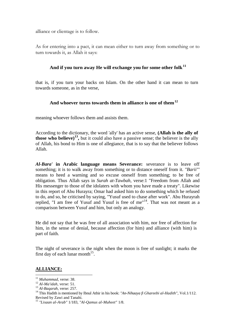alliance or clientage is to follow.

As for entering into a pact, it can mean either to turn away from something or to turn towards it, as Allah it says:

#### **And if you turn away He will exchange you for some otherfolk<sup>11</sup>**

that is, if you turn your backs on Islam. On the other hand it can mean to turn towards someone, as in the verse,

#### **And whoever turns towards them in alliance is one of them[12](#page-11-1)**

meaning whoever follows them and assists them.

According to the dictionary, the word 'ally' has an active sense, **(Allah is the ally of those who believe)[13](#page-11-2) ,** but it could also have a passive sense; the believer is the ally of Allah, his bond to Him is one of allegiance, that is to say that the believer follows Allah.

*Al-Bara'* **in Arabic language means Severance:** severance is to leave off something; it is to walk away from something or to distance oneself from it. *"Barii"'* means to heed a warning and so excuse oneself from something; to be free of obligation. Thus Allah says in *Surah at-Tawbah,* verse:1 "Freedom from Allah and His messenger to those of the idolaters with whom you have made a treaty". Likewise in this report of Abu Hurayra; Omar had asked him to do something which he refused to do, and so, he criticised by saying, "Yusuf used to chase after work". Abu Hurayrah replied, "I am free of Yusuf and Yusuf is free ofme["](#page-11-3)<sup>14</sup>. That was not meant as a comparison between Yusuf and him, but only an analogy.

He did not say that he was free of all association with him, nor free of affection for him, in the sense of denial, because affection (for him) and alliance (with him) is part of faith.

The night of severance is the night when the moon is free of sunlight; it marks the first day of each lunar month<sup>[15](#page-11-4)</sup>.

#### **ALLIANCE:**

<span id="page-11-0"></span><sup>&</sup>lt;sup>11</sup> Muhammad, verse: 38.

<span id="page-11-1"></span><sup>12</sup> *Al-Ma'idah,* verse: 51.

<span id="page-11-2"></span><sup>13</sup> *Al-Baqarah,* verse: 257.

<span id="page-11-3"></span><sup>14</sup> This Hadith is mentioned by Ibnul Athir in his book: *"An-Nihaaya fi Ghareebi al-Hadith",* Vol.1/112. Revised by Zawi and Tanahi.

<span id="page-11-4"></span><sup>15</sup> *"Lisaan al-Arab"* 1/183, *"Al-Qamus al-Muheet"* 1/8.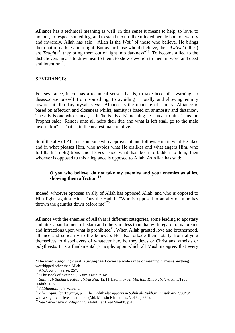Alliance has a technical meaning as well. In this sense it means to help, to love, to honour, to respect something, and to stand next to like minded people both outwardly and inwardly. Allah has said: "Allah is the *Wali'* of those who believe. He brings them out of darkness into light. But as for those who disbelieve, their *Awliya'* (allies) are *Taaghut*<sup>\*</sup>, they bring them out of light into darkness<sup>"[16](#page-12-0)</sup>. To become allied to the disbelievers means to draw near to them, to show devotion to them in word and deed and intention $17$ .

#### **SEVERANCE:**

For severance, it too has a technical sense; that is, to take heed of a warning, to disassociate oneself from something, to avoiding it totally and showing enmity towards it. Ibn Taymiyyah says: "Alliance is the opposite of enmity. Alliance is based on affection and closeness whilst, enmity is based on animosity and distance". The ally is one who is near, as in 'he is his ally' meaning he is near to him. Thus the Prophet said: "Render unto all heirs their due and what is left shall go to the male next ofkin"<sup>18</sup>. That is, to the nearest male relative.

So if the ally of Allah is someone who approves of and follows Him in what He likes and in what pleases Him, who avoids what He dislikes and what angers Him, who fulfills his obligations and leaves aside what has been forbidden to him, then whoever is opposed to this allegiance is opposed to Allah. As Allah has said:

#### **O you who believe, do not take my enemies and your enemies as allies, showing them affection [19](#page-12-3)**

Indeed, whoever opposes an ally of Allah has opposed Allah, and who is opposed to Him fights against Him. Thus the Hadith, "Who is opposed to an ally of mine has thrownthe gauntlet down before me $120$ .

Alliance with the enemies of Allah is if different categories, some leading to apostasy and utter abandonment of Islam and others are less than that with regard to major sins and infractions upon what is prohibited $^{21}$  $^{21}$  $^{21}$ . When Allah granted love and brotherhood, alliance and solidarity to the believers He also forbade them totally from allying themselves to disbelievers of whatever hue, be they Jews or Christians, atheists or polytheists. It is a fundamental principle, upon which all Muslims agree, that every

<span id="page-12-0"></span><sup>\*</sup>The word *Taaghut* (Plural: *Tawaagheet)* covers a wide range of meaning, it means anything worshipped other than Allah.

<sup>16</sup> *Al-Baqarah,* verse: 257.

<span id="page-12-1"></span><sup>&</sup>lt;sup>17</sup> "The Book of *Eemaan"*, Naim Yasin, p.145.

<span id="page-12-2"></span><sup>18</sup> *Sahih al-Bukhari, Kitab al-Fara'id,* 12/11 Hadith 6732. *Muslim, Kitab al-Fara'id,* 3/1233, Hadith 1615.

<span id="page-12-3"></span><sup>19</sup> *Al-Mumtahinah,* verse: 1.

<span id="page-12-4"></span><sup>20</sup> *Al-Furqan,* Ibn Taymiya, p.7. The Hadith also appears in *Sahih al- Bukhari, "Kitab ar-Raqa'iq",* with a slightly different narration, (Md. Muhsin Khan trans. Vol.8, p.336).

<span id="page-12-5"></span><sup>21</sup> See *"Ar-Rasa'il al-Mufidah",* Abdul Latif Aal Sheikh, p.43.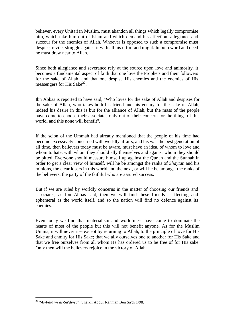believer, every Unitarian Muslim, must abandon all things which legally compromise him, which take him out of Islam and which demand his affection, allegiance and succour for the enemies of Allah. Whoever is opposed to such a compromise must despise, revile, struggle against it with all his effort and might. In both word and deed he must draw near to Allah.

Since both allegiance and severance rely at the source upon love and animosity, it becomes a fundamental aspect of faith that one love the Prophets and their followers for the sake of Allah, and that one despise His enemies and the enemies of His messengersfor His Sak[e](#page-13-0)<sup>22</sup>.

Ibn Abbas is reported to have said, "Who loves for the sake of Allah and despises for the sake of Allah, who takes both his friend and his enemy for the sake of Allah, indeed his desire in this is but for the alliance of Allah, but the mass of the people have come to choose their associates only out of their concern for the things of this world, and this none will benefit".

If the scion of the Ummah had already mentioned that the people of his time had become excessively concerned with worldly affairs, and his was the best generation of all time, then believers today must be aware, must have an idea, of whom to love and whom to hate, with whom they should ally themselves and against whom they should be pitted. Everyone should measure himself up against the Qur'an and the Sunnah in order to get a clear view of himself, will he be amongst the ranks of *Shaytan* and his minions, the clear losers in this world and the next, or will he be amongst the ranks of the believers, the party of the faithful who are assured success.

But if we are ruled by worldly concerns in the matter of choosing our friends and associates, as Ibn Abbas said, then we will find these friends as fleeting and ephemeral as the world itself, and so the nation will find no defence against its enemies.

Even today we find that materialism and worldliness have come to dominate the hearts of most of the people but this will not benefit anyone. As for the Muslim Umma, it will never rise except by returning to Allah, to the principle of love for His Sake and enmity for His Sake; that we ally ourselves one to another for His Sake and that we free ourselves from all whom He has ordered us to be free of for His sake. Only then will the believers rejoice in the victory of Allah.

<span id="page-13-0"></span><sup>22</sup> *"Al-Fata'wi as-Sa'diyya",* Sheikh Abdur Rahman Ben Sa'di 1/98.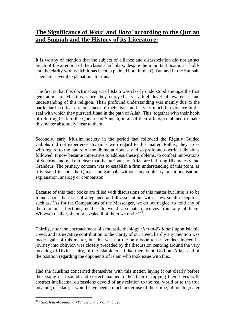## **The Significance of** *Wala'* **and** *Bara'* **according to the Qur'an and Sunnah and the History of its Literature:**

It is worthy of mention that the subject of alliance and disassociation did not attract much of the attention of the classical scholars, despite the important position it holds and the clarity with which it has been explained both in the Qur'an and in the Sunnah. There are several explanations for this.

The first is that this doctrinal aspect of Islam was clearly understood amongst the first generations of Muslims, since they enjoyed a very high level of awareness and understanding of this religion. Their profound understanding was mainly due to the particular historical circumstances of their lives, and is very much in evidence in the zeal with which they pursued Jihad in the path of Allah. This, together with their habit of referring back to the Qur'an and Sunnah, in all of their affairs, combined to make this matter absolutely clear to them.

Secondly, early Muslim society in the period that followed the Rightly Guided Caliphs did not experience divisions with regard to this matter. Rather, they arose with regard to the nature of the divine attributes, and so profound doctrinal divisions followed. It now became imperative to address these problems, to combat innovations of doctrine and make it clear that the attributes of Allah are befitting His majesty and Grandeur. The primary concern was to establish a firm understanding of this point, as it is stated in both the Qur'an and Sunnah, without any sophistry or rationalisation, explanation, analogy or comparison.

Because of this their books are filled with discussions of this matter but little is to be found about the issue of allegiance and disassociation, with a few small exceptions such as, "As for the Companions of the Messenger, we do not neglect to hold any of them in our affections, neither do we disassociate ourselves from any of them. Whoever dislikes them or speaks ill of them we revile  $12^3$ .

Thirdly, after the encroachment of scholastic theology *(Ilm al-Kalaam)* upon Islamic creed, and its negative contribution to the clarity of our creed, hardly any mention was made again of this matter, but this was not the only issue to be avoided. Indeed its journey into oblivion was closely preceded by the discussion centring around the very meaning of Divine Unity, of the Islamic creed that there is no God but Allah, and of the position regarding the opponents of Islam who took issue with this.

Had the Muslims concerned themselves with this matter, laying it out clearly before the people in a sound and correct manner, rather than occupying themselves with abstract intellectual discussions devoid of any relation to the real world or to the true meaning of Islam, it would have been a much better use of their time, of much greater

<span id="page-14-0"></span><sup>23</sup> *, `Sharh al-Aqeedah at-Tahawiyya",* Vol. 4, p.528.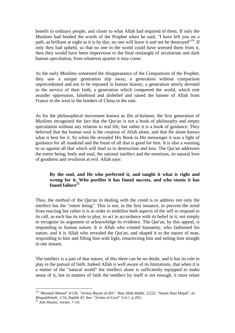benefit to ordinary people, and closer to what Allah had required of them. If only the Muslims had heeded the words of the Prophet when he said, "I have left you on a path, as brilliant at night as it is by day; no one will leave it and not be destroyed"<sup>[24](#page-15-0)</sup>. If only they had upheld, so that no one in the world could have wrested them from it, then they would have been impervious to the final onslaught of secularism and dark human speculation, from whatever quarter it may come.

As the early Muslims witnessed the disappearance of the Companions of the Prophet, they saw a unique generation slip away, a generation without comparison unprecedented and not to be repeated in human history, a generation utterly devoted to the service of their faith, a generation which conquered the world, which rent asunder oppression, falsehood and disbelief and raised the banner of Allah from France in the west to the borders of China in the east.

As for the philosophical movement known as *Ilm al-kalaam,* the first generation of Muslims recognised the fact that the Qur'an is not a book of philosophy and empty speculation without any relation to real life, but rather it is a book of guidance. They believed that the human soul is the creation of Allah alone, and that He alone knows what is best for it. So when He revealed His Book to His messenger it was a light of guidance for all mankind and the fount of all that is good for him. It is also a warning to us against all that which will lead us to destruction and loss. The Qur'an addresses the entire being, body and soul, the rational intellect and the emotions, its natural love of goodness and revulsion at evil. Allah says:

#### **By the soul, and He who perfected it, and taught it what is right and wrong for it. Who purifies it has found success, and who stunts it has found failure[25](#page-15-1)**

Thus, the method of the Qur'an in dealing with the creed is to address not only the intellect but the "entire being". This is not, in the first instance, to prevent the mind from reacting but rather it is in order to mobilise both aspects of the self to respond to its call, as each has its role to play; to act in accordance with its belief in it, not simply to recognise its argument or acknowledge its evidence. The Qur'an, by this appeal, is responding to human nature. It is Allah who created humanity, who fashioned his nature, and it is Allah who revealed the Qur'an, and shaped it to the nature of man, responding to him and filling him with light, resurrecting him and setting him straight in one instant.

The intellect is a part of that nature, of this there can be no doubt, and it has its role to play in the pursuit of faith. Indeed Allah is well aware of its limitations, that when it is a matter of the "natural world" the intellect alone is sufficiently equipped to make sense of it, but in matters of faith the intellect by itself is not enough, it must relate

<span id="page-15-0"></span><sup>24</sup> *"Musnad Ahmad"* 4/126, *"Ja'miu Bayan al-Ilm",* Ibnu Abdu Rabbi', 2/222, "Sunan Ibnu Majah", *al-*

*Muqaddimah,* 1/16, Hadith 43. See: "Ja'miu al-Usul" Vol.!, p.293.

<span id="page-15-1"></span><sup>25</sup> *Ash-Shams,* verses: *7-10.*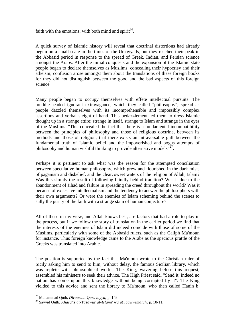faithwi[t](#page-16-0)h the emotions; with both mind and spirit<sup>26</sup>.

A quick survey of Islamic history will reveal that doctrinal distortions had already begun on a small scale in the times of the Umayyads, but they reached their peak in the Abbasid period in response to the spread of Greek, Indian, and Persian science amongst the Arabs. After the initial conquests and the expansion of the Islamic state people began to declare themselves as Muslims, concealing their hypocrisy and their atheism; confusion arose amongst them about the translations of these foreign books for they did not distinguish between the good and the bad aspects of this foreign science.

Many people began to occupy themselves with effete intellectual pursuits. The muddle-headed ignorant extravagance, which they called "philosophy", spread as people dazzled themselves with its incomprehensible and impossibly complex assertions and verbal sleight of hand. This bedazzlement led them to dress Islamic thought up in a strange attire; strange in itself, strange to Islam and strange in the eyes of the Muslims. "This concealed the fact that there is a fundamental incompatibility between the principles of philosophy and those of religious doctrine, between its methods and those of religion, that there exists an intraversable gulf between the fundamental truth of Islamic belief and the impoverished and bogus attempts of philosophy and human wishful thinking to provide alternative models $"^{27}$  $"^{27}$  $"^{27}$ .

Perhaps it is pertinent to ask what was the reason for the attempted conciliation between speculative human philosophy, which grew and flourished in the dark mists of paganism and disbelief, and the clear, sweet waters of the religion of Allah, Islam? Was this simply the result of following blindly behind tradition? Was it due to the abandonment of Jihad and failure in spreading the creed throughout the world? Was it because of excessive intellectualism and the tendency to answer the philosophers with their own arguments? Or were the enemies of Islam scheming behind the scenes to sully the purity of the faith with a strange stain of human conjecture?

All of these in my view, and Allah knows best, are factors that had a role to play in the process, but if we follow the story of translation in the earlier period we find that the interests of the enemies of Islam did indeed coincide with those of some of the Muslims, particularly with some of the Abbasid rulers, such as the Caliph Ma'moun for instance. Thus foreign knowledge came to the Arabs as the specious prattle of the Greeks was translated into Arabic.

The position is supported by the fact that Ma'moun wrote to the Christian ruler of Sicily asking him to send to him, without delay, the famous Sicilian library, which was replete with philosophical works. The King, wavering before this request, assembled his ministers to seek their advice. The High Priest said, "Send it, indeed no nation has come upon this knowledge without being corrupted by it". The King yielded to this advice and sent the library to Ma'moun, who then called Hanin b.

<span id="page-16-0"></span><sup>26</sup> Muhammad Qutb, *Diraasaat Qura'niyya,* p. 149.

<span id="page-16-1"></span><sup>27</sup> Sayyid Qutb, *Khasa'is at-Tasawur al-Islami' wa Muqawwimatuh,* p. 10-11.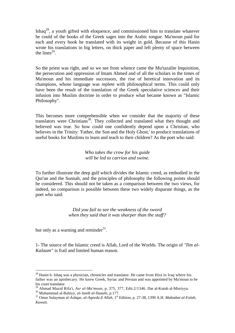Ishaq[28](#page-17-0), a youth gifted with eloquence, and commissioned him to translate whatever he could of the books of the Greek sages into the Arabic tongue. Ma'moun paid for each and every book he translated with its weight in gold. Because of this Hanin wrote his translations in big letters, on thick paper and left plenty of space between theline[s](#page-17-1)<sup>29</sup>.

So the priest was right, and so we see from whence came the Mu'tazalite Inquisition, the persecution and oppression of Imam Ahmed and of all the scholars in the times of Ma'moun and his immediate successors, the rise of heretical innovation and its champions, whose language was replete with philosophical terms. This could only have been the result of the translation of the Greek speculative sciences and their infusion into Muslim doctrine in order to produce what became known as "Islamic Philosophy".

This becomes more comprehensible when we consider that the majority of these translators were Christians<sup>[30](#page-17-2)</sup>. They collected and translated what they thought and believed was true. So how could one confidently depend upon a Christian, who believes in the Trinity: 'Father, the Son and the Holy Ghost,' to produce translations of useful books for Muslims to learn and teach to their children? As the poet who said:

> *Who takes the crow for his guide will be led to carrion and swine.*

To further illustrate the deep gulf which divides the Islamic creed, as embodied in the Qur'an and the Sunnah, and the principles of philosophy the following points should be considered. This should not be taken as a comparison between the two views, for indeed, no comparison is possible between these two widely disparate things, as the poet who said:

> *Did you fail to see the weakness of the sword when they said that it was sharper than the staff?*

but only as a warning and reminder $^{31}$  $^{31}$  $^{31}$ .

1- The source of the Islamic creed is Allah, Lord of the Worlds. The origin of *"Ilm al-Kalaam"* is frail and limited human reason.

<span id="page-17-0"></span><sup>&</sup>lt;sup>28</sup> Hanin b. Ishaq was a physician, chronicler and translator. He came from Hira in Iraq where his father was an apothecary. He knew Greek, Syriac and Persian and was appointed by Ma'moun to be his court translator.

<span id="page-17-1"></span><sup>29</sup> Ahmad Mazid Rifa'i, *Asr al-Ma'moun,* p. 375, 377, Edit.2/1346. Dar al-Kutub al-Misriyya.

<span id="page-17-2"></span><sup>30</sup> Muhammad al-Bahiyy, *al-Janib al-Ilaaahi,* p.177.

<span id="page-17-3"></span><sup>31</sup> Omar Sulayman al-Ashqar, *al-Aqeeda fi Allah,* 1 st Edition, p. 27-38, 1399 A.H. *Maktabat al-Falah, Kuwait.*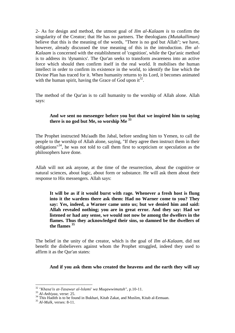2- As for design and method, the utmost goal of *Ilm al-Kalaam is* to confirm the singularity of the Creator; that He has no partners. The theologians *(Mutakallimun)* believe that this is the meaning of the words, "There is no god but Allah"; we have, however, already discussed the true meaning of this in the introduction. *Ilm al-Kalaam* is concerned with the establishment of 'cognition', while the Qur'anic method is to address its 'dynamics'. The Qur'an seeks to transform awareness into an active force which should then confirm itself in the real world. It mobilises the human intellect in order to confirm its existence in the world, to identify the line which the Divine Plan has traced for it. When humanity returns to its Lord, it becomes animated withthe human spirit, having the Grace of God upon  $it^{32}$ .

The method of the Qur'an is to call humanity to the worship of Allah alone. Allah says:

#### **And we sent no messenger before you but that we inspired him to saying there is no god but Me, so worshipMe <sup>33</sup>**

The Prophet instructed Mu'aadh Ibn Jabal, before sending him to Yemen, to call the people to the worship of Allah alone, saying, "If they agree then instruct them in their  $\overrightarrow{O}$  obligations<sup>"[34](#page-18-2)</sup>, he was not told to call them first to scepticism or speculation as the philosophers have done.

Allah will not ask anyone, at the time of the resurrection, about the cognitive or natural sciences, about logic, about form or substance. He will ask them about their response to His messengers. Allah says:

**It will be as if it would burst with rage. Whenever a fresh host is flung into it the wardens there ask them: Had no Warner come to you? They say: Yes, indeed, a Warner came unto us; but we denied him and said: Allah revealed nothing; you are in great error. And they say: Had we listened or had any sense, we would not now be among the dwellers in the flames. Thus they acknowledged their sins, so damned be the dwellers of the flames [35](#page-18-3)**

The belief in the unity of the creator, which is the goal of *Ilm al-Kalaam,* did not benefit the disbelievers against whom the Prophet struggled, indeed they used to affirm it as the Qur'an states:

#### **And if you ask them who created the heavens and the earth they will say**

<span id="page-18-0"></span><sup>32</sup> *"Khasa'is at-Tasawur al-lslami' wa Muqawwimatuh",* p.10-11.

<span id="page-18-1"></span><sup>33</sup> *Al-Anbiyaa,* verse: 25.

<span id="page-18-3"></span><span id="page-18-2"></span><sup>&</sup>lt;sup>34</sup> This Hadith is to be found in Bukhari, Kitab Zakat, and Muslim, Kitab al-Eemaan.

<sup>35</sup> *Al-Mulk,* verses: 8-11.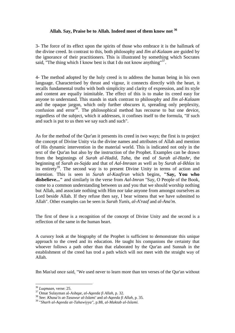#### **Allah. Say, Praise be to Allah. Indeed most of them knownot <sup>36</sup>**

3- The force of its effect upon the spirits of those who embrace it is the hallmark of the divine creed. In contrast to this, both philosophy and *Ilm al-Kalaam* are guided by the ignorance of their practitioners. This is illustrated by something which Socrates said, "The thing which I know best is that I do not know anything" $37$ .

4- The method adopted by the holy creed is to address the human being in his own language. Characterised by thrust and vigour, it connects directly with the heart, it recalls fundamental truths with both simplicity and clarity of expression, and its style and content are equally inimitable. The effect of this is to make its creed easy for anyone to understand. This stands in stark contrast to philosophy and *Ilm al-Kalaam* and the opaque jargon, which only further obscures it, spreading only perplexity, confusionand error<sup>38</sup>. The philosophical method has recourse to but one device, regardless of the subject, which it addresses, it confines itself to the formula, "If such and such is put to us then we say such and such".

As for the method of the Qur'an it presents its creed in two ways; the first is to project the concept of Divine Unity via the divine names and attributes of Allah and mention of His dynamic intervention in the material world. This is indicated not only in the text of the Qur'an but also by the instruction of the Prophet. Examples can be drawn from the beginnings of *Surah al-Hadid, Taha,* the end of *Surah al-Hashr,* the beginning of *Surah as-Sajda* and that of *Aal-Imraan* as well as by *Surah al-Ikhlas* in its entirety<sup>[39](#page-19-3)</sup>. The second way is to present Divine Unity in terms of action and intention. This is seen in *Surah al-Kaafirun* which begins, **"Say, You who disbelieve..."** and similarly in the verse from *Aal-Imran* "Say, O People of the Book, come to a common understanding between us and you that we should worship nothing but Allah, and associate nothing with Him nor take anyone from amongst ourselves as Lord beside Allah. If they refuse then say, I bear witness that we have submitted to Allah". Other examples can be seen in *Surah Yunis, al-A'raaf* and *al-Ana'm.*

The first of these is a recognition of the concept of Divine Unity and the second is a reflection of the same in the human heart.

A cursory look at the biography of the Prophet is sufficient to demonstrate this unique approach to the creed and its education. He taught his companions the certainty that whoever follows a path other than that elaborated by the Qur'an and Sunnah in the establishment of the creed has trod a path which will not meet with the straight way of Allah.

Ibn Mas'ud once said, "We used never to learn more than ten verses of the Qur'an without

<span id="page-19-0"></span><sup>36</sup> *Luqmaan,* verse: 25.

<span id="page-19-1"></span><sup>37</sup> Omar Sulayman al-Ashqar, *al-Aqeeda fi Allah,* p. 32.

<span id="page-19-2"></span><sup>38</sup> See: *Khasa'is at-Tasawur al-Islami'* and *al-Aqeeda fi Allah,* p. 35.

<span id="page-19-3"></span><sup>39</sup> "*Sharh al-Aqeeda at-Tahawiyya",* p.88, *al-Maktab al-Islami.*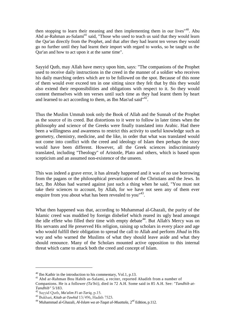then stopping to learn their meaning and then implementing them in our lives<sup> $40$ </sup>. Abu Abd ar-Rahman as-Salami<sup>[41](#page-20-1)</sup> said, "Those who used to teach us said that they would learn the Qur'an directly from the Prophet, and that after they had learnt ten verses they would go no further until they had learnt their import with regard to works, so he taught us the Qur'an and how to act upon it at the same time".

Sayyid Qutb, may Allah have mercy upon him, says: "The companions of the Prophet used to receive daily instructions in the creed in the manner of a soldier who receives his daily marching orders which are to be followed on the spot. Because of this none of them would ever exceed ten in one sitting since they felt that by this they would also extend their responsibilities and obligations with respect to it. So they would content themselves with ten verses until such time as they had learnt them by heart andlearned to act according to them, as Ibn Mas'ud said["](#page-20-2) $42$ .

Thus the Muslim Ummah took only the Book of Allah and the Sunnah of the Prophet as the source of its creed. But distortions to it were to follow in later times when the philosophy and science of the Greeks were finally translated into Arabic. Had there been a willingness and awareness to restrict this activity to useful knowledge such as geometry, chemistry, medicine, and the like, in order that what was translated would not come into conflict with the creed and ideology of Islam then perhaps the story would have been different. However, all the Greek sciences indiscriminately translated, including "Theology" of Aristotle, Plato and others, which is based upon scepticism and an assumed non-existence of the unseen.

This was indeed a grave error, it has already happened and it was of no use borrowing from the pagans or the philosophical prevarication of the Christians and the Jews. In fact, Ibn Abbas had warned against just such a thing when he said, "You must not take their sciences to account, by Allah, for we have not seen any of them ever enquirefrom you about what has been revealed to you"<sup>43</sup>.

What then happened was that, according to Muhammad al-Ghazali, the purity of the Islamic creed was muddied by foreign disbelief which reared its ugly head amongst the idle effete who filled their time with empty debate<sup>[44](#page-20-4)</sup>. But Allah's Mercy was on His servants and He preserved His religion, raising up scholars in every place and age who would fulfill their obligation to spread the call to Allah and perform *Jihad* in His way and who warned the Muslims of what they should leave aside and what they should renounce. Many of the Scholars mounted active opposition to this internal threat which came to attack both the creed and concept of Islam.

<span id="page-20-0"></span><sup>&</sup>lt;sup>40</sup> Ibn Kathir in the introduction to his commentary, Vol.1, p.13.

<span id="page-20-1"></span><sup>41</sup> Abd ar-Rahman Bnu Habib as-Salami, a reciter, reported Ahadith from a number of Companions. He is a follower *(Ta'bii),* died in 72 A.H. Some said in 85 A.H. See: *"Tandhib at-Tandhib"* 5/183.

<span id="page-20-3"></span><span id="page-20-2"></span><sup>42</sup> Sayyid Qutb, *Ma'alim Fi at-Tariq,* p.15.

<sup>43</sup> Bukhari, *Kitab at-Tawhid* 13/496, Hadith 7523.

<span id="page-20-4"></span><sup>&</sup>lt;sup>44</sup> Muhammad al-Ghazali, *Al-Islam wa at-Taqat al-Muattala*, 2<sup>nd</sup> Edition, p.112.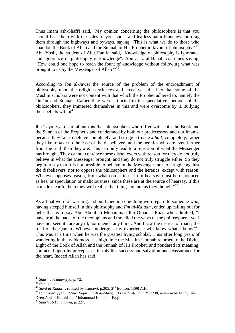Thus Imam ash-Shafi'i said, "My opinion concerning the philosophers is that you should beat them with the soles of your shoes and leafless palm branches and drag them through the highways and byways, saying, `This is what we do to those who abandon the Book of Allah and the Sunnah of His Prophet in favour of philosophy<sup>1[45](#page-21-0)</sup>. Abu Yusif, the student of Abu Hanifa, said, "Knowledge of philosophy is ignorance and ignorance of philosophy is knowledge". Abu al-Iz al-Hanafi continues saying, "How could one hope to reach the fount of knowledge without following what was brought to us by the Messenger of Allah?"<sup>[46](#page-21-1)</sup>.

According to Ibn al-Jawzi the source of the problem of the encroachment of philosophy upon the religious sciences and creed was the fact that some of the Muslim scholars were not content with that which the Prophet adhered to, namely the Qur'an and Sunnah. Rather they were attracted to the speculative methods of the philosophers, they immersed themselves in this and were overcome by it, sullying theirbeliefs with  $it^{47}$ .

Ibn Taymiyyah said about this that philosophers who differ with both the Book and the Sunnah of the Prophet stand condemned by both our predecessors and our imams, because they fail to believe completely, and struggle (make *Jihad)* completely, rather they like to take up the case of the disbelievers and the heretics who are even farther from the truth than they are. This can only lead to a rejection of what the Messenger has brought. They cannot convince these disbelievers with reason for they do not truly believe in what the Messenger brought, and they do not truly struggle either. So they begin to say that it is not possible to believe in the Messenger, nor to struggle against the disbelievers, nor to oppose the philosophers and the heretics, except with reason. Whatever opposes reason, from what comes to us from hearsay, must be denounced as lies, or speculation or maliciousness, since these are at the source of hearsay. If this is made clear to them they will realise that things are not as they thought  $148$  $148$ .

As a final word of warning, I should mention one thing with regard to someone who, having steeped himself in this philosophy and *Ilm al-Kalaam,* ended up calling out for help, that is to say Abu Abdullah Muhammad Ibn Omar ar-Razi, who admitted, "I have trod the paths of the theologians and travelled the ways of the philosophers, yet I have not seen it cure any ill, nor quench any thirst. And I saw the nearest of roads, the road of the Qur'an...Whoever undergoes my experience will know what I know"<sup>[49](#page-21-4)</sup>. This was at a time when he was the greatest living scholar. Thus after long years of wandering in the wilderness it is high time the Muslim Ummah returned to the Divine Light of the Book of Allah and the Sunnah of His Prophet, and pondered its meaning, and acted upon its precepts, as in this lies success and salvation and reassurance for the heart. Indeed Allah has said,

<span id="page-21-0"></span><sup>45</sup> *Sharh at-Tahawiyya,* p. 72.

<span id="page-21-1"></span><sup>46</sup> Ibid, 72, 73.

<span id="page-21-2"></span><sup>&</sup>lt;sup>47</sup> *Sayd al-Khaatir,* revised by Tantawi, p.205,  $2^{nd}$  Edition, 1398 A.H.

<span id="page-21-3"></span><sup>48</sup> Ibn Taymiyyah, *"Muwafaqat Sahih al-Manqul Lisarih al-ma'qul'* 1/238, revision by Muhyi ad-Deen Abd al-Hamid and Muhammad Hamid al-Faqi'.

<span id="page-21-4"></span><sup>49</sup> *Sharh at-Tahawiyya,* p. 227.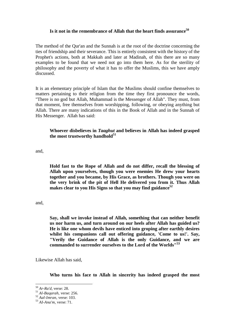#### **Is it not in the remembrance of Allah that the heart finds assurance[50](#page-22-0)**

The method of the Qur'an and the Sunnah is at the root of the doctrine concerning the ties of friendship and their severance. This is entirely consistent with the history of the Prophet's actions, both at Makkah and later at Madinah, of this there are so many examples to be found that we need not go into them here. As for the sterility of philosophy and the poverty of what it has to offer the Muslims, this we have amply discussed.

It is an elementary principle of Islam that the Muslims should confine themselves to matters pertaining to their religion from the time they first pronounce the words, "There is no god but Allah, Muhammad is the Messenger of Allah". They must, from that moment, free themselves from worshipping, following, or obeying anything but Allah. There are many indications of this in the Book of Allah and in the Sunnah of His Messenger. Allah has said:

#### **Whoever disbelieves in** *Taaghut* **and believes in Allah has indeed grasped the most trustworthy handhold[51](#page-22-1)**

and,

**Hold fast to the Rope of Allah and do not differ, recall the blessing of Allah upon yourselves, though you were enemies He drew your hearts together and you became, by His Grace, as brothers. Though you were on the very brink of the pit of Hell He delivered you from it. Thus Allah makes clear to you His Signs so that you may find guidance[52](#page-22-2)**

and,

**Say, shall we invoke instead of Allah, something that can neither benefit us nor harm us, and turn around on our heels after Allah has guided us? He is like one whom devils have enticed into groping after earthly desires whilst his companions call out offering guidance, 'Come to us!'. Say, "Verily the Guidance of Allah is the only Guidance, and we are commanded to surrender ourselves to the Lord of the Worlds"[53](#page-22-3)**

Likewise Allah has said,

**Who turns his face to Allah in sincerity has indeed grasped the most**

<span id="page-22-0"></span><sup>50</sup> *Ar-Ra'd,* verse: 28.

<span id="page-22-1"></span><sup>51</sup> *Al-Baqarah,* verse: 256.

<span id="page-22-2"></span><sup>52</sup> *Aal-Imran,* verse: 103.

<span id="page-22-3"></span><sup>53</sup> *AI-Ana'm,* verse: 71.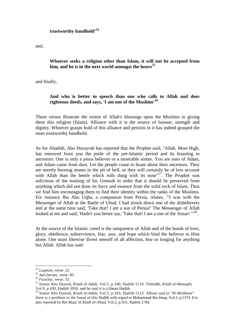#### **trustworthy handhold'[54](#page-23-0)**

and,

#### **Whoever seeks a religion other than Islam, it will not be accepted from him, and he is in the next world amongst the losers[55](#page-23-1)**

and finally,

#### **And who is better in speech than one who calls to Allah and does righteous deeds, and says, 'I am one of the Muslims'[56](#page-23-2)**

These verses illustrate the extent of Allah's blessings upon the Muslims in giving them this religion (Islam). Alliance with it is the source of honour, strength and dignity. Whoever grasps hold of this alliance and persists in it has indeed grasped the most trustworthy handhold.

As for Ahadith, Abu Hurayrah has reported that the Prophet said, "Allah, Most High, has removed from you the pride of the pre-Islamic period and its boasting in ancestors. One is only a pious believer or a miserable sinner. You are sons of Adam, and Adam came from dust. Let the people cease to boast about their ancestors. They are merely burning stones in the pit of hell; or they will certainly be of less account with Allah than the beetle which rolls dung with its nose<sup> $57$ </sup>. The Prophet was solicitous of the training of his Ummah in order that it should be preserved from anything which did not draw its force and essence from the solid rock of Islam. Thus we find him encouraging them to find their identity within the ranks of the Muslims. For instance Ibn Abu Uqba, a companion from Persia, relates, **"**I was with the Messenger of Allah at the Battle of Uhud. I had struck down one of the disbelievers and at the same time said, 'Take that! I am a son of Persia!' The Messenger of Allah lookedat me and said, 'Hadn't you better say, 'Take that! I am a son of the Ansar! "<sup>58</sup>.

At the source of the Islamic creed is the uniqueness of Allah and of the bonds of love, glory, obedience, subservience, fear, awe, and hope which bind the believer to Him alone. One must likewise divest oneself of all affection, fear or longing for anything but Allah. Allah has said:

<span id="page-23-0"></span><sup>54</sup> *Luqman,* verse: 22.

<span id="page-23-1"></span><sup>55</sup> *Aal-Imram,* verse: 85

<span id="page-23-2"></span><sup>56</sup> *Fussilat,* verse: 33.

<span id="page-23-3"></span><sup>57</sup> Sunan Abu Dawud, *Kitab al-Adab,* Vol.5, p.340, Hadith 5116. Tirmidhi, *Kitab al-Manaqib,* Vol.9, p.430, Hadith 3950, and he said it is a Hasan Hadith.

<span id="page-23-4"></span><sup>58</sup> Sunan Abu Dawud, *Kitab al-Adab,* Vol.5, p.343, Hadith 5123. Albani said in *"Al-Mishkaat"* there is a problem in the *Isnad* of this Hadith with regard to Muhammad Ibn Ishaq, Vol.3, p.1374. It is also reported by Ibn Maja' in *Kitab al-Jihad,* Vol.2, p.931, Hadith 2784.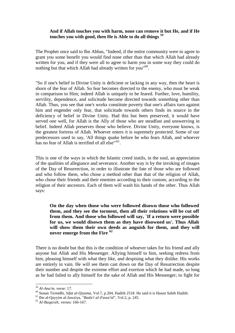#### **And if Allah touches you with harm, none can remove it but He, and if He touches you with good, then He is Able to do all things [59](#page-24-0)**

The Prophet once said to Ibn Abbas, "Indeed, if the entire community were to agree to grant you some benefit you would find none other than that which Allah had already written for you, and if they were all to agree to harm you in some way they could do nothingbut that which Allah had already written for you"<sup>60</sup>.

"So if one's belief in Divine Unity is deficient or lacking in any way, then the heart is shorn of the fear of Allah. So fear becomes directed to the enemy, who must be weak in comparison to Him; indeed Allah is uniquely to be feared. Further, love, humility, servility, dependence, and solicitude become directed towards something other than Allah. Thus, you see that one's works constitute poverty that one's affairs turn against him and engender only fear, that solicitude towards others finds its source in the deficiency of belief in Divine Unity. Had this but been preserved, it would have served one well, for Allah is the Ally of those who are steadfast and unswerving in belief. Indeed Allah preserves those who believe. Divine Unity, everyone knows, is the greatest fortress of Allah. Whoever enters it is supremely protected. Some of our predecessors used to say, 'All things quake before he who fears Allah, and whoever hasno fear of Allah is terrified of all else<sup>m61</sup>.

This is one of the ways in which the Islamic creed instils, in the soul, an appreciation of the qualities of allegiance and severance. Another way is by the invoking of images of the Day of Resurrection, in order to illustrate the fate of those who are followed and who follow them, who chose a method other than that of the religion of Allah, who chose their friends and their enemies according to their custom, according to the religion of their ancestors. Each of them will wash his hands of the other. Thus Allah says:

**On the day when those who were followed disown those who followed them, and they see the torment, then all their relations will be cut off from them. And those who followed will say, `If a return were possible for us, we would disown them as they have disowned us'. Thus Allah will show them their own deeds as anguish for them, and they will never emerge from the Fire [62](#page-24-3)**

There is no doubt but that this is the condition of whoever takes for his friend and ally anyone but Allah and His Messenger. Allying himself to him, seeking redress from him, pleasing himself with what they like, and despising what they dislike. His works are entirely in vain. He will see them cast down on the Day of Resurrection despite their number and despite the extreme effort and exertion which he had made, so long as he had failed to ally himself for the sake of Allah and His Messenger; to fight for

<span id="page-24-0"></span><sup>59</sup> *Al-Ana'm,* verse: 17.

<span id="page-24-1"></span><sup>60</sup> Sunan Tirmidhi, *Sifat al-Qiyama,* Vol.7, p.204, Hadith 2518. He said it is Hasan Sahih Hadith.

<span id="page-24-2"></span><sup>61</sup> Ibn al-Qayyim al-Jawziya, *"Bada'i al-Fawa'id",* Vol.2, p. 245.

<span id="page-24-3"></span><sup>62</sup> *Al-Baqarah,* verses: 166-167.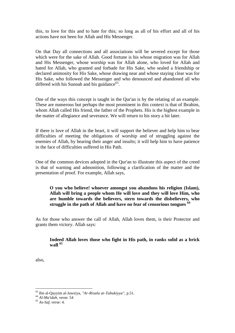this, to love for this and to hate for this; so long as all of his effort and all of his actions have not been for Allah and His Messenger.

On that Day all connections and all associations will be severed except for those which were for the sake of Allah. Good fortune is his whose migration was for Allah and His Messenger, whose worship was for Allah alone, who loved for Allah and hated for Allah, who granted and forbade for His Sake, who sealed a friendship or declared animosity for His Sake, whose drawing near and whose staying clear was for His Sake, who followed the Messenger and who denounced and abandoned all who differed with his Sunnah and his guidance $63$ .

One of the ways this concept is taught in the Qur'an is by the relating of an example. These are numerous but perhaps the most prominent in this context is that of Ibrahim, whom Allah called His friend, the father of the Prophets. His is the highest example in the matter of allegiance and severance. We will return to his story a bit later.

If there is love of Allah in the heart, it will support the believer and help him to bear difficulties of meeting the obligations of worship and of struggling against the enemies of Allah, by bearing their anger and insults; it will help him to have patience in the face of difficulties suffered in His Path.

One of the common devices adopted in the Qur'an to illustrate this aspect of the creed is that of warning and admonition, following a clarification of the matter and the presentation of proof. For example, Allah says,

**O you who believe! whoever amongst you abandons his religion (Islam), Allah will bring a people whom He will love and they will love Him, who are humble towards the believers, stern towards the disbelievers, who struggle in the path of Allah and have no fear of censorious tongues [64](#page-25-1)**

As for those who answer the call of Allah, Allah loves them, is their Protector and grants them victory. Allah says:

#### **Indeed Allah loves those who fight in His path, in ranks solid as a brick wall [65](#page-25-2)**

also,

<span id="page-25-0"></span><sup>63</sup> Ibn al-Qayyim al-Jawziya, *"Ar-Risala at-Tabukiyya",* p.51.

<span id="page-25-1"></span><sup>64</sup> *Al-Ma'idah,* verse: 54

<span id="page-25-2"></span><sup>65</sup> *As-Saf,* verse: 4.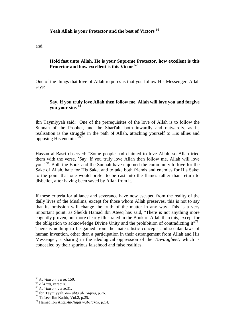#### **Yeah Allah is your Protector and the best of Victors [66](#page-26-0)**

and,

#### **Hold fast unto Allah, He is your Supreme Protector, how excellent is this Protector and how excellent is this Victor [67](#page-26-1)**

One of the things that love of Allah requires is that you follow His Messenger. Allah says:

#### **Say, If you truly love Allah then follow me, Allah will love you and forgive you yoursins <sup>68</sup>**

Ibn Taymiyyah said: "One of the prerequisites of the love of Allah is to follow the Sunnah of the Prophet, and the Shari'ah, both inwardly and outwardly, as its realisation is the struggle in the path of Allah, attaching yourself to His allies and opposing His enemies<sup>"[69](#page-26-3)</sup>.

Hassan al-Basri observed: "Some people had claimed to love Allah, so Allah tried them with the verse, `Say, If you truly love Allah then follow me, Allah will love you'"[70](#page-26-4). Both the Book and the Sunnah have enjoined the community to love for the Sake of Allah, hate for His Sake, and to take both friends and enemies for His Sake; to the point that one would prefer to be cast into the flames rather than return to disbelief, after having been saved by Allah from it.

If these criteria for alliance and severance have now escaped from the reality of the daily lives of the Muslims, except for those whom Allah preserves, this is not to say that its omission will change the truth of the matter in any way. This is a very important point, as Sheikh Hamad Ibn Ateeq has said, "There is not anything more cogently proven, nor more clearly illustrated in the Book of Allah than this, except for theobligation to acknowledge Divine Unity and the prohibition of contradicting  $it^{\pi/1}$ . There is nothing to be gained from the materialistic concepts and secular laws of human invention, other than a participation in their estrangement from Allah and His Messenger, a sharing in the ideological oppression of the *Tawaagheet,* which is concealed by their spurious falsehood and false realities.

<span id="page-26-0"></span><sup>66</sup> *Aal-Imran,* verse: 150.

<span id="page-26-1"></span><sup>67</sup> *Al-Hajj,* verse:78.

<span id="page-26-2"></span><sup>68</sup> *Aal-Imran,* verse:31.

<span id="page-26-3"></span><sup>69</sup> Ibn Taymiyyah, *at-Tuhfa al-Iraqiya,* p.76.

<span id="page-26-4"></span><sup>70</sup> Tafseer Ibn Kathir, Vol.2, p.25.

<span id="page-26-5"></span><sup>71</sup> Hamad Ibn Atiq, *An-Najat wal-Fakak,* p.14.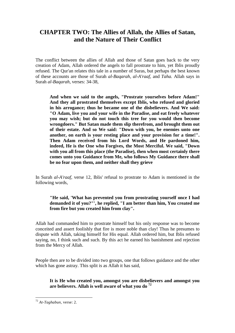## **CHAPTER TWO: The Allies of Allah, the Allies of Satan, and the Nature of Their Conflict**

The conflict between the allies of Allah and those of Satan goes back to the very creation of Adam, Allah ordered the angels to fall prostrate to him, yet Iblis proudly refused. The Qur'an relates this tale in a number of Suras, but perhaps the best known of these accounts are those of Surah *al-Baqarah, al-A'raaf,* and *Taha.* Allah says in Surah *al-Baqarah,* verses: 34-38,

**And when we said to the angels, "Prostrate yourselves before Adam!" And they all prostrated themselves except Iblis, who refused and gloried in his arrogance; thus he became one of the disbelievers. And We said: "O Adam, live you and your wife in the Paradise, and eat freely whatever you may wish; but do not touch this tree for you would then become wrongdoers." But Satan made them slip therefrom, and brought them out of their estate. And so We said: "Down with you, be enemies unto one another, on earth is your resting place and your provision for a time!". Then Adam received from his Lord Words, and He pardoned him, indeed, He is the One who Forgives, the Most Merciful. We said, "Down with you all from this place (the Paradise), then when most certainly there comes unto you Guidance from Me, who follows My Guidance there shall be no fear upon them, and neither shall they grieve**

In Surah *al-A'raaf,* verse 12, Iblis' refusal to prostrate to Adam is mentioned in the following words,

#### **"He said, 'What has prevented you from prostrating yourself once I had demanded it of you?"', he replied, "I am better than him, You created me from fire but you created him from clay".**

Allah had commanded him to prostrate himself but his only response was to become conceited and assert foolishly that fire is more noble than clay! Thus he presumes to dispute with Allah, taking himself for His equal. Allah ordered him, but Iblis refused saying, no, I think such and such. By this act he earned his banishment and rejection from the Mercy of Allah.

People then are to be divided into two groups, one that follows guidance and the other which has gone astray. This split is as Allah it has said,

**It is He who created you, amongst you are disbelievers and amongst you are believers. Allah is well aware of what youdo <sup>72</sup>**

<span id="page-27-0"></span><sup>72</sup> *At-Taghabun,* verse: 2.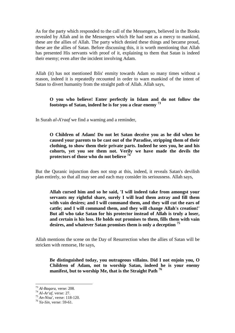As for the party which responded to the call of the Messengers, believed in the Books revealed by Allah and in the Messengers which He had sent as a mercy to mankind, these are the allies of Allah. The party which denied these things and became proud, these are the allies of Satan. Before discussing this, it is worth mentioning that Allah has presented His servants with proof of it, explaining to them that Satan is indeed their enemy; even after the incident involving Adam.

Allah (it) has not mentioned Iblis' enmity towards Adam so many times without a reason, indeed it is repeatedly recounted in order to warn mankind of the intent of Satan to divert humanity from the straight path of Allah. Allah says,

#### **O you who believe! Enter perfectly in Islam and do not follow the footsteps of Satan, indeed he is for you a clear enemy [73](#page-28-0)**

In Surah *al-A'raaf* we find a warning and a reminder,

**O Children of Adam! Do not let Satan deceive you as he did when he caused your parents to be cast out of the Paradise, stripping them of their clothing, to show them their private parts. Indeed he sees you, he and his cohorts, yet you see them not. Verily we have made the devils the protectors of those who do not believe [74](#page-28-1)**

But the Quranic injunction does not stop at this, indeed, it reveals Satan's devilish plan entirely, so that all may see and each may consider its seriousness. Allah says,

**Allah cursed him and so he said, 'I will indeed take from amongst your servants my rightful share, surely I will lead them astray and fill them with vain desires; and I will command them, and they will cut the ears of cattle; and I will command them, and they will change Allah's creation!' But all who take Satan for his protector instead of Allah is truly a loser, and certain is his loss. He holds out promises to them, fills them with vain desires, and whatever Satan promises them is only a deception [75](#page-28-2)**

Allah mentions the scene on the Day of Resurrection when the allies of Satan will be stricken with remorse, He says,

**Be distinguished today, you outrageous villains. Did I not enjoin you, O Children of Adam, not to worship Satan, indeed he is your enemy manifest, but to worship Me, that is the Straight Path [76](#page-28-3)**

<span id="page-28-0"></span><sup>73</sup> *Al-Baqara,* verse: 208.

<span id="page-28-1"></span><sup>74</sup> *Al-Ar'af,* verse: 27.

<span id="page-28-2"></span><sup>75</sup> *An-Nisa',* verse: 118-120.

<span id="page-28-3"></span><sup>76</sup> *Ya-Sin,* verse: 59-61.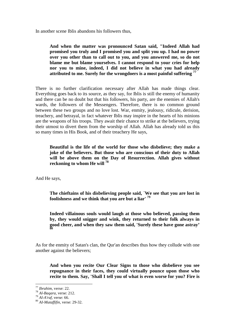In another scene Iblis abandons his followers thus,

**And when the matter was pronounced Satan said, "Indeed Allah had promised you truly and I promised you and split you up. I had no power over you other than to call out to you, and you answered me, so do not blame me but blame yourselves. I cannot respond to your cries for help nor you to mine, indeed, I did not believe in what you had already attributed to me. Surely for the wrongdoers is a most painful suffering [77](#page-29-0)**

There is no further clarification necessary after Allah has made things clear. Everything goes back to its source, as they say, for Iblis is still the enemy of humanity and there can be no doubt but that his followers, his party, are the enemies of Allah's wards, the followers of the Messengers. Therefore, there is no common ground between these two groups and no love lost. War, enmity, jealousy, ridicule, derision, treachery, and betrayal, in fact whatever Iblis may inspire in the hearts of his minions are the weapons of his troops. They await their chance to strike at the believers, trying their utmost to divert them from the worship of Allah. Allah has already told us this so many times in His Book, and of their treachery He says,

**Beautiful is the life of the world for those who disbelieve; they make a joke of the believers. But those who are conscious of their duty to Allah will be above them on the Day of Resurrection. Allah gives without reckoning to whom Hewill <sup>78</sup>**

And He says,

**The chieftains of his disbelieving people said, `We see that you are lost in foolishness and we think that you are but aliar' <sup>79</sup>**

**Indeed villainous souls would laugh at those who believed, passing them by, they would snigger and wink, they returned to their folk always in good cheer, and when they saw them said, 'Surely these have gone astray' [80](#page-29-3)**

As for the enmity of Satan's clan, the Qur'an describes thus how they collude with one another against the believers;

**And when you recite Our Clear Signs to those who disbelieve you see repugnance in their faces, they could virtually pounce upon those who recite to them. Say, 'Shall I tell you of what is even worse for you? Fire is**

<span id="page-29-0"></span><sup>77</sup> *Ibrahim,* verse: 22.

<span id="page-29-1"></span><sup>78</sup> *Al-Baqara,* verse: 212.

<span id="page-29-2"></span><sup>79</sup> *Al-A'raf,* verse: 66.

<span id="page-29-3"></span><sup>80</sup> *AI-Mutaffifin,* verse: 29-32.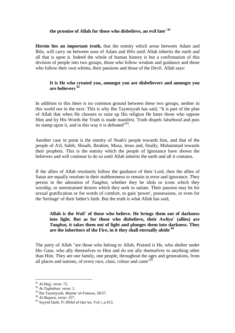#### **the promise of Allah for those who disbelieve, an evilfate' <sup>81</sup>**

**Herein lies an important truth,** that the enmity which arose between Adam and Iblis, will carry on between sons of Adam and *Iblis* until Allah inherits the earth and all that is upon it. Indeed the whole of human history is but a confirmation of this division of people into two groups, those who follow wisdom and guidance and those who follow their own whims, their passions and those of the Devil. Allah says:

#### **It is He who created you, amongst you are disbelievers and amongst you are believers [82](#page-30-1)**

In addition to this there is no common ground between these two groups, neither in this world nor in the next. This is why Ibn Taymiyyah has said, "It is part of the plan of Allah that when He chooses to raise up His religion He bates those who oppose Him and by His Words the Truth is made manifest. Truth dispels falsehood and puts its stamp upon it, and in this way it is defeated" $^{83}$  $^{83}$  $^{83}$ .

Another case in point is the enmity of Noah's people towards him, and that of the people of A'd, Saleh, Shuaib, Ibrahim, Musa, Jesus and, finally, Muhammad towards their prophets. This is the enmity which the people of Ignorance have shown the believers and will continue to do so until Allah inherits the earth and all it contains.

If the allies of Allah resolutely follow the guidance of their Lord, then the allies of Satan are equally resolute in their stubbornness to remain in error and ignorance. They persist in the adoration of *Taaghut,* whether they be idols or icons which they worship, or unrestrained desires which they seek to satiate. Their passion may be for sexual gratification or for words of comfort, to gain 'power', possessions, or even for the 'heritage' of their father's faith. But the truth is what Allah has said,

#### **Allah is the** *Wali'* **of those who believe. He brings them out of darkness into light. But as for those who disbelieve, their** *Awliya'* **(allies) are** *Taaghut,* **it takes them out of light and plunges them into darkness. They are the inheritors of the Fire, in it they shall eternally abide [84](#page-30-3)**

The party of Allah "are those who belong to Allah, Praised is He, who shelter under His Gaze, who ally themselves to Him and do not ally themselves to anything other than Him. They are one family, one people, throughout the ages and generations, from all places and nations, of every race, class, colour and caste"[85](#page-30-4)

<span id="page-30-0"></span><sup>81</sup> *Al-Hajj,* verse: 72.

<span id="page-30-1"></span><sup>82</sup> *At-Taghabun,* verse: 2.

<span id="page-30-2"></span><sup>83</sup> Ibn Taymiyyah, *Majmu' al-Fatawa,* 28/57.

<span id="page-30-3"></span><sup>84</sup> *Al-Baqara,* verse: 257.

<span id="page-30-4"></span><sup>85</sup> Sayyid Qutb, *Fi Zhilal al-Qur'an,* Vol.!, p.413.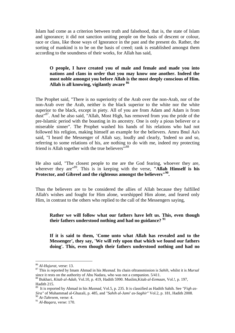Islam had come as a criterion between truth and falsehood, that is, the state of Islam and ignorance; it did not sanction uniting people on the basis of descent or colour, race or class, like those ways of Ignorance in the past and the present do. Rather, the sorting of mankind is to be on the basis of creed; rank is established amongst them according to the soundness of their works, for Allah has said,

#### **O people, I have created you of male and female and made you into nations and clans in order that you may know one another. Indeed the most noble amongst you before Allah is the most deeply conscious of Him. Allah is all knowing, vigilantly aware [86](#page-31-0)**

The Prophet said, "There is no superiority of the Arab over the non-Arab, nor of the non-Arab over the Arab, neither is the black superior to the white nor the white superior to the black, except in piety. All of you are from Adam and Adam is from dust"[87](#page-31-1). And he also said, "Allah, Most High, has removed from you the pride of the pre-Islamic period with the boasting in its ancestry. One is only a pious believer or a miserable sinner". The Prophet washed his hands of his relations who had not followed his religion, making himself an example for the believers. Amru Bnul Aa's said, "I heard the Messenger of Allah say, loudly and clearly, 'Indeed so and so, referring to some relations of his, are nothing to do with me, indeed my protecting friend is Allah together with the true believers<sup>"[88](#page-31-2)</sup>

He also said, "The closest people to me are the God fearing, whoever they are, whereverthey are<sup>189</sup>. This is in keeping with the verse, **"Allah Himself is his** Protector, and Gibreel and the righteous amongst the believers"<sup>[90](#page-31-4)</sup>.

Thus the believers are to be considered the allies of Allah because they fulfilled Allah's wishes and fought for Him alone, worshipped Him alone, and feared only Him, in contrast to the others who replied to the call of the Messengers saying,

#### **Rather we will follow what our fathers have left us. This, even though their fathers understood nothing and had no guidance? [91](#page-31-5)**

**If it is said to them, 'Come unto what Allah has revealed and to the Messenger', they say, 'We will rely upon that which we found our fathers doing'. This, even though their fathers understood nothing and had no**

<span id="page-31-0"></span><sup>86</sup> *Al-Hujurat,* verse: 13.

<span id="page-31-1"></span><sup>87</sup> This is reported by Imam Ahmad in his *Musnad.* Its chain oftransmission is *Sahih,* whilst it is *Mursal* since it rests on the authority of Abu Nadara, who was not a companion. 5/411.

<span id="page-31-2"></span><sup>88</sup> Bukhari, *Kitab al-Adab,* Vol.10, p. 419, Hadith 5990. Muslim,Kitab *al-Eemaan,* Vol.!, p. 197, Hadith 215.

<span id="page-31-3"></span><sup>89</sup> It is reported by Ahmad in his *Musnad,* Vol.5, p. 235. It is classified as Hadith Sahih. See *"Fiqh as-Sira"* of Muhammad al-Ghazali, p. 485, and *"Sahih al-Jami' as-Saghir"* Vol.2, p. 181, Hadith 2008. <sup>9</sup> *At-Tahreem, verse: 4.* 

<span id="page-31-5"></span><span id="page-31-4"></span><sup>91</sup> *Al-Baqara,* verse: 170.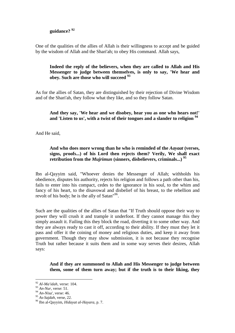### **guidance? [92](#page-32-0)**

One of the qualities of the allies of Allah is their willingness to accept and be guided by the wisdom of Allah and the Shari'ah; to obey His command. Allah says,

#### **Indeed the reply of the believers, when they are called to Allah and His Messenger to judge between themselves, is only to say, 'We hear and obey. Such are those who will succeed [93](#page-32-1)**

As for the allies of Satan, they are distinguished by their rejection of Divine Wisdom and of the Shari'ah, they follow what they like, and so they follow Satan.

#### **And they say, 'We hear and we disobey, hear you as one who hears not!' and 'Listen to us', with a twist of their tongues and a slander to religion [94](#page-32-2)**

And He said,

#### **And who does more wrong than he who is reminded of the** *Aayaat* **(verses, signs, proofs...) of his Lord then rejects them? Verily, We shall exact retribution from the** *Mujrimun* **(sinners, disbelievers, criminals...) [95](#page-32-3)**

Ibn al-Qayyim said, "Whoever denies the Messenger of Allah; withholds his obedience, disputes his authority, rejects his religion and follows a path other than his, fails to enter into his compact, cedes to the ignorance in his soul, to the whim and fancy of his heart, to the disavowal and disbelief of his breast, to the rebellion and revolt of his body; he is the ally of Satan"<sup>[96](#page-32-4)</sup>.

Such are the qualities of the allies of Satan that "If Truth should oppose their way to power they will crush it and trample it underfoot. If they cannot manage this they simply assault it. Failing this they block the road, diverting it to some other way. And they are always ready to cast it off, according to their ability. If they must they let it pass and offer it the coining of money and religious duties, and keep it away from government. Though they may show submission, it is not because they recognise Truth but rather because it suits them and in some way serves their desires, Allah says:

**And if they are summoned to Allah and His Messenger to judge between them, some of them turn away; but if the truth is to their liking, they**

<span id="page-32-0"></span><sup>92</sup> *Al-Ma'idah,* verse: 104.

<span id="page-32-1"></span><sup>&</sup>lt;sup>93</sup> *An-Nur*, verse: 51.

<span id="page-32-2"></span><sup>94</sup> *An-Nisa'*, verse: 46.

<span id="page-32-3"></span><sup>95</sup> *As-Sajdah,* verse, 22.

<span id="page-32-4"></span><sup>96</sup> Ibn al-Qayyim, *Hidayat al-Hayara,* p. 7.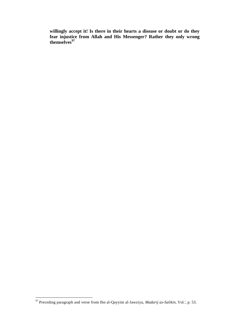**willingly accept it! Is there in their hearts a disease or doubt or do they fear injustice from Allah and His Messenger? Rather they only wrong themselves[97](#page-33-0)**

<span id="page-33-0"></span><sup>97</sup> Preceding paragraph and verse from Ibn al-Qayyim al-Jawziya, *Madarij as-Salikin,* Vol.', p. 53.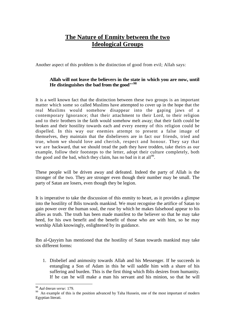## **The Nature of Enmity between the two Ideological Groups**

Another aspect of this problem is the distinction of good from evil; Allah says:

#### **Allah will not leave the believers in the state in which you are now, until He distinguishes the bad from the good"'[98](#page-34-0)**

It is a well known fact that the distinction between these two groups is an important matter which some so called Muslims have attempted to cover up in the hope that the real Muslims would somehow disappear into the gaping jaws of a contemporary Ignorance; that their attachment to their Lord, to their religion and to their brothers in the faith would somehow melt away; that their faith could be broken and their hostility towards each and every enemy of this religion could be dispelled. In this way our enemies attempt to present a false image of themselves, they maintain that the disbelievers are in fact our friends, tried and true, whom we should love and cherish, respect and honour. They say that we are backward, that we should tread the path they have trodden, take theirs as our example, follow their footsteps to the letter, adopt their culture completely, both thegood and the bad, which they c[l](#page-34-1)aim, has no bad in it at all<sup>99</sup>.

These people will be driven away and defeated. Indeed the party of Allah is the stronger of the two. They are stronger even though their number may be small. The party of Satan are losers, even though they be legion.

It is imperative to take the discussion of this enmity to heart, as it provides a glimpse into the hostility of Iblis towards mankind. We must recognise the artifice of Satan to gain power over the human soul, the ruse by which he makes falsehood appear to his allies as truth. The truth has been made manifest to the believer so that he may take heed, for his own benefit and the benefit of those who are with him, so he may worship Allah knowingly, enlightened by its guidance.

Ibn al-Qayyim has mentioned that the hostility of Satan towards mankind may take six different forms:

1. Disbelief and animosity towards Allah and his Messenger. If he succeeds in entangling a Son of Adam in this he will saddle him with a share of his suffering and burden. This is the first thing which Iblis desires from humanity. If he can he will make a man his servant and his minion, so that he will

<span id="page-34-0"></span><sup>98</sup> *Aal-Imran verse:* 179.

<span id="page-34-1"></span><sup>&</sup>lt;sup>99</sup> An example of this is the position advanced by Taha Hussein, one of the most important of modern Egyptian literati.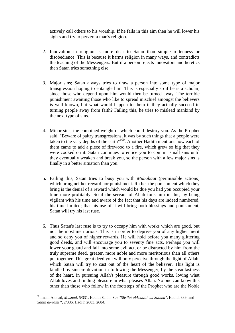actively call others to his worship. If he fails in this aim then he will lower his sights and try to pervert a man's religion.

- 2. Innovation in religion is more dear to Satan than simple rottenness or disobedience. This is because it harms religion in many ways, and contradicts the teaching of the Messengers. But if a person rejects innovators and heretics then Satan tries something else.
- 3. Major sins; Satan always tries to draw a person into some type of major transgression hoping to entangle him. This is especially so if he is a scholar, since those who depend upon him would then be turned away. The terrible punishment awaiting those who like to spread mischief amongst the believers is well known, but what would happen to them if they actually succeed in turning people away from faith? Failing this, he tries to mislead mankind by the next type of sins.
- 4. Minor sins; the combined weight of which could destroy you. As the Prophet said, "Beware of paltry transgressions, it was by such things that a people were taken to the very depths of the earth"[100](#page-35-0). Another Hadith mentions how each of them came to add a piece of firewood to a fire, which grew so big that they were cooked on it. Satan continues to entice you to commit small sins until they eventually weaken and break you, so the person with a few major sins is finally in a better situation than you.
- 5. Failing this, Satan tries to busy you with *Mubahaat* (permissible actions) which bring neither reward nor punishment. Rather the punishment which they bring is the denial of a reward which would be due you had you occupied your time more profitably. So if the servant of Allah foils him in this, by being vigilant with his time and aware of the fact that his days are indeed numbered, his time limited; that his use of it will bring both blessings and punishment, Satan will try his last ruse.
- 6. Thus Satan's last ruse is to try to occupy him with works which are good, but not the most meritorious. This is in order to deprive you of any higher merit and so deny you of higher rewards. He will hold before you many glittering good deeds, and will encourage you to seventy fine acts. Perhaps you will lower your guard and fall into some evil act, or be distracted by him from the truly supreme deed, greater, more noble and more meritorious than all others put together. This great deed you will only perceive through the light of Allah, which Satan will try to cast out of the heart of the believer. This light is kindled by sincere devotion in following the Messenger, by the steadfastness of the heart, in pursuing Allah's pleasure through good works, loving what Allah loves and finding pleasure in what pleases Allah. No one can know this other than those who follow in the footsteps of the Prophet who are the Noble

<span id="page-35-0"></span><sup>100</sup> Imam Ahmad, *Musnad,* 5/331, Hadith Sahih. See *"Silsilat alAhadith as-Sahiha",* Hadith 389, and *"Sahih al-Jami"',* 2/386, Hadith 2683, 2684.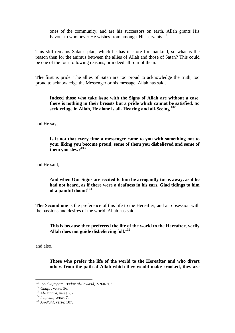ones of the community, and are his successors on earth. Allah grants His Favour to whomever He wishes from amongst His servants $^{101}$  $^{101}$  $^{101}$ .

This still remains Satan's plan, which he has in store for mankind, so what is the reason then for the animus between the allies of Allah and those of Satan? This could be one of the four following reasons, or indeed all four of them.

**The first** is pride. The allies of Satan are too proud to acknowledge the truth, too proud to acknowledge the Messenger or his message. Allah has said,

**Indeed those who take issue with the Signs of Allah are without a case, there is nothing in their breasts but a pride which cannot be satisfied. So seek refuge in Allah, He alone is all- Hearing and all-Seeing [102](#page-36-1)**

and He says,

**Is it not that every time a messenger came to you with something not to your liking you become proud, some of them you disbelieved and some of them you slew?[103](#page-36-2)**

and He said,

#### **And when Our Signs are recited to him he arrogantly turns away, as if he had not heard, as if there were a deafness in his ears. Glad tidings to him of a painful doom![104](#page-36-3)**

**The Second one** is the preference of this life to the Hereafter, and an obsession with the passions and desires of the world. Allah has said,

**This is because they preferred the life of the world to the Hereafter, verily Allah does not guide disbelievingfol[k](#page-36-4)<sup>105</sup>**

and also,

**Those who prefer the life of the world to the Hereafter and who divert others from the path of Allah which they would make crooked, they are**

<span id="page-36-0"></span><sup>101</sup> Ibn al-Qayyim, *Badai' al-Fawa'id,* 2/260-262.

<span id="page-36-1"></span><sup>102</sup> *Ghafir,* verse: 56.

<span id="page-36-2"></span><sup>103</sup> *Al-Baqara,* verse: 87.

<span id="page-36-3"></span><sup>104</sup> *Luqman,* verse: 7.

<span id="page-36-4"></span><sup>105</sup> *An-Nahl,* verse: 107.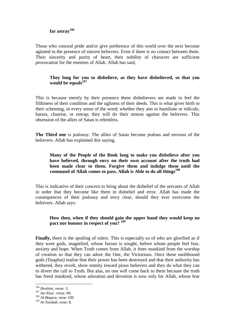# **far astray[106](#page-37-0)**

Those who conceal pride and/or give preference of this world over the next become agitated in the presence of sincere believers. Even if there is no contact between them. Their sincerity and purity of heart, their nobility of character are sufficient provocation for the enemies of Allah. Allah has said,

#### **They long for you to disbelieve, as they have disbelieved, so that you would be equals[107](#page-37-1)**

This is because merely by their presence these disbelievers are made to feel the filthiness of their condition and the ugliness of their deeds. This is what gives birth to their scheming, in every sense of the word; whether they aim to humiliate or ridicule, harass, chastise, or entrap; they will do their utmost against the believers. This obsession of the allies of Satan is relentless.

**The Third one** is jealousy. The allies of Satan become jealous and envious of the believers. Allah has explained this saying,

#### **Many of the People of the Book long to make you disbelieve after you have believed, through envy on their own account after the truth had been made clear to them. Forgive them and indulge them until the command of Allah comes to pass. Allah is Able to do all things[108](#page-37-2)**

This is indicative of their concern to bring about the disbelief of the servants of Allah in order that they become like them in disbelief and error. Allah has made the consequences of their jealousy and envy clear, should they ever overcome the believers. Allah says:

#### **How then, when if they should gain the upper hand they would keep no pact nor honour in respect of you? [109](#page-37-3)**

Finally, there is the spoiling of rulers. This is especially so of who are glorified as if they were gods, magnified, whose favour is sought, before whom people feel fear, anxiety and hope. When Truth comes from Allah, it frees mankind from the worship of creation so that they can adore the One, the Victorious. Once these earthbound gods *(Taaghut)* realise that their power has been destroyed and that their authority has withered, they revolt, show enmity toward pious believers and they do what they can to divert the call to Truth. But alas, no one will come back to them because the truth has freed mankind, whose adoration and devotion is now only for Allah, whose fear

<span id="page-37-0"></span><sup>106</sup> *Ibrahim,* verse: 3.

<span id="page-37-1"></span><sup>107</sup> *An-Nisa',* verse: 89.

<span id="page-37-2"></span><sup>108</sup> *Al-Baqara,* verse: 109

<span id="page-37-3"></span><sup>109</sup> *At-Tawbah,* verse: 8.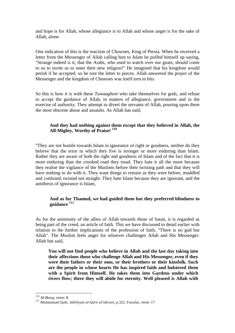and hope is for Allah, whose allegiance is to Allah and whose anger is for the sake of Allah, alone.

One indication of this is the reaction of Chosroes, King of Persia. When he received a letter from the Messenger of Allah calling him to Islam he puffed himself up saying, "Strange indeed is it, that the Arabs, who used to watch over our goats, should come to us to invite us to enter their new religion!" He imagined that his kingdom would perish if he accepted, so he tore the letter to pieces. Allah answered the prayer of the Messenger and the kingdom of Chosroes was itself torn to bits.

So this is how it is with these *Tawaagheet* who take themselves for gods, and refuse to accept the guidance of Allah, in matters of allegiance, government and in the exercise of authority. They attempt to divert the servants of Allah, pouring upon them the most obscene abuse and assaults. As Allah has said,

#### **And they had nothing against them except that they believed in Allah, the All-Mighty, Worthy of Praise! [110](#page-38-0)**

"They are not hostile towards Islam in ignorance of right or goodness, neither do they believe that the error in which they live is stronger or more enduring than Islam. Rather they are aware of both the right and goodness of Islam and of the fact that it is more enduring than the crooked road they tread. They hate it all the more because they realise the vigilance of the Muslims before their twisting path and that they will have nothing to do with it. They want things to remain as they were before, muddled and confused, twisted not straight. They hate Islam because they are ignorant, and the antithesis of ignorance is Islam,

#### **And as for Thamud, we had guided them but they preferred blindness to guidance [111](#page-38-1)**

As for the animosity of the allies of Allah towards those of Satan, it is regarded as being part of the creed, an article of faith. This we have discussed in detail earlier with relation to the further implications of the profession of faith, "There is no god but Allah". The Muslim feels anger for whoever challenges Allah and His Messenger. Allah has said,

**You will not find people who believe in Allah and the last day taking into their affections those who challenge Allah and His Messenger, even if they were their fathers or their sons, or their brothers or their kinsfolk. Such are the people in whose hearts He has inspired faith and bolstered them with a Spirit from Himself. He takes them into Gardens under which rivers flow; there they will abide for eternity. Well pleased is Allah with**

<span id="page-38-0"></span><sup>110</sup> *AI-Buruj,* verse: 8.

<span id="page-38-1"></span><sup>111</sup> Muhammad Qutb, *Jahiliyyat al-Qarn al'ishreen,* p.322. *Fussilat,* verse: 17.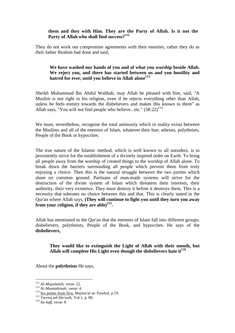#### **them and they with Him. They are the Party of Allah. Is it not the Party of Allah who shall find success?[112](#page-39-0)**

They do not work out compromise agreements with their enemies, rather they do as their father Ibrahim had done and said,

#### **We have washed our hands of you and of what you worship beside Allah. We reject you, and there has started between us and you hostility and hatred for ever, until you believe in Allah alone[113](#page-39-1)**

Sheikh Muhammad Ibn Abdul Wahhab, may Allah be pleased with him, said, "A Muslim is not right in his religion, even if he rejects everything other than Allah, unless he feels enmity towards the disbelievers and makes this known to them" as Allah says, "You will not find people who believe.. etc."  $(58:22)^{114}$  $(58:22)^{114}$  $(58:22)^{114}$ 

We must, nevertheless, recognise the total animosity which in reality exists between the Muslims and all of the enemies of Islam, whatever their hue; atheists, polytheists, People of the Book or hypocrites.

The true nature of the Islamic method, which is well known to all outsiders, is to persistently strive for the establishment of a divinely inspired order on Earth. To bring all people away from the worship of created things to the worship of Allah alone. To break down the barriers surrounding all people which prevent them from truly enjoying a choice. Then this is the natural struggle between the two parties which share no common ground. Partisans of man-made systems will strive for the destruction of the divine system of Islam which threatens their interests, their authority, their very existence. They must destroy it before it destroys them. This is a necessity that tolerates no choice between this and that. This is clearly stated in the Qur'an where Allah says, **(They will continue to fight you until they turn you away from your religion, if they are able)[115](#page-39-3) .**

Allah has mentioned in the Qur'an that the enemies of Islam fall into different groups; disbelievers, polytheists, People of the Book, and hypocrites. He says of the **disbelievers,**

#### **They would like to extinguish the Light of Allah with their mouth, but Allah will complete His Light even though the disbelievers hateit<sup>116</sup>**

About the **polytheists** He says,

<span id="page-39-0"></span><sup>112</sup> *Al-Mujadalah,* verse: 22.

<span id="page-39-1"></span><sup>113</sup> *Al-Mumtahinah,* verse: 4.

<span id="page-39-3"></span><span id="page-39-2"></span><sup>114</sup> Six points from Sira, *Majmu'at at-Tawhid,* p.19.

<span id="page-39-4"></span><sup>115</sup> *Tareeq ad-Da'wah,* Vol.1, p. 80.

<sup>116</sup> *As-Saff,* verse: 8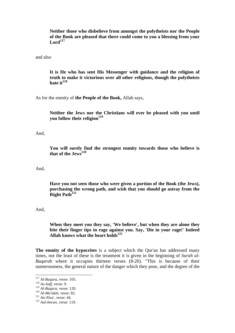**Neither those who disbelieve from amongst the polytheists nor the People of the Book are pleased that there could come to you a blessing from your Lord[117](#page-40-0)**

and also

**It is He who has sent His Messenger with guidance and the religion of truth to make it victorious over all other religions, though the polytheists hatei[t](#page-40-1)<sup>118</sup>**

As for the enmity of **the People of the Book,** Allah says,

**Neither the Jews nor the Christians will ever be pleased with you until you follow their religion[119](#page-40-2)**

And,

**You will surely find the strongest enmity towards those who believe is that of the Jews[120](#page-40-3)**

And,

**Have you not seen those who were given a portion of the Book (the Jews), purchasing the wrong path, and wish that you should go astray from the Right Path[121](#page-40-4)**

And,

**When they meet you they say, 'We believe', but when they are alone they bite their finger tips in rage against you. Say, 'Die in your rage!' Indeed Allah knows what the heart holds[122](#page-40-5)**

**The enmity of the hypocrites** is a subject which the Qur'an has addressed many times, not the least of these is the treatment it is given in the beginning of *Surah al-Baqarah* where it occupies thirteen verses (8-20). "This is because of their numerousness, the general nature of the danger which they pose, and the degree of the

<span id="page-40-0"></span><sup>117</sup> *Al-Baqara,* verse: 105.

<span id="page-40-1"></span><sup>118</sup> *As-Saff,* verse: 9.

<span id="page-40-2"></span><sup>119</sup> *Al-Baqara,* verse: 120.

<span id="page-40-3"></span><sup>120</sup> *Al-Ma'idah,* verse: 82.

<span id="page-40-4"></span><sup>121</sup> *An-Nisa',* verse: 44.

<span id="page-40-5"></span><sup>122</sup> *Aal-Imran,* verse: 119.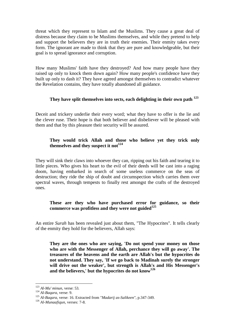threat which they represent to Islam and the Muslims. They cause a great deal of distress because they claim to be Muslims themselves, and while they pretend to help and support the believers they are in truth their enemies. Their enmity takes every form. The ignorant are made to think that they are pure and knowledgeable, but their goal is to spread ignorance and corruption.

How many Muslims' faith have they destroyed? And how many people have they raised up only to knock them down again? How many people's confidence have they built up only to dash it? They have agreed amongst themselves to contradict whatever the Revelation contains, they have totally abandoned all guidance.

#### **They have split themselves into sects, each delighting in their own path [123](#page-41-0)**

Deceit and trickery underlie their every word; what they have to offer is the lie and the clever ruse. Their hope is that both believer and disbeliever will be pleased with them and that by this pleasure their security will be assured.

#### **They would trick Allah and those who believe yet they trick only themselves and they suspectitnot<sup>124</sup>**

They will sink their claws into whoever they can, ripping out his faith and tearing it to little pieces. Who gives his heart to the evil of their deeds will be cast into a raging doom, having embarked in search of some useless commerce on the seas of destruction; they ride the ship of doubt and circumspection which carries them over spectral waves, through tempests to finally rest amongst the crafts of the destroyed ones.

### **These are they who have purchased error for guidance, so their commerce was profitless and they were not guided[125](#page-41-2)**

An entire *Surah* has been revealed just about them, "The Hypocrites". It tells clearly of the enmity they hold for the believers, Allah says:

**They are the ones who are saying, 'Do not spend your money on those who are with the Messenger of Allah, perchance they will go away'. The treasures of the heavens and the earth are Allah's but the hypocrites do not understand. They say, 'If we go back to Madinah surely the stronger will drive out the weaker', but strength is Allah's and His Messenger's and the believers,' but the hypocrites do not know[126](#page-41-3)**

<span id="page-41-0"></span><sup>123</sup> *Al-Mu' minun,* verse: 53.

<span id="page-41-1"></span><sup>124</sup> *Al-Baqara,* verse: 9.

<span id="page-41-2"></span><sup>125</sup> *Al-Baqara,* verse: 16. Extracted from *"Madarij as-Salikeen",* p.347-349.

<span id="page-41-3"></span><sup>126</sup> *Al-Munaafiqun,* verses: 7-8.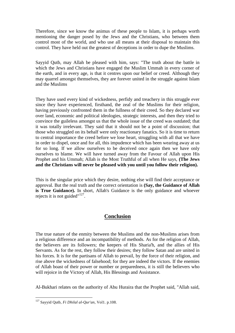Therefore, since we know the animus of these people to Islam, it is perhaps worth mentioning the danger posed by the Jews and the Christians, who between them control most of the world, and who use all means at their disposal to maintain this control. They have held out the greatest of deceptions in order to dupe the Muslims.

Sayyid Qutb, may Allah be pleased with him, says: "The truth about the battle in which the Jews and Christians have engaged the Muslim Ummah in every corner of the earth, and in every age, is that it centres upon our belief or creed. Although they may quarrel amongst themselves, they are forever united in the struggle against Islam and the Muslims

They have used every kind of wickedness, perfidy and treachery in this struggle ever since they have experienced, firsthand, the zeal of the Muslims for their religion, having previously confronted them in the fullness of their creed. So they declared war over land, economic and political ideologies, strategic interests, and then they tried to convince the guileless amongst us that the whole issue of the creed was outdated; that it was totally irrelevant. They said that it should not be a point of discussion; that those who struggled on its behalf were only reactionary fanatics. So it is time to return to central importance the creed before we lose heart, struggling with all that we have in order to dispel, once and for all, this impudence which has been wearing away at us for so long. If we allow ourselves to be deceived once again then we have only ourselves to blame. We will have turned away from the Favour of Allah upon His Prophet and his Ummah; Allah is the Most Truthful of all when He says, **(The Jews and the Christians will never be pleased with you until you follow their religion).**

This is the singular price which they desire, nothing else will find their acceptance or approval. But the real truth and the correct orientation is **(Say, the Guidance of Allah is True Guidance).** In short, Allah's Guidance is the only guidance and whoever rejects it is not guided" $127$ .

### **Conclusion**

The true nature of the enmity between the Muslims and the non-Muslims arises from a religious difference and an incompatibility of methods. As for the religion of Allah, the believers are its followers; the keepers of His Sharia'h, and the allies of His Servants. As for the rest, they follow their desires; they follow Satan and are united in his forces. It is for the partisans of Allah to prevail, by the force of their religion, and rise above the wickedness of falsehood; for they are indeed the victors. If the enemies of Allah boast of their power or number or preparedness, it is still the believers who will rejoice in the Victory of Allah, His Blessings and Assistance.

Al-Bukhari relates on the authority of Abu Huraira that the Prophet said, "Allah said,

<span id="page-42-0"></span><sup>127</sup> Sayyid Qutb, *Fi Dhilal al-Qur'an,* Vol1. p.108.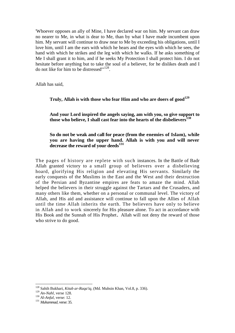'Whoever opposes an ally of Mine, I have declared war on him. My servant can draw no nearer to Me, in what is dear to Me, than by what I have made incumbent upon him. My servant will continue to draw near to Me by exceeding his obligations, until I love him, until I am the ears with which he hears and the eyes with which he sees, the hand with which he strikes and the leg with which he walks. If he asks something of Me I shall grant it to him, and if he seeks My Protection I shall protect him. I do not hesitate before anything but to take the soul of a believer, for he dislikes death and I do not like for him to be distressed'"[128](#page-43-0) .

Allah has said,

**Truly, Allah is with those who fear Him and who are doers of good[129](#page-43-1)**

**And your Lord inspired the angels saying, am with you, so give support to those who believe, I shall cast fear into the hearts of the disbelievers[130](#page-43-2)**

#### **So do not be weak and call for peace (from the enemies of Islam), while you are having the upper hand. Allah is with you and will never decrease the reward of your deeds[131](#page-43-3)**

The pages of history are replete with such instances. In the Battle of Badr Allah granted victory to a small group of believers over a disbelieving hoard, glorifying His religion and elevating His servants. Similarly the early conquests of the Muslims in the East and the West and their destruction of the Persian and Byzantine empires are feats to amaze the mind. Allah helped the believers in their struggle against the Tartars and the Crusaders, and many others like them, whether on a personal or communal level. The victory of Allah, and His aid and assistance will continue to fall upon the Allies of Allah until the time Allah inherits the earth. The believers have only to believe in Allah and to work sincerely for His pleasure alone. To act in accordance with His Book and the Sunnah of His Prophet. Allah will not deny the reward of those who strive to do good.

<span id="page-43-0"></span><sup>128</sup> Sahih Bukhari, *Kitab ar-Raqa'iq,* (Md. Muhsin Khan, Vol.8, p. 336).

<span id="page-43-1"></span><sup>129</sup> *An-Nahl,* verse 128.

<span id="page-43-2"></span><sup>&</sup>lt;sup>130</sup> *Al-Anfal*, verse: 12.

<span id="page-43-3"></span><sup>131</sup> *Muhammad,* verse: 35.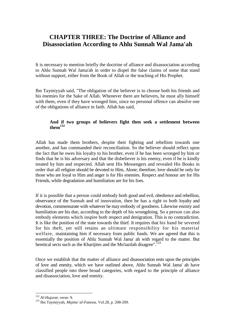# **CHAPTER THREE: The Doctrine of Alliance and Disassociation According to Ahlu Sunnah Wal Jama'ah**

It is necessary to mention briefly the doctrine of alliance and disassociation according to Ahlu Sunnah Wal Jama'ah in order to dispel the false claims of some that stand without support, either from the Book of Allah or the teaching of His Prophet.

Ibn Taymiyyah said, "The obligation of the believer is to choose both his friends and his enemies for the Sake of Allah. Whenever there are believers, he must ally himself with them, even if they have wronged him, since no personal offence can absolve one of the obligations of alliance in faith. Allah has said,

#### **And if two groups of believers fight then seek a settlement between them[132](#page-44-0)**

Allah has made them brothers, despite their fighting and rebellion towards one another, and has commanded their reconciliation. So the believer should reflect upon the fact that he owes his loyalty to his brother, even if he has been wronged by him or finds that he is his adversary and that the disbeliever is his enemy, even if he is kindly treated by him and respected. Allah sent His Messengers and revealed His Books in order that all religion should be devoted to Him, Alone; therefore, love should be only for those who are loyal to Him and anger is for His enemies. Respect and honour are for His Friends, while degradation and humiliation are for his foes.

If it is possible that a person could embody both good and evil, obedience and rebellion, observance of the Sunnah and of innovation, then he has a right to both loyalty and devotion, commensurate with whatever he may embody of goodness. Likewise enmity and humiliation are his due, according to the depth of his wrongdoing. So a person can also embody elements which inspire both respect and denigration. This is no contradiction. It is like the position of the state towards the thief. It requires that his hand be severed for his theft, yet still retains an ultimate responsibility for his material welfare, maintaining him if necessary from public funds. We are agreed that this is essentially the position of Ahlu Sunnah Wal Jama' ah with regard to the matter. But heretical sects such as the Kharijites and the Mu'tazilah disagree".<sup>[133](#page-44-1)</sup>

Once we establish that the matter of alliance and disassociation rests upon the principles of love and enmity, which we have outlined above, Ahlu Sunnah Wal Jama' ah have classified people into three broad categories, with regard to the principle of alliance and disassociation, love and enmity.

<span id="page-44-0"></span><sup>132</sup> *Al-Hujurat,* verse: 9.

<span id="page-44-1"></span><sup>133</sup> Ibn Taymiyyah, *Majmu' al-Fatawa,* Vol.28, p. 208-209.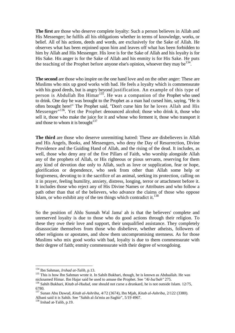**The first** are those who deserve complete loyalty: Such a person believes in Allah and His Messenger; he fulfils all his obligations whether in terms of knowledge, works, or belief. All of his actions, deeds and words, are exclusively for the Sake of Allah. He observes what has been enjoined upon him and leaves off what has been forbidden to him by Allah and His Messenger. His love is for the Sake of Allah and his loyalty is for His Sake. His anger is for the Sake of Allah and his enmity is for His Sake. He puts thet[e](#page-45-0)aching of the Prophet before anyone else's opinion, whoever they may be  $134$ .

**The second** are those who inspire on the one hand love and on the other anger: These are Muslims who mix up good works with bad. He feels a loyalty which is commensurate with his good deeds, but is angry beyond justification. An example of this type of person is Abdullah Ibn Himar<sup>[135](#page-45-1)</sup>. He was a companion of the Prophet who used to drink. One day he was brought to the Prophet as a man had cursed him, saying, "He is often brought here!" The Prophet said, "Don't curse him for he loves Allah and His Messenger<sup>"[136](#page-45-2)</sup>. Yet the Prophet denounced alcohol; those who drink it, those who sell it, those who make the juice for it and whose who ferment it, those who transport it and those to whom it is brought $137$ 

**The third** are those who deserve unremitting hatred: These are disbelievers in Allah and His Angels, Books, and Messengers, who deny the Day of Resurrection, Divine Providence and the Guiding Hand of Allah, and the rising of the dead. It includes, as well, those who deny any of the five Pillars of Faith, who worship alongside Allah any of the prophets of Allah, or His righteous or pious servants, reserving for them any kind of devotion due only to Allah, such as love or supplication, fear or hope, glorification or dependence, who seek from other than Allah some help or forgiveness, devoting to it the sacrifice of an animal, seeking its protection, calling on it in prayer, feeling humility, anxiety, distress, longing, terror or attachment before it. It includes those who reject any of His Divine Names or Attributes and who follow a path other than that of the believers, who advance the claims of those who oppose Islam,or who exhibit any of the ten things which contradict it. $138$ 

So the position of Ahlu Sunnah Wal Jama' ah is that the believers' complete and unreserved loyalty is due to those who do good actions through their religion. To these they owe their love and support, their unqualified assistance. They completely disassociate themselves from those who disbelieve, whether atheists, followers of other religions or apostates, and show them uncompromising sternness. As for those Muslims who mix good works with bad, loyalty is due to them commensurate with their degree of faith; enmity commensurate with their degree of wrongdoing.

<span id="page-45-4"></span>Albani said it is Sahih. See "Sahih al-Ja'miu as-Saghir", 5/19 4967.

<span id="page-45-1"></span><span id="page-45-0"></span><sup>134</sup> Ibn Sahman, *Irshad at-Talib,* p.13.

<sup>&</sup>lt;sup>135</sup> This is how Ibn Sahman wrote it. In Sahih Bukhari, though, he is known as Abduallah. He was nicknamed Himar. Ibn Hajar said he used to amuse the Prophet. See *"Al-Isa'bah"* 275.

<span id="page-45-2"></span><sup>&</sup>lt;sup>136</sup> Sahih Bukhari, *Kitab al-Hudud*, one should not curse a drunkard, he is not outside Islam. 12/75, 6780.

<span id="page-45-3"></span><sup>137</sup> Sunan Abu Dawud, *Kitab al-Ashriba,* 4/72 (3674), Ibn Mjah, *Kitab al-Ashriba,* 2/122 (3380).

 $\frac{138}{138}$  Irshad at-Talib, p.19.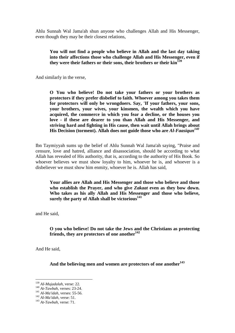Ahlu Sunnah Wal Jama'ah shun anyone who challenges Allah and His Messenger, even though they may be their closest relations,

**You will not find a people who believe in Allah and the last day taking into their affections those who challenge Allah and His Messenger, even if they were their fathers or their sons, their brothers or theirki[n](#page-46-0)<sup>139</sup>**

And similarly in the verse,

**O You who believe! Do not take your fathers or your brothers as protectors if they prefer disbelief to faith. Whoever among you takes them for protectors will only be wrongdoers. Say, 'If your fathers, your sons, your brothers, your wives, your kinsmen, the wealth which you have acquired, the commerce in which you fear a decline, or the houses you love - if these are dearer to you than Allah and His Messenger, and striving hard and fighting in His cause, then wait until Allah brings about His Decision (torment). Allah does not guide those who are** *Al-Faasiqun[140](#page-46-1)*

Ibn Taymiyyah sums up the belief of Ahlu Sunnah Wal Jama'ah saying, "Praise and censure, love and hatred, alliance and disassociation, should be according to what Allah has revealed of His authority, that is, according to the authority of His Book. So whoever believes we must show loyalty to him, whoever he is, and whoever is a disbeliever we must show him enmity, whoever he is. Allah has said,

**Your allies are Allah and His Messenger and those who believe and those who establish the Prayer, and who give** *Zakaat* **even as they bow down. Who takes as his ally Allah and His Messenger and those who believe, surely the party of Allah shall be victorious[141](#page-46-2)**

and He said,

**O you who believe! Do not take the Jews and the Christians as protecting friends, they are protectors of one another[142](#page-46-3)**

And He said,

**And the believing men and women are protectors of one another[143](#page-46-4)**

<span id="page-46-0"></span><sup>139</sup> *AI-Mujadalah,* verse: 22.

<span id="page-46-1"></span><sup>140</sup> *At-Tawbah,* verses: 23-24.

<span id="page-46-2"></span><sup>141</sup> *Al-Ma'idah,* verses: 55-56.

<span id="page-46-3"></span><sup>142</sup> *Al-Ma'idah,* verse: 51.

<span id="page-46-4"></span><sup>143</sup> *At-Tawbah,* verse: 71.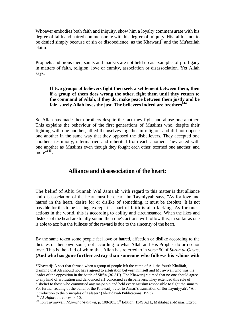Whoever embodies both faith and iniquity, show him a loyalty commensurate with his degree of faith and hatred commensurate with his degree of iniquity. His faith is not to be denied simply because of sin or disobedience, as the Khawarij<sup>\*</sup> and the Mu'tazilah claim.

Prophets and pious men, saints and martyrs are not held up as examples of profligacy in matters of faith, religion, love or enmity, association or disassociation. Yet Allah says,

#### **If two groups of believers fight then seek a settlement between them, then if a group of them does wrong the other, fight them until they return to the command of Allah, if they do, make peace between them justly and be fair, surely Allah loves the just. The believers indeed are brothers[144](#page-47-0)**

So Allah has made them brothers despite the fact they fight and abuse one another. This explains the behaviour of the first generations of Muslims who, despite their fighting with one another, allied themselves together in religion, and did not oppose one another in the same way that they opposed the disbelievers. They accepted one another's testimony, intermarried and inherited from each another. They acted with one another as Muslims even though they fought each other, scorned one another, and more"<sup>[145](#page-47-1)</sup>.

## **Alliance and disassociation of the heart:**

The belief of Ahlu Sunnah Wal Jama'ah with regard to this matter is that alliance and disassociation of the heart must be clear. Ibn Taymiyyah says, "As for love and hatred in the heart, desire for or dislike of something, it must be absolute. It is not possible for this to be lacking, except if a part of faith is also lacking. As for one's actions in the world, this is according to ability and circumstance. When the likes and dislikes of the heart are totally sound then one's actions will follow this, in so far as one is able to act; but the fullness of the reward is due to the sincerity of the heart.

By the same token some people feel love or hatred, affection or dislike according to the dictates of their own souls, not according to what Allah and His Prophet do or do not love. This is the kind of whim that Allah has referred to in verse 50 of *Surah al-Qasas,* **(And who has gone further astray than someone who follows his whims with**

<sup>\*</sup>Khawarij: A sect that formed when a group of people left the camp of Ali, the fourth Khalifah, claiming that Ali should not have agreed to arbitration between himself and Mu'awiyah who was the leader of the opposition in the battle of Siffin (36 AH). The Khawarij claimed that no one should agree to any kind of arbitration and denounced al1 concerned as disbelievers. They extended this rule of disbelief to those who committed any major sin and held every Muslim responsible to fight the sinners. For further reading of the belief of the Khawarij, refer to Ansari's translation of Ibn Taymiyyah's "An introduction to the principles of Tafseer" (Al-Hidayah Publications, 1993). <sup>144</sup> *Al-Hujuraat,* verses: 9-10.

<span id="page-47-1"></span><span id="page-47-0"></span><sup>145</sup> Ibn Taymiyyah, *Majmu' al-Fatawa,* p. 108-201. 1st Edition, 1349 A.H., Maktabat al-Manar, Egypt.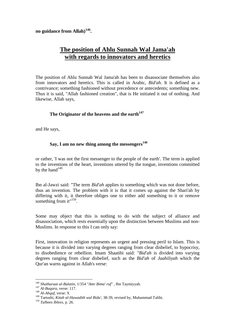**no guidance from Allah)[146](#page-48-0) .**

# **The position of Ahlu Sunnah Wal Jama'ah with regards to innovators and heretics**

The position of Ahlu Sunnah Wal Jama'ah has been to disassociate themselves also from innovators and heretics. This is called in Arabic, *Bid'ah.* It is defined as a contrivance; something fashioned without precedence or antecedents; something new. Thus it is said, "Allah fashioned creation", that is He initiated it out of nothing. And likewise, Allah says,

#### **The Originator of the heavens and the earth[147](#page-48-1)**

and He says,

### **Say, I am no new thing among the messengers[148](#page-48-2)**

or rather, 'I was not the first messenger to the people of the earth'. The term is applied to the inventions of the heart, inventions uttered by the tongue, inventions committed by the hand  $149$ 

Ibn al-Jawzi said: "The term *Bid'ah* applies to something which was not done before, thus an invention. The problem with it is that it comes up against the Shari'ah by differing with it, it therefore obliges one to either add something to it or remove somethingfrom it"<sup>150</sup>.

Some may object that this is nothing to do with the subject of alliance and disassociation, which rests essentially upon the distinction between Muslims and non-Muslims. In response to this I can only say:

First, innovation in religion represents an urgent and pressing peril to Islam. This is because it is divided into varying degrees ranging from clear disbelief, to hypocrisy, to disobedience or rebellion. Imam Shaatibi said: *"Bid'ah* is divided into varying degrees ranging from clear disbelief, such as the *Bid'ah* of *Jaahiliyah* which the Qur'an warns against in Allah's verse:

<span id="page-48-0"></span><sup>146</sup> *Shatharaat al-Balatin,* 1/354 *"Amr Bima' ruf" ,* Ibn Taymiyyah.

<span id="page-48-1"></span><sup>147</sup> *Al-Baqara,* verse: 117.

<span id="page-48-2"></span><sup>148</sup> *Al-Ahqaf,* verse: 9.

<span id="page-48-3"></span><sup>149</sup> Tartushi, *Kitab al-Hawadith wal Bida',* 38-39, revised by, Muhammad Talibi.

<span id="page-48-4"></span><sup>150</sup> *Talbees Iblees,* p. 26.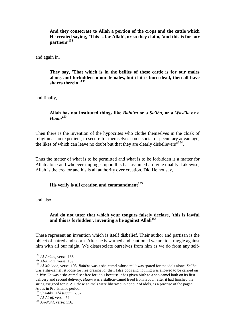**And they consecrate to Allah a portion of the crops and the cattle which He created saying, `This is for Allah', or so they claim, 'and this is for our partners'[151](#page-49-0)**

and again in,

**They say, 'That which is in the bellies of these cattle is for our males alone, and forbidden to our females, but if it is born dead, then all have shares therein.'[152](#page-49-1)**

and finally,

#### **Allah has not instituted things like** *Bahi'ra* **or a** *Sa'iba,* **or a** *Wasi'la* **or a** *Haam[153](#page-49-2)*

Then there is the invention of the hypocrites who clothe themselves in the cloak of religion as an expedient, to secure for themselves some social or pecuniary advantage, the likes of which can leave no doubt but that they are clearly disbelievers"<sup>[154](#page-49-3)</sup>.

Thus the matter of what is to be permitted and what is to be forbidden is a matter for Allah alone and whoever impinges upon this has assumed a divine quality. Likewise, Allah is the creator and his is all authority over creation. Did He not say,

#### **His verily is all creation and commandment[155](#page-49-4)**

and also,

#### **And do not utter that which your tongues falsely declare, 'this is lawful and this is forbidden', inventing a lie against Allah[156](#page-49-5)**

These represent an invention which is itself disbelief. Their author and partisan is the object of hatred and scorn. After he is warned and cautioned we are to struggle against him with all our might. We disassociate ourselves from him as we do from any self-

<span id="page-49-0"></span><sup>151</sup> *Al-An'am,* verse: 136.

<span id="page-49-1"></span><sup>&</sup>lt;sup>152</sup> *Al-An'am*, verse: 139.

<span id="page-49-2"></span><sup>153</sup> *Al-Ma'idah,* verse: 103. *Bahi'ra* was a she-camel whose milk was spared for the idols alone. *Sa'iba* was a she-camel let loose for free grazing for their false gods and nothing was allowed to be carried on it. *Wasi'la* was a she-camel set free for idols because it has given birth to a she-camel both on its first delivery and second delivery. *Haam* was a stallion-camel freed from labour, after it had finished the siring assigned for it. Al1 these animals were liberated in honour of idols, as a practise of the pagan Arabs in Pre-Islamic period.

<span id="page-49-3"></span><sup>154</sup> Shaatibi, *Al-l'tisaam,* 2/37.

<span id="page-49-4"></span><sup>155</sup> *Al-A'raf,* verse: 54.

<span id="page-49-5"></span><sup>156</sup> *An-Nahl,* verse: 116.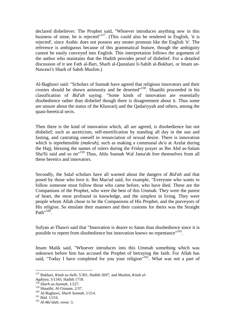declared disbeliever. The Prophet said, "Whoever introduces anything new in this business of mine, he is rejected"[157](#page-50-0). (This could also be rendered in English, 'it is rejected', since Arabic does not possess any neuter pronoun like the English 'it'. The reference is ambiguous because of this grammatical feature, though the ambiguity cannot be easily conveyed into English. This interpretation follows the argument of the author who maintains that the Hadith provides proof of disbelief. For a detailed discussion of it see Fath al-Bari, Sharh al-Qastalani li-Sahih al-Bukhari, or Imam an-Nawawi's Sharh of Sahih Muslim.)

Al-Baghawi said: "Scholars of Sunnah have agreed that religious innovators and their cronies should be shown animosity and be deserted"[158](#page-50-1). Shaatibi proceeded in his classification of *Bid'ah* saying: "Some kinds of innovation are essentially disobedience rather than disbelief though there is disagreement about it. Thus some are unsure about the status of the Khawarij and the Qadariyyah and others, among the quasi-heretical sects.

Then there is the kind of innovation which, all are agreed, is disobedience but not disbelief; such as asceticism, self-mortification by standing all day in the sun and fasting, and castrating oneself in renunciation of sexual desire. There is innovation which is reprehensible *(makruh),* such as making a communal *du'a* at Arafat during the Hajj; blessing the names of rulers during the Friday prayer as Ibn Abd as-Salam Sha'fii said and soon["](#page-50-2)<sup>159</sup> Thus, Ahlu Sunnah Wal Jama'ah free themselves from all these heretics and innovators.

Secondly, the Salaf scholars have all warned about the dangers of *Bid'ah* and that posed by those who love it. Ibn Mas'ud said, for example, "Everyone who wants to follow someone must follow those who came before, who have died. These are the Companions of the Prophet, who were the best of this Ummah. They were the purest of heart, the most profound in knowledge, and the simplest in living. They were people whom Allah chose to be the Companions of His Prophet, and the purveyors of His religion. So emulate their manners and their customs for theirs was the Straight Path" $^{160}$  $^{160}$  $^{160}$ .

Sufyan at-Thawri said that "Innovation is dearer to Satan than disobedience since it is possible to repent from disobedience but innovation knows no repentance"<sup>[161](#page-50-4)</sup>.

Imam Malik said, "Whoever introduces into this Ummah something which was unknown before him has accused the Prophet of betraying the faith. For Allah has said, "Today I have completed for you your religion"<sup>[162](#page-50-5)</sup>. What was not a part of

<span id="page-50-0"></span><sup>157</sup> Bukhari, *Kitab as-Sulh,* 5/301, Hadith 2697, and Muslim, *Kitab al-*

*Aqdiyya,* 3/1343, Hadith 1718.

<span id="page-50-1"></span><sup>158</sup> *Sharh as-Sunnah,* 1/227.

<span id="page-50-2"></span><sup>159</sup> Shaatibi, *Al-l'tisaam,* 2/37.

<span id="page-50-3"></span><sup>160</sup> Al-Baghawi, *Sharh Sunnah,* 1/214.

<span id="page-50-4"></span> $161$  Ibid.  $1/216$ .

<span id="page-50-5"></span><sup>162</sup> *Al-Ma'idah,* verse: 3.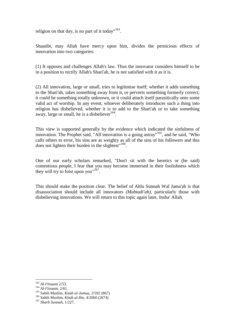religion on that day, is no part of it today"<sup>[163](#page-51-0)</sup>.

Shaatibi, may Allah have mercy upon him, divides the pernicious effects of innovation into two categories:

(1) It opposes and challenges Allah's law. Thus the innovator considers himself to be in a position to rectify Allah's Shari'ah, he is not satisfied with it as it is.

(2) All innovation, large or small, tries to legitimise itself; whether it adds something to the Shari'ah, takes something away from it, or perverts something formerly correct; it could be something totally unknown, or it could attach itself parasitically onto some valid act of worship. In any event, whoever deliberately introduces such a thing into religion has disbelieved, whether it is to add to the Shari'ah or to take something away, large or small, he is a disbeliever $164$ .

This view is supported generally by the evidence which indicated the sinfulness of innovation. The Prophet said, "All innovation is a going astray"<sup>[165](#page-51-2)</sup>, and he said, "Who calls others to error, his sins are as weighty as all of the sins of his followers and this does not lighten their burden in the slightest"<sup>[166](#page-51-3)</sup>.

One of our early scholars remarked, "Don't sit with the heretics or (he said) contentious people, I fear that you may become immersed in their foolishness which theywill try to foist upon you["](#page-51-4)<sup>167</sup>.

This should make the position clear. The belief of Ahlu Sunnah Wal Jama'ah is that disassociation should include all innovators *(Mubtadi'ah),* particularly those with disbelieving innovations. We will return to this topic again later, Insha' Allah.

<span id="page-51-0"></span><sup>163</sup> *Al-I'tisaam* 2/53.

<span id="page-51-1"></span><sup>164</sup> *Al-I'tisaam,* 2/61.

<span id="page-51-2"></span><sup>165</sup> Sahih Muslim, *Kitab al-Jumua,* 2/592 (867)

<span id="page-51-4"></span><span id="page-51-3"></span><sup>166</sup> Sahih Muslim, *Kitab al-Ilm,* 4/2060 (2674)

<sup>167</sup> *Sharh Sunnah,* 1/227.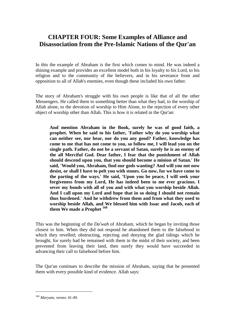# **CHAPTER FOUR: Some Examples of Alliance and Disassociation from the Pre-Islamic Nations of the Qur'an**

In this the example of Abraham is the first which comes to mind. He was indeed a shining example and provides an excellent model both in his loyalty to his Lord, to his religion and to the community of the believers, and in his severance from and opposition to all of Allah's enemies, even though these included his own father.

The story of Abraham's struggle with his own people is like that of all the other Messengers. He called them to something better than what they had, to the worship of Allah alone, to the devotion of worship to Him Alone, to the rejection of every other object of worship other than Allah. This is how it is related in the Qur'an:

**And mention Abraham in the Book, surely he was of good faith, a prophet. When he said to his father, 'Father why do you worship what can neither see, nor hear, nor do you any good? Father, knowledge has come to me that has not come to you, so follow me, I will lead you on the single path. Father, do not be a servant of Satan, surely he is an enemy of the all Merciful God. Dear father, I fear that the punishment of Allah should descend upon you, that you should become a minion of Satan.' He said, 'Would you, Abraham, find our gods wanting? And will you not now desist, or shall I have to pelt you with stones. Go now, for we have come to the parting of the ways.' He said, 'Upon you be peace, I will seek your forgiveness from my Lord, He has indeed been to me ever gracious. I sever my bonds with all of you and with what you worship beside Allah. And I call upon my Lord and hope that in so doing I should not remain thus burdened.' And he withdrew from them and from what they used to worship beside Allah, and We blessed him with Issac and Jacob, each of them We made a Prophet [168](#page-52-0)**

This was the beginning of the *Da'wah* of Abraham, which he began by inviting those closest to him. When they did not respond he abandoned them to the falsehood in which they revelled; obstructing, rejecting and denying the glad tidings which he brought, for surely had he remained with them in the midst of their society, and been prevented from leaving their land, then surely they would have succeeded in advancing their call to falsehood before him.

The Qur'an continues to describe the mission of Abraham, saying that he presented them with every possible kind of evidence. Allah says:

<span id="page-52-0"></span><sup>168</sup> *Maryam,* verses: 41-49.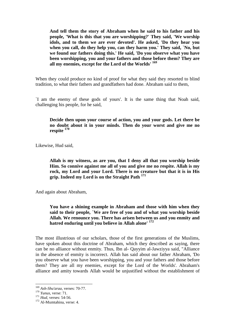**And tell them the story of Abraham when he said to his father and his people, 'What is this that you are worshipping?' They said, 'We worship idols, and to them we are ever devoted'. He asked, 'Do they hear you when you call, do they help you, can they harm you.' They said, `No, but we found our fathers doing this.' He said, 'Do you observe what you have been worshipping, you and your fathers and those before them? They are all my enemies, except for the Lord of the Worlds' [169](#page-53-0)**

When they could produce no kind of proof for what they said they resorted to blind tradition, to what their fathers and grandfathers had done. Abraham said to them,

`I am the enemy of these gods of yours'. It is the same thing that Noah said, challenging his people, for he said,

**Decide then upon your course of action, you and your gods. Let there be no doubt about it in your minds. Then do your worst and give me no respite [170](#page-53-1)**

Likewise, Hud said,

**Allah is my witness, as are you, that I deny all that you worship beside Him. So connive against me all of you and give me no respite. Allah is my rock, my Lord and your Lord. There is no creature but that it is in His grip. Indeed my Lord is on the Straight Path [171](#page-53-2)**

And again about Abraham,

**You have a shining example in Abraham and those with him when they said to their people, `We are free of you and of what you worship beside Allah. We renounce you. There has arisen between us and you enmity and hatred enduring until you believe in Allah alone' [172](#page-53-3)**

The most illustrious of our scholars, those of the first generations of the Muslims, have spoken about this doctrine of Abraham, which they described as saying, there can be no alliance without enmity. Thus, Ibn al- Qayyim al-Jawziyya said, "Alliance in the absence of enmity is incorrect. Allah has said about our father Abraham, 'Do you observe what you have been worshipping, you and your fathers and those before them? They are all my enemies, except for the Lord of the Worlds'. Abraham's alliance and amity towards Allah would be unjustified without the establishment of

<span id="page-53-0"></span><sup>169</sup> *Ash-Shu'araa,* verses: 70-77.

<span id="page-53-1"></span><sup>170</sup> *Yunus,* verse: 71.

<span id="page-53-2"></span><sup>171</sup> *Hud,* verses: 54-56.

<span id="page-53-3"></span><sup>&</sup>lt;sup>172</sup> Al-Mumtahina, verse: 4.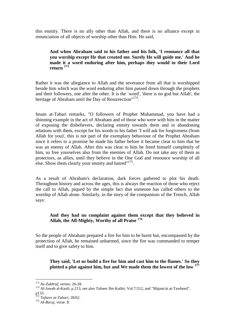this enmity. There is no ally other than Allah, and there is no alliance except in renunciation of all objects of worship other than Him. He said,

#### **And when Abraham said to his father and his folk, 'I renounce all that you worship except He that created me. Surely He will guide me.' And he made it a word enduring after him, perhaps they would to their Lord return [173](#page-54-0)**

Rather it was the allegiance to Allah and the severance from all that is worshipped beside him which was the word enduring after him passed down through the prophets and their followers, one after the other. It is the `word', 'there is no god but Allah', the heritage of Abraham until the Day of Resurrection"<sup>[174](#page-54-1)</sup>.

Imam at-Tabari remarks, "O followers of Prophet Muhammad, you have had a shinning example in the act of Abraham and of those who were with him in the matter of exposing the disbelievers, declaring enmity towards them and in abandoning relations with them, except for his words to his father **'**I will ask for forgiveness (from Allah for you)', this is not part of the exemplary behaviour of the Prophet Abraham since it refers to a promise he made his father before it became clear to him that he was an enemy of Allah. After this was clear to him he freed himself completely of him, so free yourselves also from the enemies of Allah. Do not take any of them as protectors, as allies, until they believe in the One God and renounce worship of all else. Show them clearly your enmity and hatred"<sup>[175](#page-54-2)</sup>.

As a result of Abraham's declaration, dark forces gathered to plot his death. Throughout history and across the ages, this is always the reaction of those who reject the call to Allah, piqued by the simple fact that someone has called others to the worship of Allah alone. Similarly, in the story of the companions of the Trench, Allah says:

#### **And they had no complaint against them except that they believed in Allah, the All-Mighty, Worthy of all Praise [176](#page-54-3)**

So the people of Abraham prepared a fire for him to be burnt but, encompassed by the protection of Allah, he remained unharmed, since the fire was commanded to temper itself and to give safety to him.

#### <span id="page-54-4"></span>**They said, 'Let us build a fire for him and cast him to the flames.' So they plotteda plot against him, but and We made them the lowest of the low**  $1^{77}$

<span id="page-54-3"></span><span id="page-54-2"></span><sup>175</sup> *Tafseer at-Tabari,* 28/62.

<span id="page-54-0"></span><sup>173</sup> *Az-Zukhruf,* verses: 26-28.

<span id="page-54-1"></span><sup>174</sup> Al-Jawab al-Kaafi, p.213; see also Tafseer Ibn Kathir, Vol.7/212, and "Majmu'at at-Tawheed", p133.

<sup>176</sup> *AI-Buruj,* verse: 8.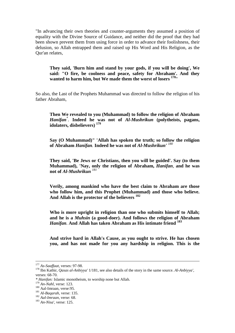"In advancing their own theories and counter-arguments they assumed a position of equality with the Divine Source of Guidance, and neither did the proof that they had been shown prevent them from using force in order to advance their foolishness, their delusion, so Allah entrapped them and raised up His Word and His Religion, as the Qur'an relates,

**They said, 'Burn him and stand by your gods, if you will be doing', We said: "O fire, be coolness and peace, safety for Abraham'. And they wanted to harm him, but We made them the worst of losers [178](#page-55-0)**"

So also, the Last of the Prophets Muhammad was directed to follow the religion of his father Abraham,

**Then We revealed to you (Muhammad) to follow the religion of Abraham** *Hanifan\* .* **Indeed he was not of** *Al-Mushrikun* **(polytheists, pagans, idolaters, disbelievers) [179](#page-55-1)**

**Say (O Muhammad)" 'Allah has spoken the truth; so follow the religion of Abraham** *Hanifan.* **Indeed he was not of** *Al-Mushrikun' [180](#page-55-2)*

**They said, 'Be Jews or Christians, then you will be guided'. Say (to them Muhammad), 'Nay, only the religion of Abraham,** *Hanifan,* **and he was not of** *Al-Mushrikun [181](#page-55-3)*

**Verily, among mankind who have the best claim to Abraham are those who follow him, and this Prophet (Muhammad) and those who believe. And Allah is the protector of the believers [182](#page-55-4)**

**Who is more upright in religion than one who submits himself to Allah; and he is a** *Muhsin* **(a good-doer). And follows the religion of Abraham** *Hanifan.* **And Allah has taken Abraham as His intimate friend [183](#page-55-5)**

**And strive hard in Allah's Cause, as you ought to strive. He has chosen you, and has not made for you any hardship in religion. This is the**

<span id="page-55-0"></span><sup>177</sup> *As-Saaffaat,* verses: 97-98.

<sup>178</sup> Ibn Kathir, *Qasas al-Anbiyya'* 1/181, see also details of the story in the same source. *Al-Anbiyya',* verses: 68-70.

<span id="page-55-1"></span>*<sup>\*</sup> Hanifan:* Islamic monotheism, to worship none but Allah.

<sup>179</sup> *An-Nahl,* verse: 123.

<span id="page-55-2"></span><sup>&</sup>lt;sup>180</sup> Aal-Imraan, verse:95.

<span id="page-55-3"></span><sup>181</sup> *Al-Baqarah,* verse: 135.

<span id="page-55-4"></span><sup>182</sup> *Aal-Imraan,* verse: 68.

<span id="page-55-5"></span><sup>183</sup> *An-Nisa',* verse: 125.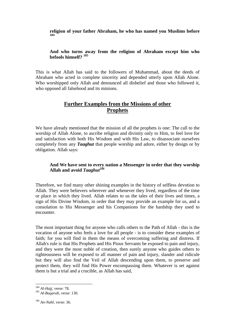#### **religion of your father Abraham, he who has named you Muslims before [184](#page-56-0)**

#### **And who turns away from the religion of Abraham except him who befools himself? [185](#page-56-1)**

This is what Allah has said to the followers of Muhammad, about the deeds of Abraham who acted in complete sincerity and depended utterly upon Allah Alone. Who worshipped only Allah and denounced all disbelief and those who followed it, who opposed all falsehood and its minions.

### **Further Examples from the Missions of other Prophets**

We have already mentioned that the mission of all the prophets is one: The call to the worship of Allah Alone, to ascribe religion and divinity only to Him, to feel love for and satisfaction with both His Wisdom and with His Law, to disassociate ourselves completely from any *Taaghut* that people worship and adore, either by design or by obligation. Allah says:

#### **And We have sent to every nation a Messenger in order that they worship Allah and avoid** *Taaghut[186](#page-56-2)*

Therefore, we find many other shining examples in the history of selfless devotion to Allah. They were believers wherever and whenever they lived, regardless of the time or place in which they lived. Allah relates to us the tales of their lives and times, a sign of His Divine Wisdom, in order that they may provide an example for us, and a consolation to His Messenger and his Companions for the hardship they used to encounter.

The most important thing for anyone who calls others to the Path of Allah - this is the vocation of anyone who feels a love for all people - is to consider these examples of faith; for you will find in them the means of overcoming suffering and distress. If Allah's rule is that His Prophets and His Pious Servants be exposed to pain and injury, and they were the most noble of creation, then surely anyone who guides others to righteousness will be exposed to all manner of pain and injury, slander and ridicule but they will also find the Veil of Allah descending upon them, to preserve and protect them, they will find His Power encompassing them. Whatever is set against them is but a trial and a crucible, as Allah has said,

<span id="page-56-0"></span><sup>184</sup> *Al-Hajj,* verse: 78.

<span id="page-56-1"></span><sup>185</sup> *Al-Baqarah,* verse: 130.

<span id="page-56-2"></span><sup>186</sup> *An-Nahl,* verse: 36.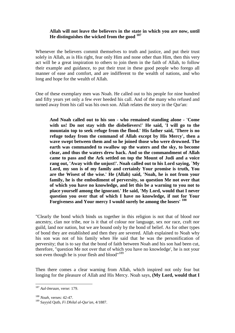#### **Allah will not leave the believers in the state in which you are now, until He distinguishes the wicked from the good [187](#page-57-0)**

Whenever the believers commit themselves to truth and justice, and put their trust solely in Allah, as is His right, fear only Him and none other than Him, then this very act will be a great inspiration to others to join them in the faith of Allah, to follow their example and guidance, to put their trust in these good people who forego all manner of ease and comfort, and are indifferent to the wealth of nations, and who long and hope for the wealth of Allah.

One of these exemplary men was Noah. He called out to his people for nine hundred and fifty years yet only a few ever heeded his call. And of the many who refused and turned away from his call was his own son. Allah relates the story in the Qur'an:

**And Noah called out to his son - who remained standing alone - 'Come with us! Do not stay with the disbelievers!' He said, 'I will go to the mountain top to seek refuge from the flood.' His father said, 'There is no refuge today from the command of Allah except by His Mercy', then a wave swept between them and so he joined those who were drowned. The earth was commanded to swallow up the waters and the sky, to become clear, and thus the waters drew back. And so the commandment of Allah came to pass and the Ark settled on top the Mount of Judi and a voice rang out, 'Away with the unjust!'. Noah called out to his Lord saying, `My Lord, my son is of my family and certainly Your promise is truth, You are the Wisest of the wise.' He (Allah) said, 'Noah, he is not from your family, he is the embodiment of perversity, so question Me not over that of which you have no knowledge, and let this be a warning to you not to place yourself among the ignorant.' He said, 'My Lord, would that I never question you over that of which I have no knowledge, if not for Your Forgiveness and Your mercy I would surely be among the losers' [188](#page-57-1)**

"Clearly the bond which binds us together in this religion is not that of blood nor ancestry, clan nor tribe, nor is it that of colour nor language, sex nor race, craft nor guild, land nor nation, but we are bound only by the bond of belief. As for other types of bond they are established and then they are severed. Allah explained to Noah why his son was not of his family when He said that he was the personification of perversity; that is to say that the bond of faith between Noah and his son had been cut, therefore, "question Me not over that of which you have no knowledge', he is not your son even though he is your flesh and blood"<sup>[189](#page-57-2)</sup>

Then there comes a clear warning from Allah, which inspired not only fear but longing for the pleasure of Allah and His Mercy. Noah says, **(My Lord, would that I**

<span id="page-57-0"></span><sup>187</sup> *Aal-Imraan,* verse: 179.

<span id="page-57-1"></span><sup>188</sup> *Noah,* verses: 42-47.

<span id="page-57-2"></span><sup>189</sup> Sayyid Qutb, *Fi Dhilal al-Qur'an,* 4/1887.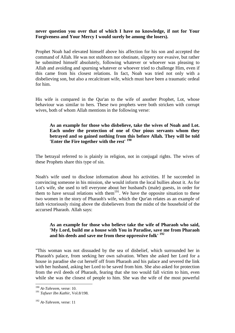#### **never question you over that of which I have no knowledge, if not for Your Forgiveness and Your Mercy I would surely be among the losers).**

Prophet Noah had elevated himself above his affection for his son and accepted the command of Allah. He was not stubborn nor obstinate, slippery nor evasive, but rather he submitted himself absolutely, following whatever or whoever was pleasing to Allah and avoiding and spurning whatever or whoever tried to challenge Him, even if this came from his closest relations. In fact, Noah was tried not only with a disbelieving son, but also a recalcitrant wife, which must have been a traumatic ordeal for him.

His wife is compared in the Qur'an to the wife of another Prophet, Lot, whose behaviour was similar to hers. These two prophets were both stricken with corrupt wives, both of whom Allah mentions in the following verse:

#### **As an example for those who disbelieve, take the wives of Noah and Lot. Each under the protection of one of Our pious servants whom they betrayed and so gained nothing from this before Allah. They will be told 'Enter the Fire together with the rest' [190](#page-58-0)**

The betrayal referred to is plainly in religion, not in conjugal rights. The wives of these Prophets share this type of sin.

Noah's wife used to disclose information about his activities. If he succeeded in convincing someone in his mission, she would inform the local bullies about it. As for Lot's wife, she used to tell everyone about her husband's (male) guests, in order for them to have sexual relations with them<sup>[191](#page-58-1)</sup>. We have the opposite situation to these two women in the story of Pharaoh's wife, which the Qur'an relates as an example of faith victoriously rising above the disbelievers from the midst of the household of the accursed Pharaoh. Allah says:

#### **As an example for those who believe take the wife of Pharaoh who said, 'My Lord, build me a house with You in Paradise, save me from Pharaoh and his deeds and save me from these oppressive folk' [192](#page-58-2)**

"This woman was not dissuaded by the sea of disbelief, which surrounded her in Pharaoh's palace, from seeking her own salvation. When she asked her Lord for a house in paradise she cut herself off from Pharaoh and his palace and severed the link with her husband, asking her Lord to be saved from him. She also asked for protection from the evil deeds of Pharaoh, fearing that she too would fall victim to him, even while she was the closest of people to him. She was the wife of the most powerful

<span id="page-58-0"></span><sup>190</sup> *At-Tahreem,* verse: 10.

<span id="page-58-1"></span><sup>191</sup> *Tafseer Ibn Kathir,* Vol.8/198.

<span id="page-58-2"></span><sup>192</sup> *At-Tahreem,* verse: 11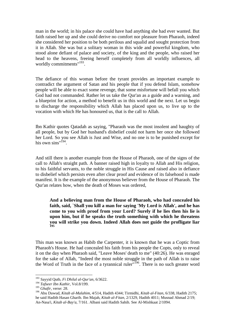man in the world; in his palace she could have had anything she had ever wanted. But faith raised her up and she could derive no comfort nor pleasure from Pharaoh, indeed she considered her position to be both perilous and squalid and sought protection from it in Allah. She was but a solitary woman in this wide and powerful kingdom, who stood alone defiant of palace and society, of the king and the people, who raised her head to the heavens, freeing herself completely from all worldly influences, all worldly commitments"<sup>[193](#page-59-0)</sup>.

The defiance of this woman before the tyrant provides an important example to contradict the argument of Satan and his people that if you defend Islam, somehow people will be able to exact some revenge, that some misfortune will befall you which God had not commanded. Rather let us take the Qur'an as a guide and a warning, and a blueprint for action, a method to benefit us in this world and the next. Let us begin to discharge the responsibility which Allah has placed upon us, to live up to the vocation with which He has honoured us, that is the call to Allah.

Ibn Kathir quotes Qatadah as saying, "Pharaoh was the most insolent and haughty of all people, but by God her husband's disbelief could not harm her once she followed her Lord. So you see Allah is Just and Wise, and no one is to be punished except for hisown sins["](#page-59-1)<sup>194</sup>.

And still there is another example from the House of Pharaoh, one of the signs of the call to Allah's straight path. A banner raised high in loyalty to Allah and His religion, to his faithful servants, to the noble struggle in His Cause and raised also in defiance to disbelief which persists even after clear proof and evidence of its falsehood is made manifest. It is the example of the anonymous believer from the House of Pharaoh. The Qur'an relates how, when the death of Moses was ordered,

**And a believing man from the House of Pharaoh, who had concealed his faith, said, `Shall you kill a man for saying 'My Lord is Allah', and he has come to you with proof from your Lord? Surely if he lies then his lie is upon him, but if he speaks the truth something with which he threatens you will strike you down. Indeed Allah does not guide the profligate liar [195](#page-59-2)**

This man was known as Habib the Carpenter, it is known that he was a Coptic from Pharaoh's House. He had concealed his faith from his people the Copts, only to reveal it on the day when Pharaoh said, "Leave Moses' death to me" (40:26). He was enraged for the sake of Allah, "Indeed the most noble struggle in the path of Allah is to raise the Word of Truth in the face of a tyrannical ruler"[196](#page-59-3). There is no such greater word

<span id="page-59-0"></span><sup>193</sup> Sayyid Qutb, *Fi Dhilal al-Qur'an,* 6/3622.

<span id="page-59-1"></span><sup>194</sup> *Tafseer Ibn Kathir,* Vol.8/199.

<span id="page-59-2"></span><sup>195</sup> *Ghafir,* verse: 28.

<span id="page-59-3"></span><sup>196</sup> Abu Dawud, *Kitab al-Malahim,* 4/514, Hadith 4344; Tirmidhi, *Kitab al-Fitan,* 6/338, Hadith 2175; he said Hadith Hasan Gharib. Ibn Majah, *Kitab al-Fitan,* 2/1329, Hadith 4011; Musnad Ahmad 2/19; An-Nasa'i, *Kitab al-Bay'a,* 7/161. Albani said Hadith Sahih. See Al-Mishkaat 2/1094.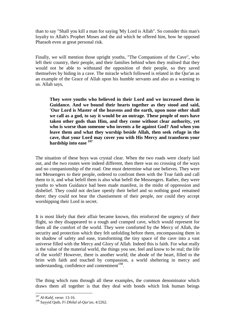than to say "Shall you kill a man for saying 'My Lord is Allah". So consider this man's loyalty to Allah's Prophet Moses and the aid which he offered him, how he opposed Pharaoh even at great personal risk.

Finally, we will mention those upright youths, "The Companions of the Cave", who left their country, their people, and their families behind when they realised that they would not be able to withstand the opposition of their people, so they saved themselves by hiding in a cave. The miracle which followed is related in the Qur'an as an example of the Grace of Allah upon his humble servants and also as a warning to us. Allah says,

**They were youths who believed in their Lord and we increased them in Guidance. And we bound their hearts together as they stood and said, 'Our Lord is Master of the heavens and the earth, upon none other shall we call as a god, to say it would be an outrage. These people of ours have taken other gods than Him, and they come without clear authority, yet who is worse than someone who invents a lie against God? And when you leave them and what they worship beside Allah, then seek refuge in the cave, that your Lord may cover you with His Mercy and transform your hardship into ease [197](#page-60-0)**

The situation of these boys was crystal clear. When the two roads were clearly laid out, and the two routes were indeed different, then there was no crossing of the ways and no companionship of the road. One must determine what one believes. They were not Messengers to their people, ordered to confront them with the True faith and call them to it, and what befell them is also what befell the Messengers. Rather, they were youths to whom Guidance had been made manifest, in the midst of oppression and disbelief. They could not declare openly their belief and so nothing good remained there; they could not bear the chastisement of their people, nor could they accept worshipping their Lord in secret.

It is most likely that their affair became known, this reinforced the urgency of their flight, so they disappeared to a rough and cramped cave, which would represent for them all the comfort of the world. They were comforted by the Mercy of Allah, the security and protection which they felt unfolding before them, encompassing them in its shadow of safety and ease, transforming the tiny space of the cave into a vast universe filled with the Mercy and Glory of Allah. Indeed this is faith. For what really is the value of the material world, the things you see, feel and know to be real; the life of the world? However, there is another world; the abode of the heart, filled to the brim with faith and touched by compassion, a world sheltering in mercy and understanding, confidence and contentment<sup>[198](#page-60-1)</sup>.

The thing which runs through all these examples, the common denominator which draws them all together is that they deal with bonds which link human beings

<span id="page-60-0"></span><sup>197</sup> *Al-Kahf,* verse: 13-16.

<span id="page-60-1"></span><sup>198</sup> Sayyid Qutb, *Fi Dhilal al-Qur'an,* 4/2262.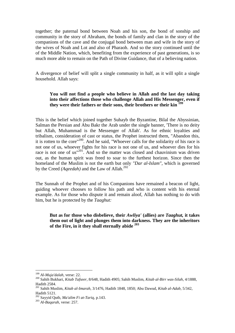together; the paternal bond between Noah and his son, the bond of sonship and community in the story of Abraham, the bonds of family and clan in the story of the companions of the cave and the conjugal bond between man and wife in the story of the wives of Noah and Lot and also of Pharaoh. And so the story continued until the of the Middle Nation, which, benefiting from the experience of past generations, is so much more able to remain on the Path of Divine Guidance, that of a believing nation.

A divergence of belief will split a single community in half, as it will split a single household. Allah says:

#### **You will not find a people who believe in Allah and the last day taking into their affections those who challenge Allah and His Messenger, even if they were their fathers or their sons, their brothers or theirkin <sup>199</sup>**

This is the belief which joined together Suhayb the Byzantine, Bilal the Abyssinian, Salman the Persian and Abu Bakr the Arab under the single banner, 'There is no deity but Allah, Muhammad is the Messenger of Allah'. As for ethnic loyalties and tribalism, consideration of cast or status, the Prophet instructed them, "Abandon this, it is rotten to the core"[200](#page-61-1). And he said, "Whoever calls for the solidarity of his race is not one of us, whoever fights for his race is not one of us, and whoever dies for his raceis not one of us<sup>["](#page-61-2)201</sup>. And so the matter was closed and chauvinism was driven out, as the human spirit was freed to soar to the furthest horizon. Since then the homeland of the Muslim is not the earth but only *"Dar al-Islam",* which is governed by the Creed *(Aqeedah)* and the Law of Allah. [202](#page-61-3)

The Sunnah of the Prophet and of his Companions have remained a beacon of light, guiding whoever chooses to follow his path and who is content with his eternal example. As for those who dispute it and remain aloof, Allah has nothing to do with him, but he is protected by the *Taaghut:*

#### **But as for those who disbelieve, their** *Awliya'* **(allies) are** *Taaghut,* **it takes them out of light and plunges them into darkness. They are the inheritors of the Fire, in it they shall eternally abide [203](#page-61-4)**

<span id="page-61-0"></span><sup>199</sup> *Al-Muja'dalah,* verse: 22.

<span id="page-61-1"></span><sup>200</sup> Sahih Bukhari, *Kitab Tafseer,* 8/648, Hadith 4905; Sahih Muslim, *Kitab al-Birr was-Silah,* 4/1888, Hadith 2584.

<span id="page-61-2"></span><sup>201</sup> Sahih Muslim, *Kitab al-Imarah,* 3/1476, Hadith 1848, 1850; Abu Dawud, *Kitab al-Adab,* 5/342, Hadith 5121.

<span id="page-61-3"></span><sup>202</sup> Sayyid Qutb, *Ma'alim Fi at-Tariq,* p.143.

<span id="page-61-4"></span><sup>203</sup> *Al-Baqarah,* verse: 257.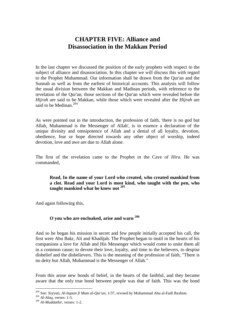# **CHAPTER FIVE: Alliance and Disassociation in the Makkan Period**

In the last chapter we discussed the position of the early prophets with respect to the subject of alliance and disassociation. In this chapter we will discuss this with regard to the Prophet Muhammad. Our information shall be drawn from the Qur'an and the Sunnah as well as from the earliest of historical accounts. This analysis will follow the usual division between the Makkan and Madinan periods, with reference to the revelation of the Qur'an; those sections of the Qur'an which were revealed before the *Hijrah* are said to be Makkan, while those which were revealed after the *Hijrah* are said to be Medinan.<sup>[204](#page-62-0)</sup>

As were pointed out in the introduction, the profession of faith, 'there is no god but Allah, Muhammad is the Messenger of Allah', is in essence a declaration of the unique divinity and omnipotence of Allah and a denial of all loyalty, devotion, obedience, fear or hope directed towards any other object of worship, indeed devotion, love and awe are due to Allah alone.

The first of the revelation came to the Prophet in the Cave of *Hira.* He was commanded,

#### **Read, In the name of your Lord who created, who created mankind from a clot. Read and your Lord is most kind, who taught with the pen, who taught mankind what he knewnot <sup>205</sup>**

And again following this,

#### **O you who are encloaked, arise and warn [206](#page-62-2)**

And so he began his mission in secret and few people initially accepted his call, the first were Abu Bakr, Ali and Khadijah. The Prophet began to instil in the hearts of his companions a love for Allah and His Messenger which would come to unite them all in a common cause; to devote their love, loyalty, and time to the believers, to despise disbelief and the disbelievers. This is the meaning of the profession of faith, "There is no deity but Allah, Muhammad is the Messenger of Allah."

From this arose new bonds of belief, in the hearts of the faithful, and they became aware that the only true bond between people was that of faith. This was the bond

<span id="page-62-0"></span><sup>204</sup> See: Siyyuti, *Al-Itqaan fi Mum al-Qur'an,* 1/37, revised by Muhammad Abu al-Fadl Ibrahim.

<span id="page-62-1"></span><sup>205</sup> *Al-Alaq,* verses: 1-5.

<span id="page-62-2"></span><sup>206</sup> *Al-Muddathir,* verses: 1-2.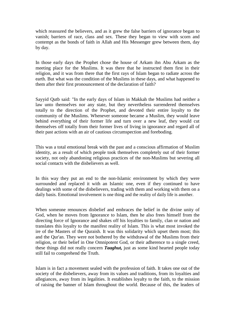which reassured the believers, and as it grew the false barriers of ignorance began to vanish; barriers of race, class and sex. These they began to view with scorn and contempt as the bonds of faith in Allah and His Messenger grew between them, day by day.

In those early days the Prophet chose the house of Arkam ibn Abu Arkam as the meeting place for the Muslims. It was there that he instructed them first in their religion, and it was from there that the first rays of Islam began to radiate across the earth. But what was the condition of the Muslims in these days, and what happened to them after their first pronouncement of the declaration of faith?

Sayyid Qutb said: "In the early days of Islam in Makkah the Muslims had neither a law unto themselves nor any state, but they nevertheless surrendered themselves totally to the direction of the Prophet, and devoted their entire loyalty to the community of the Muslims. Whenever someone became a Muslim, they would leave behind everything of their former life and turn over a new leaf, they would cut themselves off totally from their former lives of living in ignorance and regard all of their past actions with an air of cautious circumspection and foreboding.

This was a total emotional break with the past and a conscious affirmation of Muslim identity, as a result of which people took themselves completely out of their former society, not only abandoning religious practices of the non-Muslims but severing all social contacts with the disbelievers as well.

In this way they put an end to the non-Islamic environment by which they were surrounded and replaced it with an Islamic one, even if they continued to have dealings with some of the disbelievers, trading with them and working with them on a daily basis. Emotional involvement is one thing and the reality of daily life is another.

When someone renounces disbelief and embraces the belief in the divine unity of God, when he moves from Ignorance to Islam, then he also frees himself from the directing force of Ignorance and shakes off his loyalties to family, clan or nation and translates this loyalty to the manifest reality of Islam. This is what most invoked the ire of the Masters of the Quraish. It was this solidarity which upset them most; this and the Qur'an. They were not bothered by the withdrawal of the Muslims from their religion, or their belief in One Omnipotent God, or their adherence to a single creed, these things did not really concern *Taaghut,* just as some kind hearted people today still fail to comprehend the Truth.

Islam is in fact a movement sealed with the profession of faith. It takes one out of the society of the disbelievers, away from its values and traditions, from its loyalties and allegiances, away from its legalities. It establishes loyalty to the faith, to the mission of raising the banner of Islam throughout the world. Because of this, the leaders of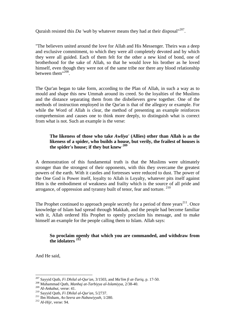Quraish resisted this *Da 'wah* by whatever means they had at their disposal"<sup>[207](#page-64-0)</sup>.

"The believers united around the love for Allah and His Messenger. Theirs was a deep and exclusive commitment, to which they were all completely devoted and by which they were all guided. Each of them felt for the other a new kind of bond, one of brotherhood for the sake of Allah, so that he would love his brother as he loved himself, even though they were not of the same tribe nor there any blood relationship between them"<sup>[208](#page-64-1)</sup>.

The Qur'an began to take form, according to the Plan of Allah, in such a way as to mould and shape this new Ummah around its creed. So the loyalties of the Muslims and the distance separating them from the disbelievers grew together. One of the methods of instruction employed in the Qur'an is that of the allegory or example. For while the Word of Allah is clear, the method of presenting an example reinforces comprehension and causes one to think more deeply, to distinguish what is correct from what is not. Such an example is the verse:

#### **The likeness of those who take** *Awliya'* **(Allies) other than Allah is as the likeness of a spider, who builds a house, but verily, the frailest of houses is the spider's house; if they but knew [209](#page-64-2)**

A demonstration of this fundamental truth is that the Muslims were ultimately stronger than the strongest of their opponents, with this they overcame the greatest powers of the earth. With it castles and fortresses were reduced to dust. The power of the One God is Power itself, loyalty to Allah is Loyalty, whatever pits itself against Him is the embodiment of weakness and frailty which is the source of all pride and arrogance, of oppression and tyranny built of tenor, fear and torture.  $210$ 

The Prophet continued to approach people secretly for a period of three years<sup>211</sup>. Once knowledge of Islam had spread through Makkah, and the people had becom[e fam](#page-64-4)iliar with it, Allah ordered His Prophet to openly proclaim his message, and to make himself an example for the people calling them to Islam. Allah says:

#### **So proclaim openly that which you are commanded, and withdraw from the idolaters [212](#page-64-5)**

And He said,

<span id="page-64-0"></span><sup>207</sup> Sayyid Qutb, *Fi Dhilal al-Qur'an,* 3/1503, and *Ma'lim fi at-Tariq,* p. 17-50.

<span id="page-64-1"></span><sup>208</sup> Muhammad Qutb, *Manhaj at-Tarbiyya al-Islamiyya,* 2/38-40.

<span id="page-64-2"></span><sup>209</sup> *Al-Ankabut,* verse: 41.

<span id="page-64-3"></span><sup>210</sup> Sayyid Qutb, *Fi Dhilal al-Qur'an,* 5/2737.

<span id="page-64-4"></span><sup>211</sup> Ibn Hisham, *As-Seera an-Nabawiyyah,* 1/280.

<span id="page-64-5"></span><sup>212</sup> *Al-Hijr,* verse: 94.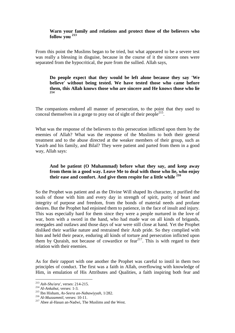#### **Warn your family and relations and protect those of the believers who followyou <sup>213</sup>**

From this point the Muslims began to be tried, but what appeared to be a severe test was really a blessing in disguise, because in the course of it the sincere ones were separated from the hypocritical, the pure from the sullied. Allah says,

**Do people expect that they would be left alone because they say 'We believe' without being tested. We have tested those who came before them, this Allah knows those who are sincere and He knows those who lie [214](#page-65-1)**

The companions endured all manner of persecution, to the point that they used to conceal themselves in a gorge to pray out of sight of their people<sup>[215](#page-65-2)</sup>.

What was the response of the believers to this persecution inflicted upon them by the enemies of Allah? What was the response of the Muslims to both their general treatment and to the abuse directed at the weaker members of their group, such as Yasirb and his family, and Bilal? They were patient and parted from them in a good way, Allah says:

#### **And be patient (O Muhammad) before what they say, and keep away from them in a good way. Leave Me to deal with those who lie, who enjoy their ease and comfort. And give them respite for a little while [216](#page-65-3)**

So the Prophet was patient and as the Divine Will shaped Its character, it purified the souls of those with him and every day in strength of spirit, purity of heart and integrity of purpose and freedom, from the bonds of material needs and profane desires. But the Prophet had enjoined them to patience, in the face of insult and injury. This was especially hard for them since they were a people nurtured in the love of war, born with a sword in the hand, who had made war on all kinds of brigands, renegades and outlaws and those days of war were still close at hand. Yet the Prophet disliked their warlike nature and restrained their Arab pride. So they complied with him and held their peace, enduring all kinds of torture and persecution inflicted upon themby Quraish, not because of cowardice or  $fear^{217}$ . This is with regard to their relation with their enemies.

As for their rapport with one another the Prophet was careful to instil in them two principles of conduct. The first was a faith in Allah, overflowing with knowledge of Him, in emulation of His Attributes and Qualities, a faith inspiring both fear and

<span id="page-65-0"></span><sup>213</sup> *Ash-Shu'ara',* verses: 214-215.

<span id="page-65-1"></span><sup>214</sup> *Al-Ankabut,* verses: 1-3.

<span id="page-65-2"></span><sup>215</sup> Ibn Hisham, *As-Seera an-Nabawiyyah,* 1/282.

<span id="page-65-3"></span><sup>216</sup> *Al-Muzzammil,* verses: 10-11.

<span id="page-65-4"></span><sup>217</sup> Abee al-Hasan an-Nadwi, The Muslims and the West.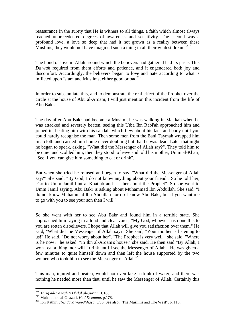reassurance in the surety that He is witness to all things, a faith which almost always reached unprecedented degrees of awareness and sensitivity. The second was a profound love; a love so deep that had it not grown as a reality between these Muslims, they would not have imagined such a thing in all their wildest dreams<sup>[218](#page-66-0)</sup>.

The bond of love in Allah around which the believers had gathered had its price. This *Da'wah* required from them efforts and patience, and it engendered both joy and discomfort. Accordingly, the believers began to love and hate according to what is inflictedupon Islam and Muslims, either good or bad<sup>219</sup>.

In order to substantiate this, and to demonstrate the real effect of the Prophet over the circle at the house of Abu al-Arqam, I will just mention this incident from the life of Abu Bakr.

The day after Abu Bakr had become a Muslim, he was walking in Makkah when he was attacked and severely beaten, seeing this Utba Ibn Rabi'ah approached him and joined in, beating him with his sandals which flew about his face and body until you could hardly recognise the man. Then some men from the Bani Taymah wrapped him in a cloth and carried him home never doubting but that he was dead. Later that night he began to speak, asking, "What did the Messenger of Allah say?". They told him to be quiet and scolded him, then they stood to leave and told his mother, Umm al-Khair, "See if you can give him something to eat or drink".

But when she tried he refused and began to say, "What did the Messenger of Allah say?" She said, "By God, I do not know anything about your friend". So he told her, "Go to Umm Jamil bint al-Khattab and ask her about the Prophet". So she went to Umm Jamil saying, Abu Bakr is asking about Muhammad Ibn Abdullah. She said, "I do not know Muhammad Ibn Abdullah nor do I know Abu Bakr, but if you want me to go with you to see your son then I will."

So she went with her to see Abu Bakr and found him in a terrible state. She approached him saying in a loud and clear voice, "My God, whoever has done this to you are rotten disbelievers. I hope that Allah will give you satisfaction over them." He said, "What did the Messenger of Allah say?" She said, "Your mother is listening to us!" He said, "Do not worry about her". "The Prophet is very well", she said. "Where is he now?" he asked. "In Ibn al-Arqam's house," she said. He then said "By Allah, I won't eat a thing, nor will I drink until I see the Messenger of Allah". He was given a few minutes to quiet himself down and then left the house supported by the two women who took him to see the Messenger of Allah $^{220}$  $^{220}$  $^{220}$ .

This man, injured and beaten, would not even take a drink of water, and there was nothing he needed more than that, until he saw the Messenger of Allah. Certainly this

<span id="page-66-0"></span><sup>218</sup> *Tariq ad-Da'wah fi Dhilal al-Qur'an,* 1/188.

<span id="page-66-1"></span><sup>219</sup> Muhammad al-Ghazali, *Had Deenuna,* p.178.

<span id="page-66-2"></span><sup>220</sup> Ibn Kathir, *al-Bidaya wan-Nihaya,* 3/30. See also: "The Muslims and The West", p. 113.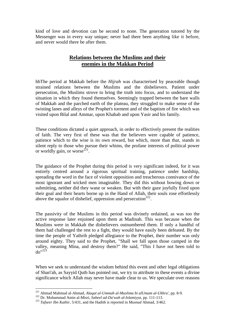kind of love and devotion can be second to none. The generation tutored by the Messenger was in every way unique; never had there been anything like it before, and never would there be after them.

### **Relations between the Muslims and their enemies in the Makkan Period**

hbThe period at Makkah before the *Hijrah* was characterised by peaceable though strained relations between the Muslims and the disbelievers. Patient under persecution, the Muslims strove to bring the truth into focus, and to understand the situation in which they found themselves. Seemingly trapped between the bare walls of Makkah and the parched earth of the plateau, they struggled to make sense of the twisting lanes and alleys of the Prophet's torment and of the baptism of fire which was visited upon Bilal and Ammar, upon Khabab and upon Yasir and his family.

These conditions dictated a quiet approach, in order to effectively present the realities of faith. The very first of these was that the believers were capable of patience, patience which to the wise is its own reward, but which, more than that, stands in silent reply to those who pursue their whims, the profane interests of political power or worldly gain, or worse<sup>[221](#page-67-0)</sup>.

The guidance of the Prophet during this period is very significant indeed, for it was entirely centred around a rigorous spiritual training, patience under hardship, spreading the word in the face of violent opposition and treacherous connivance of the most ignorant and wicked men imaginable. They did this without bowing down or submitting, neither did they wane or weaken. But with their gaze joyfully fixed upon their goal and their hearts borne up in the Hand of Allah, their souls rose effortlessly above the squalor of disbelief, oppression and persecution $^{222}$  $^{222}$  $^{222}$ .

The passivity of the Muslims in this period was divinely ordained, as was too the active response later enjoined upon them at Madinah. This was because when the Muslims were in Makkah the disbelievers outnumbered them. If only a handful of them had challenged the rest to a fight, they would have easily been defeated. By the time the people of Yathrib pledged allegiance to the Prophet, their number was only around eighty. They said to the Prophet, "Shall we fall upon those camped in the valley, meaning Mina, and destroy them?" He said, "This I have not been told to  $d\Omega$ <sup>"[223](#page-67-2)</sup>

When we seek to understand the wisdom behind this event and other legal obligations of Shari'ah, as Sayyid Qutb has pointed out, we try to attribute to these events a divine significance which Allah may never have made clear to us. We speculate over reasons

<span id="page-67-0"></span><sup>221</sup> Ahmad Mahmud al-Ahmad, *Alaqat al-Ummah al-Muslima bi alUmam al-Ukhra',* pp. 8-9.

<span id="page-67-1"></span><sup>222</sup> Dr. Muhammad Amin al-Misri, *Sabeel ad-Da'wah al-Islamiyya,* pp. 111-113.

<span id="page-67-2"></span><sup>223</sup> *Tafseer Ibn Kathir,* 5/431, and the Hadith is reported in *Musnad* Ahmad, 3/462.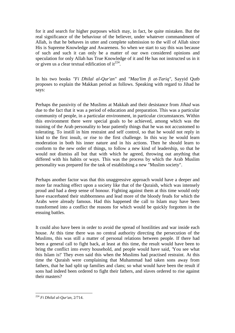for it and search for higher purposes which may, in fact, be quite mistaken. But the real significance of the behaviour of the believer, under whatever commandment of Allah, is that he behaves in utter and complete submission to the will of Allah since His is Supreme Knowledge and Awareness. So when we start to say this was because of such and such it can only be a matter of our own considered opinions and speculation for only Allah has True Knowledge of it and He has not instructed us in it orgiven us a clear textual edification of  $it^{224}$ .

In his two books *"Fi Dhilal al-Qur'an"* and *"Maa'lim fi at-Tariq",* Sayyid Qutb proposes to explain the Makkan period as follows. Speaking with regard to Jihad he says:

Perhaps the passivity of the Muslims at Makkah and their desistance from *Jihad* was due to the fact that it was a period of education and preparation. This was a particular community of people, in a particular environment, in particular circumstances. Within this environment there were special goals to be achieved, among which was the training of the Arab personality to bear patiently things that he was not accustomed to tolerating. To instill in him restraint and self control, so that he would not reply in kind to the first insult, or rise to the first challenge. In this way he would learn moderation in both his inner nature and in his actions. Then he should learn to conform to the new order of things, to follow a new kind of leadership, so that he would not dismiss all but that with which he agreed, throwing out anything that differed with his habits or ways. This was the process by which the Arab Muslim personality was prepared for the task of establishing a new "Muslim society".

Perhaps another factor was that this unaggressive approach would have a deeper and more far reaching effect upon a society like that of the Quraish, which was intensely proud and had a deep sense of honour. Fighting against them at this time would only have exacerbated their stubbornness and lead more of the bloody feuds for which the Arabs were already famous. Had this happened the call to Islam may have been transformed into a conflict the reasons for which would be quickly forgotten in the ensuing battles.

It could also have been in order to avoid the spread of hostilities and war inside each house. At this time there was no central authority directing the persecution of the Muslims, this was still a matter of personal relations between people. If there had been a general call to fight back, at least at this time, the result would have been to bring the conflict into every household, and people would have said, 'You see what this Islam is!' They even said this when the Muslims had practised restraint. At this time the Quraish were complaining that Muhammad had taken sons away from fathers, that he had split up families and clans; so what would have been the result if sons had indeed been ordered to fight their fathers, and slaves ordered to rise against their masters?

<span id="page-68-0"></span><sup>224</sup> *Fi Dhilal al-Qur'an,* 2/714.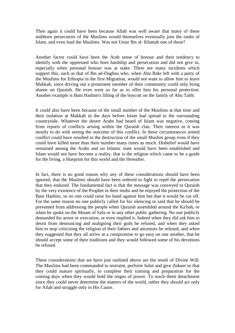Then again it could have been because Allah was well aware that many of these stubborn persecutors of the Muslims would themselves eventually join the ranks of Islam, and even lead the Muslims. Was not Umar Ibn al- Khattab one of these?

Another factor could have been the Arab sense of honour and their tendency to identify with the oppressed who bore hardship and persecution and did not give in, especially when personal honour was at stake. There are many incidents which support this, such as that of Ibn ad-Daghna who, when Abu Bakr left with a party of the Muslims for Ethiopia in the first Migration, would not want to allow him to leave Makkah, since driving out a prominent member of their community could only bring shame on Quraish. He even went so far as to offer him his personal protection. Another example is Bani Hashim's lifting of the boycott on the family of Abu Talib.

It could also have been because of the small number of the Muslims at that time and their isolation at Makkah in the days before Islam had spread to the surrounding countryside. Whatever the desert Arabs had heard of Islam was negative, coming from reports of conflicts arising within the Quraish clan. Their interest in it was mostly to do with seeing the outcome of this conflict. In these circumstances armed conflict could have resulted in the destruction of the small Muslim group even if they could have killed more than their number many times as much. Disbelief would have remained among the Arabs and no Islamic state would have been established and Islam would not have become a reality, that is the religion which came to be a guide for the living, a blueprint for this world and the Hereafter.

In fact, there is no good reason why any of these considerations should have been ignored, that the Muslims should have been ordered to fight to repel the persecution that they endured. The fundamental fact is that the message was conveyed to Quraish by the very existence of the Prophet in their midst and he enjoyed the protection of the Bani Hashim, so no one could raise his hand against him but that it would be cut off. For the same reason no one publicly called for his silencing or said that he should be prevented from addressing the people when Quraish assembled around the Ka'bah, or when he spoke on the Mount of Safa or in any other public gathering. No one publicly demanded his arrest or execution, or even implied it. Indeed when they did ask him to desist from denouncing and maligning their gods he refused, and when they asked him to stop criticising the religion of their fathers and ancestors he refused, and when they suggested that they all arrive at a compromise to go easy on one another, that he should accept some of their traditions and they would followed some of his devotions he refused.

These considerations that we have just outlined above are the result of Divine Will. The Muslims had been commanded to restraint, perform *Salat* and give *Zakaat* so that they could mature spiritually, to complete their training and preparation for the coming days when they would hold the reigns of power. To teach them detachment since they could never determine the matters of the world, rather they should act only for Allah and struggle only in His Cause.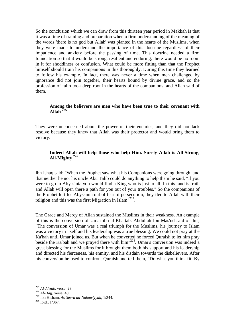So the conclusion which we can draw from this thirteen year period in Makkah is that it was a time of training and preparation when a firm understanding of the meaning of the words 'there is no god but Allah' was planted in the hearts of the Muslims, when they were made to understand the importance of this doctrine regardless of their impatience and anxiety before the passing of time. This doctrine needed a firm foundation so that it would be strong, resilient and enduring, there would be no room in it for shoddiness or confusion. What could be more fitting than that the Prophet himself should train his companions in this thoroughly. During this time they learned to follow his example. In fact, there was never a time when men challenged by ignorance did not join together, their hearts bound by divine grace, and so the profession of faith took deep root in the hearts of the companions, and Allah said of them,

#### **Among the believers are men who have been true to their covenant with Allah [225](#page-70-0)**

They were unconcerned about the power of their enemies, and they did not lack resolve because they knew that Allah was their protector and would bring them to victory.

#### **Indeed Allah will help those who help Him. Surely Allah is All-Strong, All-Mighty [226](#page-70-1)**

Ibn Ishaq said: "When the Prophet saw what his Companions were going through, and that neither he nor his uncle Abu Talib could do anything to help them he said, "If you were to go to Abyssinia you would find a King who is just to all. In this land is truth and Allah will open there a path for you out of your troubles." So the companions of the Prophet left for Abyssinia out of fear of persecution, they fled to Allah with their religion and this was the first Migration in Islam"<sup>[227](#page-70-2)</sup>.

The Grace and Mercy of Allah sustained the Muslims in their weakness. An example of this is the conversion of Umar ibn al-Khattab. Abdullah Ibn Mas'ud said of this, "The conversion of Umar was a real triumph for the Muslims, his journey to Islam was a victory in itself and his leadership was a true blessing. We could not pray at the Ka'bah until Umar joined us. But when he converted he forced Quraish to let him pray beside the Ka'bah and we prayed there with him"[228](#page-70-3). Umar's conversion was indeed a great blessing for the Muslims for it brought them both his support and his leadership and directed his fierceness, his enmity, and his disdain towards the disbelievers. After his conversion he used to confront Quraish and tell them, "Do what you think fit. By

<span id="page-70-0"></span><sup>225</sup> *Al-Ahzab,* verse: 23.

<span id="page-70-1"></span><sup>226</sup> *Al-Hajj,* verse: 40.

<span id="page-70-2"></span><sup>227</sup> Ibn Hisham, *As-Seera an-Nabawiyyah,* 1/344.

<span id="page-70-3"></span><sup>228</sup> Ibid., 1/367.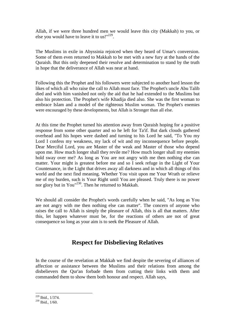Allah, if we were three hundred men we would leave this city (Makkah) to you, or elseyou would have to leave it to us!" $^{229}$ .

The Muslims in exile in Abyssinia rejoiced when they heard of Umar's conversion. Some of them even returned to Makkah to be met with a new fury at the hands of the Quraish. But this only deepened their resolve and determination to stand by the truth in hope that the deliverance of Allah was near at hand.

Following this the Prophet and his followers were subjected to another hard lesson the likes of which all who raise the call to Allah must face. The Prophet's uncle Abu Talib died and with him vanished not only the aid that he had extended to the Muslims but also his protection. The Prophet's wife Khadija died also. She was the first woman to embrace Islam and a model of the righteous Muslim woman. The Prophet's enemies were encouraged by these developments, but Allah is Stronger than all else.

At this time the Prophet turned his attention away from Quraish hoping for a positive response from some other quarter and so he left for Ta'if. But dark clouds gathered overhead and his hopes were dashed and turning to his Lord he said, "To You my Lord I confess my weakness, my lack of wit and my inconsequence before people. Dear Merciful Lord, you are Master of the weak and Master of those who depend upon me. How much longer shall they revile me? How much longer shall my enemies hold sway over me? As long as You are not angry with me then nothing else can matter. Your might is greatest before me and so I seek refuge in the Light of Your Countenance, in the Light that drives away all darkness and in which all things of this world and the next find meaning. Whether You visit upon me Your Wrath or relieve me of my burden, such is Your Right until You are pleased. Truly there is no power nor glory but in You"[230](#page-71-1). Then he returned to Makkah.

We should all consider the Prophet's words carefully when he said, "As long as You are not angry with me then nothing else can matter". The concern of anyone who raises the call to Allah is simply the pleasure of Allah, this is all that matters. After this, let happen whatever must be, for the reactions of others are not of great consequence so long as your aim is to seek the Pleasure of Allah.

## **Respect for Disbelieving Relatives**

In the course of the revelation at Makkah we find despite the severing of alliances of affection or assistance between the Muslims and their relations from among the disbelievers the Qur'an forbade them from cutting their links with them and commanded them to show them both honour and respect. Allah says,

<span id="page-71-0"></span><sup>229</sup> Ibid., 1/374.

<span id="page-71-1"></span><sup>230</sup> Ibid., 1/60.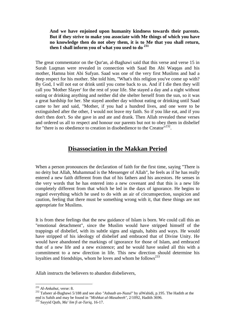#### **And we have enjoined upon humanity kindness towards their parents. But if they strive to make you associate with Me things of which you have no knowledge then do not obey them, it is to Me that you shall return, thenI shall inform you of what you used to**  $\delta$  **<b>do**  $^{231}$

The great commentator on the Qur'an, al-Baghawi said that this verse and verse 15 in Surah Luqman were revealed in connection with Saad Ibn Abi Waqqas and his mother, Hamna bint Abi Sufyan. Saad was one of the very first Muslims and had a deep respect for his mother. She told him, "What's this religion you've come up with? By God, I will not eat or drink until you come back to us. And if I die then they will call you 'Mother Slayer' for the rest of your life. She stayed a day and a night without eating or drinking anything and neither did she shelter herself from the sun, so it was a great hardship for her. She stayed another day without eating or drinking until Saad came to her and said, "Mother, if you had a hundred lives, and one were to be extinguished after the other, I would not leave my faith. So if you like eat, and if you don't then don't. So she gave in and ate and drank. Then Allah revealed these verses and ordered us all to respect and honour our parents but not to obey them in disbelief for "there is no obedience to creation in disobedience to the Creator"<sup>[232](#page-72-1)</sup>.

### **Disassociation in the Makkan Period**

When a person pronounces the declaration of faith for the first time, saying "There is no deity but Allah, Muhammad is the Messenger of Allah", he feels as if he has really entered a new faith different from that of his fathers and his ancestors. He senses in the very words that he has entered into a new covenant and that this is a new life completely different from that which he led in the days of ignorance. He begins to regard everything which he used to do with an air of circumspection, suspicion and caution, feeling that there must be something wrong with it, that these things are not appropriate for Muslims.

It is from these feelings that the new guidance of Islam is born. We could call this an "emotional detachment", since the Muslim would have stripped himself of the trappings of disbelief, with its subtle signs and signals, habits and ways. He would have stripped of his ideology of disbelief and embraced that of Divine Unity. He would have abandoned the markings of ignorance for those of Islam, and embraced that of a new life and a new existence; and he would have sealed all this with a commitment to a new direction in life. This new direction should determine his loyalties and friendships, whom he loves and whom he follows<sup> $^{233}$  $^{233}$  $^{233}$ </sup>

Allah instructs the believers to abandon disbelievers,

<span id="page-72-0"></span><sup>231</sup> *Al-Ankabut,* verse: 8.

<span id="page-72-1"></span><sup>&</sup>lt;sup>232</sup> Tafseer al-Baghawi 5/188 and see also "Asbaab an-Nuzul" by alWahidi, p.195. The Hadith at the end is Sahih and may be found in *"Mishkat al-Masabeeh",* 2/1092, Hadith 3696.

<span id="page-72-2"></span><sup>233</sup> Sayyid Qutb, *Ma' lim fi at-Tariq,* 16-17.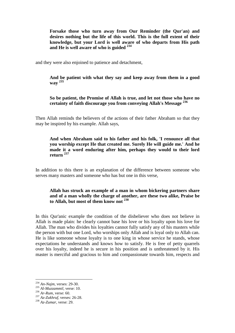**Forsake those who turn away from Our Reminder (the Qur'an) and desires nothing but the life of this world. This is the full extent of their knowledge, but your Lord is well aware of who departs from His path and He is well aware of who is guided [234](#page-73-0)**

and they were also enjoined to patience and detachment,

**And be patient with what they say and keep away from them in a good way [235](#page-73-1)**

**So be patient, the Promise of Allah is true, and let not those who have no certainty of faith discourage you from conveying Allah's Message [236](#page-73-2)**

Then Allah reminds the believers of the actions of their father Abraham so that they may be inspired by his example. Allah says,

#### **And when Abraham said to his father and his folk, 'I renounce all that you worship except He that created me. Surely He will guide me.' And he made it a word enduring after him, perhaps they would to their lord return [237](#page-73-3)**

In addition to this there is an explanation of the difference between someone who serves many masters and someone who has but one in this verse,

#### **Allah has struck an example of a man in whom bickering partners share and of a man wholly the charge of another, are these two alike, Praise be to Allah, but most of them knownot <sup>238</sup>**

In this Qur'anic example the condition of the disbeliever who does not believe in Allah is made plain: he clearly cannot base his love or his loyalty upon his love for Allah. The man who divides his loyalties cannot fully satisfy any of his masters while the person with but one Lord, who worships only Allah and is loyal only to Allah can. He is like someone whose loyalty is to one king in whose service he stands, whose expectations he understands and knows how to satisfy. He is free of petty quarrels over his loyalty, indeed he is secure in his position and is unthreatened by it. His master is merciful and gracious to him and compassionate towards him, respects and

<span id="page-73-0"></span><sup>234</sup> *An-Najm,* verses: 29-30.

<span id="page-73-1"></span><sup>235</sup> *Al-Muzzammil,* verse: 10.

<span id="page-73-2"></span><sup>236</sup> *Ar-Rum,* verse: 60.

<span id="page-73-3"></span><sup>237</sup> *Az-Zukhruf,* verses: 26-28.

<span id="page-73-4"></span><sup>238</sup> *Az-Zumar,* verse: 29.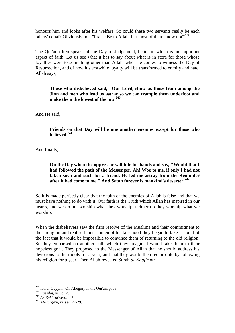honours him and looks after his welfare. So could these two servants really be each others'equal? Obviously not. ["](#page-74-0)Praise Be to Allah, but most of them know not"<sup>239</sup>.

The Qur'an often speaks of the Day of Judgement, belief in which is an important aspect of faith. Let us see what it has to say about what is in store for those whose loyalties were to something other than Allah, when he comes to witness the Day of Resurrection, and of how his erstwhile loyalty will be transformed to enmity and hate. Allah says,

**Those who disbelieved said, "Our Lord, show us those from among the Jinn and men who lead us astray so we can trample them underfoot and make them the lowest of thelow <sup>240</sup>**

And He said,

**Friends on that Day will be one another enemies except for those who believed [241](#page-74-2)**

And finally,

#### **On the Day when the oppressor will bite his hands and say, "Would that I had followed the path of the Messenger. Ah! Woe to me, if only I had not taken such and such for a friend. He led me astray from the Reminder after it had come to me." And Satan forever is mankind's deserter [242](#page-74-3)**

So it is made perfectly clear that the faith of the enemies of Allah is false and that we must have nothing to do with it. Our faith is the Truth which Allah has inspired in our hearts, and we do not worship what they worship, neither do they worship what we worship.

When the disbelievers saw the firm resolve of the Muslims and their commitment to their religion and realised their contempt for falsehood they began to take account of the fact that it would be impossible to convince them of returning to the old religion. So they embarked on another path which they imagined would take them to their hopeless goal. They proposed to the Messenger of Allah that he should address his devotions to their idols for a year, and that they would then reciprocate by following his religion for a year. Then Allah revealed Surah *al-Kaafirun:*

<span id="page-74-0"></span><sup>239</sup> Ibn al-Qayyim, On Allegory in the Qur'an, p. 53.

<span id="page-74-1"></span><sup>240</sup> *Fussilat,* verse: 29.

<span id="page-74-2"></span><sup>241</sup> *Az-Zukhruf* verse: 67.

<span id="page-74-3"></span><sup>242</sup> *Al-Furqa'n,* verses: 27-29.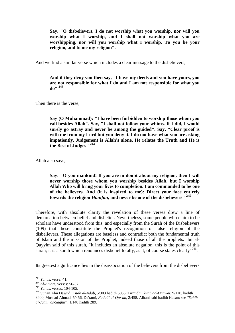**Say, "O disbelievers, I do not worship what you worship, nor will you worship what I worship, and I shall not worship what you are worshipping, nor will you worship what I worship. To you be your religion, and to me my religion".**

And we find a similar verse which includes a clear message to the disbelievers,

**And if they deny you then say, "I have my deeds and you have yours, you are not responsible for what I do and I am not responsible for what you do" [243](#page-75-0)**

Then there is the verse,

**Say (O Muhammad): "I have been forbidden to worship those whom you call besides Allah". Say, "I shall not follow your whims. If I did, I would surely go astray and never be among the guided". Say, "Clear proof is with me from my Lord but you deny it. I do not have what you are asking impatiently. Judgement is Allah's alone, He relates the Truth and He is the Best of Judges" [244](#page-75-1)**

Allah also says,

**Say: "O you mankind! If you are in doubt about my religion, then I will never worship those whom you worship besides Allah, but I worship Allah Who will bring your lives to completion. I am commanded to be one of the believers. And (it is inspired to me): Direct your face entirely towards the religion** *Hanifan,* **and never be one of the disbelievers" [245](#page-75-2)**

Therefore, with absolute clarity the revelation of these verses drew a line of demarcation between belief and disbelief. Nevertheless, some people who claim to be scholars have understood from this, and especially from the Surah of the Disbelievers (109) that these constitute the Prophet's recognition of false religion of the disbelievers. These allegations are baseless and contradict both the fundamental truth of Islam and the mission of the Prophet, indeed those of all the prophets. Ibn al-Qayyim said of this surah, "It includes an absolute negation, this is the point of this surah; it is a surah which renounces disbelief totally, as it, of course states clearly  $246$ .

Its greatest significance lies in the disassociation of the believers from the disbelievers

<span id="page-75-0"></span><sup>243</sup> *Yunus,* verse: 41.

<span id="page-75-1"></span><sup>244</sup> *Al-An'am,* verses: 56-57.

<span id="page-75-2"></span><sup>245</sup> *Yunus,* verses: 104-105.

<span id="page-75-3"></span><sup>246</sup> Sunan Abu Dawud, *Kitab al-Adab,* 5/303 hadith 5055, Tirmidhi, *kitab ad-Daawat,* 9/110, hadith 3400, Musnad Ahmad, 5/456, Da'rami, *Fada'il al-Qur'an,* 2/458. Albani said hadith Hasan; see *"Sahih al-Ja'mi' as-Saghir",* 1/140 hadith 289.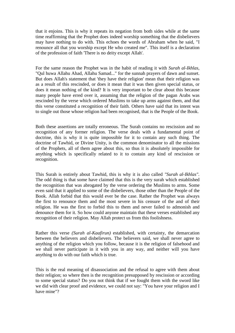that it enjoins. This is why it repeats its negation from both sides while at the same time reaffirming that the Prophet does indeed worship something that the disbelievers may have nothing to do with. This echoes the words of Abraham when he said, "I renounce all that you worship except He who created me". This itself is a declaration of the profession of faith 'There is no deity except Allah'.

For the same reason the Prophet was in the habit of reading it with *Surah al-Ikhlas,* "Qul huwa Allahu Ahad, Allahu Samad..." for the sunnah prayers of dawn and sunset. But does Allah's statement that 'they have their religion' mean that their religion was as a result of this rescinded, or does it mean that it was then given special status, or does it mean nothing of the kind? It is very important to be clear about this because many people have erred over it, assuming that the religion of the pagan Arabs was rescinded by the verse which ordered Muslims to take up arms against them, and that this verse constituted a recognition of their faith. Others have said that its intent was to single out those whose religion had been recognised, that is the People of the Book.

Both these assertions are totally erroneous. The Surah contains no rescission and no recognition of any former religion. The verse deals with a fundamental point of doctrine, this is why it is quite impossible for it to contain any such thing. The doctrine of Tawhid, or Divine Unity, is the common denominator to all the missions of the Prophets, all of them agree about this, so thus it is absolutely impossible for anything which is specifically related to it to contain any kind of rescission or recognition.

This Surah is entirely about Tawhid, this is why it is also called *"Surah al-Ikhlas".* The odd thing is that some have claimed that this is the very surah which established the recognition that was abrogated by the verse ordering the Muslims to arms. Some even said that it applied to some of the disbelievers, those other than the People of the Book. Allah forbid that this would ever be the case. Rather the Prophet was always the first to renounce them and the most severe in his censure of the and of their religion. He was the first to forbid this to them and never failed to admonish and denounce them for it. So how could anyone maintain that these verses established any recognition of their religion. May Allah protect us from this foolishness.

Rather this verse *(Surah al-Kaafirun)* established, with certainty, the demarcation between the believers and disbelievers. The believers said, we shall never agree to anything of the religion which you follow, because it is the religion of falsehood and we shall never participate in it with you in any way, and neither will you have anything to do with our faith which is true.

This is the real meaning of disassociation and the refusal to agree with them about their religion; so where then is the recognition presupposed by rescission or according to some special status? Do you not think that if we fought them with the sword like we did with clear proof and evidence, we could not say: "You have your religion and I have mine"?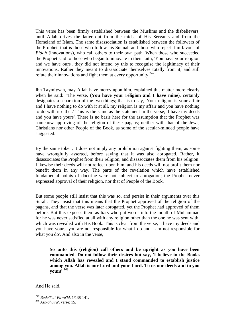This verse has been firmly established between the Muslims and the disbelievers, until Allah drives the latter out from the midst of His Servants and from the Homeland of Islam. The same disassociation is established between the followers of the Prophet, that is those who follow his Sunnah and those who reject it in favour of *Bidah* (innovations), who call others to their own path. When those who succeeded the Prophet said to those who began to innovate in their faith, 'You have your religion and we have ours', they did not intend by this to recognise the legitimacy of their innovations. Rather they meant to disassociate themselves totally from it; and still refute their innovations and fight them at every opportunity  $247$ .

Ibn Taymiyyah, may Allah have mercy upon him, explained this matter more clearly when he said: "The verse, **(You have your religion and I have mine)**, certainly designates a separation of the two things; that is to say, 'Your religion is your affair and I have nothing to do with it at all, my religion is my affair and you have nothing to do with it either.' This is the same as the statement in the verse, 'I have my deeds and you have yours'. There is no basis here for the assumption that the Prophet was somehow approving of the religion of these pagans; neither with that of the Jews, Christians nor other People of the Book, as some of the secular-minded people have suggested.

By the same token, it does not imply any prohibition against fighting them, as some have wrongfully asserted, before saying that it was also abrogated. Rather, it disassociates the Prophet from their religion, and disassociates them from his religion. Likewise their deeds will not reflect upon him, and his deeds will not profit them nor benefit them in any way. The parts of the revelation which have established fundamental points of doctrine were not subject to abrogation; the Prophet never expressed approval of their religion, nor that of People of the Book.

But some people still insist that this was so, and persist in their arguments over this Surah. They insist that this means that the Prophet approved of the religion of the pagans, and that the verse was later abrogated, yet the Prophet had approved of them before. But this exposes them as liars who put words into the mouth of Muhammad for he was never satisfied at all with any religion other than the one he was sent with, which was revealed with His Book. This is clear from the verse, 'I have my deeds and you have yours, you are not responsible for what I do and I am not responsible for what you do'. And also in the verse,

**So unto this (religion) call others and be upright as you have been commanded. Do not follow their desires but say, 'I believe in the Books which Allah has revealed and I stand commanded to establish justice among you. Allah is our Lord and your Lord. To us our deeds and to you yours' [248](#page-77-1)**

And He said,

<span id="page-77-0"></span><sup>247</sup> *Bada'i' al-Fawa'id,* 1/138-141.

<span id="page-77-1"></span><sup>248</sup> *Ash-Shu'ra',* verse: 15.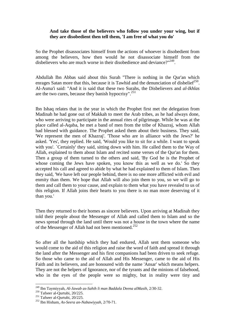#### **And take those of the believers who follow you under your wing, but if they are disobedient then tell them, 'I am free of what you do'**

So the Prophet disassociates himself from the actions of whoever is disobedient from among the believers, how then would he not disassociate himself from the disbelievers who are much worse in their disobedience and deviance?"<sup>[249](#page-78-0)</sup>.

Abdullah Ibn Abbas said about this Surah "There is nothing in the Qur'an which enrages Satan more that this, because it is Tawhid and the denunciation of disbelief<sup>[250](#page-78-1)</sup>. Al-Asma'i said: "And it is said that these two Surahs, the Disbelievers and *al-Ikhlas* are the two cures, because they banish hypocrisy".[251](#page-78-2)

Ibn Ishaq relates that in the year in which the Prophet first met the delegation from Madinah he had gone out of Makkah to meet the Arab tribes, as he had always done, who were arriving to participate in the annual rites of pilgrimage. While he was at the place called al-Aqaba, he met a band of men from the tribe of Khazraj, whom Allah had blessed with guidance. The Prophet asked them about their business. They said, 'We represent the men of Khazraj'. 'Those who are in alliance with the Jews?' he asked. 'Yes', they replied. He said, 'Would you like to sit for a while. I want to speak with you'. `Certainly' they said, sitting down with him. He called them to the Way of Allah, explained to them about Islam and recited some verses of the Qur'an for them. Then a group of them turned to the others and said, 'By God he is the Prophet of whose coming the Jews have spoken, you know this as well as we do.' So they accepted his call and agreed to abide by what he had explained to them of Islam. Then they said, 'We have left our people behind, there is no one more afflicted with evil and enmity than them. We hope that Allah will also join them to you, so we will go to them and call them to your cause, and explain to them what you have revealed to us of this religion. If Allah joins their hearts to you there is no man more deserving of it than you.'

Then they returned to their homes as sincere believers. Upon arriving at Madinah they told their people about the Messenger of Allah and called them to Islam and so the news spread through the land until there was not a house in the town where the name of the Messenger of Allah had not been mentioned.<sup>[252](#page-78-3)</sup>

So after all the hardship which they had endured, Allah sent them someone who would come to the aid of this religion and raise the word of faith and spread it through the land after the Messenger and his first companions had been driven to seek refuge. So those who came to the aid of Allah and His Messenger, came to the aid of His Faith and its believers, and are honoured with the name 'Ansar' which means helpers. They are not the helpers of Ignorance, nor of the tyrants and the minions of falsehood, who in the eyes of the people were so mighty, but in reality were tiny and

<span id="page-78-0"></span><sup>249</sup> Ibn Taymiyyah, *Al-Jawab as-Sahih li man Baddala Deena alMasih,* 2/30-32.

<span id="page-78-1"></span> $^{250}$  Tafseer al-Ourtubi,  $20/225$ .

<span id="page-78-3"></span><span id="page-78-2"></span> $251$  Tafseer al-Qurtubi, 20/225.

<sup>252</sup> Ibn Hisham, *As-Seera an-Nabawiyyah,* 2/70-71.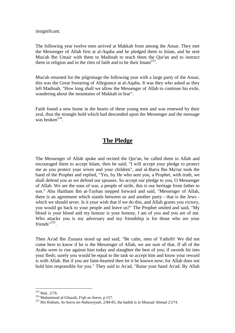insignificant.

The following year twelve men arrived at Makkah from among the Ansar. They met the Messenger of Allah first at al-Aqaba and he pledged them to Islam, and he sent Mus'ab Ibn Umair with them to Madinah to teach them the Qur'an and to instruct them in religion and in the rites of faith and to be their  $\text{Imam}^{253}$  $\text{Imam}^{253}$  $\text{Imam}^{253}$ .

Mus'ab returned for the pilgrimage the following year with a large party of the Ansar, this was the Great Swearing of Allegiance at al-Aqaba. It was they who asked as they left Madinah, "How long shall we allow the Messenger of Allah to continue his exile, wandering about the mountains of Makkah in fear".

Faith found a new home in the hearts of these young men and was renewed by their zeal, thus the strangle hold which had descended upon the Messenger and the message was broken $^{254}$  $^{254}$  $^{254}$ .

## **The Pledge**

The Messenger of Allah spoke and recited the Qur'an, he called them to Allah and encouraged them to accept Islam, then he said, "I will accept your pledge to protect me as you protect your wives and your children", and al-Barra Ibn Ma'rur took the hand of the Prophet and replied, "Yes, by He who sent you, a Prophet, with truth, we shall defend you as we defend our spouses. So accept our pledge to you, O Messenger of Allah. We are the sons of war, a people of strife, this is our heritage from father to son." Abu Haitham Ibn at-Tayhan stepped forward and said, "Messenger of Allah, there is an agreement which stands between us and another party - that is the Jews which we should sever. Is it your wish that if we do this, and Allah grants you victory, you would go back to your people and leave us?" The Prophet smiled and said, "My blood is your blood and my honour is your honour, I am of you and you are of me. Who attacks you is my adversary and my friendship is for those who are your friends" $^{255}$  $^{255}$  $^{255}$ .

Then As'ad Ibn Zuraara stood up and said, "Be calm, men of Yathrib! We did not come here to know if he is the Messenger of Allah, we are sure of that. If all of the Arabs were to rise against him today and slaughter the best of you; if swords bit into your flesh; surely you would be equal to the task so accept him and know your reward is with Allah. But if you are faint-hearted then let it be known now; for Allah does not hold him responsible for you." They said to As'ad, "Raise your hand As'ad. By Allah

<span id="page-79-0"></span><sup>253</sup> Ibid., 2/76.

<span id="page-79-2"></span><span id="page-79-1"></span><sup>254</sup> Muhammad al-Ghazali, *Fiqh as-Seera,* p.157.

<sup>255</sup> Ibn Hisham, *As-Seera an-Nabawiyyah,* 2/84-85, the hadith is in Musnad Ahmad 2/274.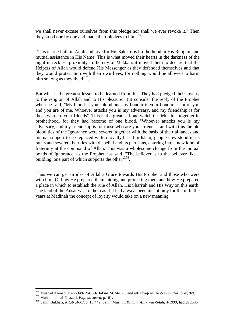we shall never excuse ourselves from this pledge nor shall we ever revoke it." Then theystood one by one and made their pledges to  $him''^{256}$ .

"This is true faith in Allah and love for His Sake, it is brotherhood in His Religion and mutual assistance in His Name. This is what moved their hearts in the darkness of the night in reckless proximity to the city of Makkah, it moved them to declare that the Helpers of Allah would defend His Messenger as they defended themselves and that they would protect him with their own lives; for nothing would be allowed to harm him so long as they lived $^{257}$  $^{257}$  $^{257}$ .

But what is the greatest lesson to be learned from this. They had pledged their loyalty to the religion of Allah and to His pleasure. But consider the reply of the Prophet when he said, "My blood is your blood and my honour is your honour, I am of you and you are of me. Whoever attacks you is my adversary, and my friendship is for those who are your friends". This is the greatest bond which ties Muslims together in brotherhood, for they had become of one blood. "Whoever attacks you is my adversary, and my friendship is for those who are your friends", and with this the old blood ties of the Ignorance were severed together with the basis of their alliances and mutual support to be replaced with a loyalty based in Islam; people now stood in its ranks and severed their ties with disbelief and its partisans, entering into a new kind of fraternity at the command of Allah. This was a wholesome change from the mutual bonds of Ignorance, as the Prophet has said, "The believer is to the believer like a building, one part of which supports the other"<sup>[258](#page-80-2)</sup>.

Thus we can get an idea of Allah's Grace towards His Prophet and those who were with him. Of how He prepared them, aiding and protecting them and how He prepared a place in which to establish the rule of Allah, His Shari'ah and His Way on this earth. The land of the Ansar was to them as if it had always been meant only for them. In the years at Madinah the concept of loyalty would take on a new meaning.

<span id="page-80-0"></span><sup>256</sup> Musnad Ahmad 3/322-349-394, Al-Hakim 2/624-625, and alBaihaqi in *`As-Sunan al-Kubra',* 9/9.

<span id="page-80-1"></span><sup>257</sup> Muhammad al-Ghazali, *Fiqh as-Seera,* p.161.

<span id="page-80-2"></span><sup>258</sup> Sahih Bukhari, *Kitab al-Adab,* 10/442, Sahih Muslim, *Kitab al-Birr was-Silah,* 4/1999, hadith 2585.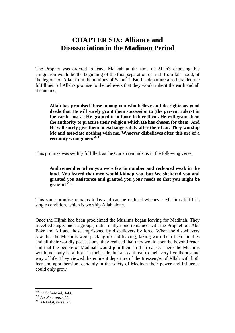# **CHAPTER SIX: Alliance and Disassociation in the Madinan Period**

The Prophet was ordered to leave Makkah at the time of Allah's choosing, his emigration would be the beginning of the final separation of truth from falsehood, of the legions of Allah from the minions of Satan<sup>[259](#page-81-0)</sup>. But his departure also heralded the fulfillment of Allah's promise to the believers that they would inherit the earth and all it contains,

**Allah has promised those among you who believe and do righteous good deeds that He will surely grant them succession to (the present rulers) in the earth, just as He granted it to those before them. He will grant them the authority to practise their religion which He has chosen for them. And He will surely give them in exchange safety after their fear. They worship Me and associate nothing with me. Whoever disbelieves after this are of a certainty wrongdoers [260](#page-81-1)**

This promise was swiftly fulfilled, as the Qur'an reminds us in the following verse,

#### **And remember when you were few in number and reckoned weak in the land. You feared that men would kidnap you, but We sheltered you and granted you assistance and granted you your needs so that you might be grateful [261](#page-81-2)**

This same promise remains today and can be realised whenever Muslims fulfil its single condition, which is worship Allah alone.

Once the Hijrah had been proclaimed the Muslims began leaving for Madinah. They travelled singly and in groups, until finally none remained with the Prophet but Abu Bakr and Ali and those imprisoned by disbelievers by force. When the disbelievers saw that the Muslims were packing up and leaving, taking with them their families and all their worldly possessions, they realised that they would soon be beyond reach and that the people of Madinah would join them in their cause. There the Muslims would not only be a thorn in their side, but also a threat to their very livelihoods and way of life. They viewed the eminent departure of the Messenger of Allah with both fear and apprehension, certainly in the safety of Madinah their power and influence could only grow.

<span id="page-81-0"></span><sup>259</sup> *Zad al-Ma'ad,* 3/43.

<span id="page-81-1"></span><sup>260</sup> *An-Nur,* verse: 55.

<span id="page-81-2"></span><sup>261</sup> *AI-Anfal,* verse: 26.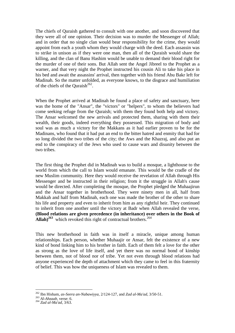The chiefs of Quraish gathered to consult with one another, and soon discovered that they were all of one opinion. Their decision was to murder the Messenger of Allah; and in order that no single clan would bear responsibility for the crime, they would appoint from each a youth whom they would charge with the deed. Each assassin was to strike in unison as if they were one man, then all of the Quraish would share the killing, and the clan of Banu Hashim would be unable to demand their blood right for the murder of one of their sons. But Allah sent the Angel Jibreel to the Prophet as a warner, and that very night the Prophet instructed his cousin Ali to take his place in his bed and await the assassins' arrival, then together with his friend Abu Bakr left for Madinah. So the matter unfolded, as everyone knows, to the disgrace and humiliation of the chiefs of the Quraish<sup>[262](#page-82-0)</sup>.

When the Prophet arrived at Madinah he found a place of safety and sanctuary, here was the home of the "Ansar", the "victors" or "helpers", to whom the believers had come seeking refuge from the Quraish; with them they found both help and victory. The Ansar welcomed the new arrivals and protected them, sharing with them their wealth, their goods, indeed everything they possessed. This migration of body and soul was as much a victory for the Makkans as it had earlier proven to be for the Madinans, who found that it had put an end to the bitter hatred and enmity that had for so long divided the two tribes of the city; the Aws and the Khazraj, and also put an end to the conspiracy of the Jews who used to cause wars and disunity between the two tribes.

The first thing the Prophet did in Madinah was to build a mosque, a lighthouse to the world from which the call to Islam would emanate. This would be the cradle of the new Muslim community. Here they would receive the revelation of Allah through His Messenger and be instructed in their religion; from it the struggle in Allah's cause would be directed. After completing the mosque, the Prophet pledged the Muhaajirun and the Ansar together in brotherhood. They were ninety men in all, half from Makkah and half from Madinah, each one was made the brother of the other to share his life and property and even to inherit from him as any rightful heir. They continued to inherit from one another until the victory at Badr when Allah revealed the verse, **(Blood relations are given precedence (in inheritance) over others in the Book of Allah**)<sup> $263$ </sup> which revoked this right of contractual brothers.<sup>[264](#page-82-2)</sup>

This new brotherhood in faith was in itself a miracle, unique among human relationships. Each person, whether Muhaajir or Ansar, felt the existence of a new kind of bond linking him to his brother in faith. Each of them felt a love for the other as strong as the love of life itself, and yet there was no normal bond of kinship between them, not of blood nor of tribe. Yet not even through blood relations had anyone experienced the depth of attachment which they came to feel in this fraternity of belief. This was how the uniqueness of Islam was revealed to them.

<span id="page-82-0"></span><sup>262</sup> Ibn Hisham, *as-Seera an-Nabawiyya,* 2/124-127, and *Zad al-Ma'ad,* 3/50-51.

<span id="page-82-1"></span><sup>263</sup> *Al-Ahzaab,* verse: 6.

<span id="page-82-2"></span><sup>264</sup> *Zad al-Ma'ad,* 3/63.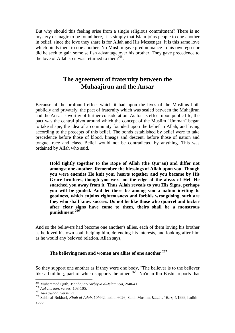But why should this feeling arise from a single religious commitment? There is no mystery or magic to be found here, it is simply that Islam joins people to one another in belief, since the love they share is for Allah and His Messenger; it is this same love which binds them to one another. No Muslim gave predominance to his own ego nor did he seek to gain some selfish advantage over his brother. They gave precedence to thelove of Allah so it was returned to the[m](#page-83-0)<sup>265</sup>.

### **The agreement of fraternity between the Muhaajirun and the Ansar**

Because of the profound effect which it had upon the lives of the Muslims both publicly and privately, the pact of fraternity which was sealed between the Muhajirun and the Ansar is worthy of further consideration. As for its effect upon public life, the pact was the central pivot around which the concept of the Muslim "Ummah" began to take shape, the idea of a community founded upon the belief in Allah, and living according to the precepts of this belief. The bonds established by belief were to take precedence before those of blood, lineage and descent, before those of nation and tongue, race and class. Belief would not be contradicted by anything. This was ordained by Allah who said,

**Hold tightly together to the Rope of Allah (the Qur'an) and differ not amongst one another. Remember the blessings of Allah upon you. Though you were enemies He knit your hearts together and you became by His Grace brothers, though you were on the edge of the abyss of Hell He snatched you away from it. Thus Allah reveals to you His Signs, perhaps you will be guided. And let there be among you a nation inviting to goodness, which enjoins righteousness and forbids wrongdoing, such are they who shall know success. Do not be like those who quarrel and bicker after clear signs have come to them, theirs shall be a monstrous punishment [266](#page-83-1)**

And so the believers had become one another's allies, each of them loving his brother as he loved his own soul, helping him, defending his interests, and looking after him as he would any beloved relation. Allah says,

#### **The believing men and women are allies of one another [267](#page-83-2)**

So they support one another as if they were one body, "The believer is to the believer like a building, part of which supports the other"[268](#page-83-3). Nu'man Ibn Bashir reports that

<span id="page-83-0"></span><sup>265</sup> Muhammad Qutb, *Manhaj at-Tarbiyya al-Islamiyya,* 2/40-41.

<span id="page-83-1"></span><sup>266</sup> *Aal-Imraan,* verses: 103-105.

<span id="page-83-2"></span><sup>267</sup> A*t-Tawbah,* verse: 71.

<span id="page-83-3"></span><sup>268</sup> Sahih al-Bukhari, *Kitab al-Adab,* 10/442, hadith 6026; Sahih Muslim, *Kitab al-Birr,* 4/1999, hadith 2585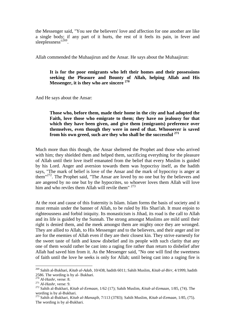the Messenger said, "You see the believers' love and affection for one another are like a single body; if any part of it hurts, the rest of it feels its pain, in fever and sleeplessness"<sup>[269](#page-84-0)</sup>.

Allah commended the Muhaajirun and the Ansar. He says about the Muhaajirun:

#### **It is for the poor emigrants who left their homes and their possessions seeking the Pleasure and Bounty of Allah, helping Allah and His Messenger, it is they who are sincere [270](#page-84-1)**

And He says about the Ansar:

**Those who, before them, made their home in the city and had adopted the Faith, love those who emigrate to them; they have no jealousy for that which they have been given, and give them (emigrants) preference over themselves, even though they were in need of that. Whosoever is saved from his own greed, such are they who shall be the successful [271](#page-84-2)**

Much more than this though, the Ansar sheltered the Prophet and those who arrived with him; they shielded them and helped them, sacrificing everything for the pleasure of Allah until their love itself emanated from the belief that every Muslim is guided by his Lord. Anger and aversion towards them was hypocrisy itself, as the hadith says, "The mark of belief is love of the Ansar and the mark of hypocrisy is anger at them"[272](#page-84-3). The Prophet said, "The Ansar are loved by no one but by the believers and are angered by no one but by the hypocrites, so whoever loves them Allah will love him and who reviles them Allah will revile them" <sup>[273](#page-84-4)</sup>

At the root and cause of this fraternity is Islam. Islam forms the basis of society and it must remain under the banner of Allah, to be ruled by His Shari'ah. It must enjoin to righteousness and forbid iniquity. Its monasticism is Jihad, its road is the call to Allah and its life is guided by the Sunnah. The strong amongst Muslims are mild until their right is denied them, and the meek amongst them are mighty once they are wronged. They are allied to Allah, to His Messenger and to the believers, and their anger and ire are for the enemies of Allah even if they are their closest kin. They strive earnestly for the sweet taste of faith and know disbelief and its people with such clarity that any one of them would rather be cast into a raging fire rather than return to disbelief after Allah had saved him from it. As the Messenger said, "No one will find the sweetness of faith until the love he seeks is only for Allah; until being cast into a raging fire is

<span id="page-84-0"></span><sup>269</sup> Sahih al-Bukhari, *Kitab al-Adab,* 10/438, hadith 6011; Sahih Muslim, *Kitab al-Birr,* 4/1999, hadith 2586. The wording is by al- Bukhari.

<span id="page-84-1"></span><sup>270</sup> *Al-Hashr,* verse: 8.

<span id="page-84-2"></span><sup>271</sup> *Al-Hashr,* verse: 9.

<span id="page-84-3"></span><sup>272</sup> Sahih al-Bukhari, *Kitab al-Eemaan,* 1/62 (17); Sahih Muslim, *Kitab al-Eemaan,* 1/85, (74). The wording is by al-Bukhari.

<span id="page-84-4"></span><sup>273</sup> Sahih al-Bukhari, *Kitab al-Manaqib,* 7/113 (3783); Sahih Muslim, *Kitab al-Eemaan,* 1/85, (75). The wording is by al-Bukhari.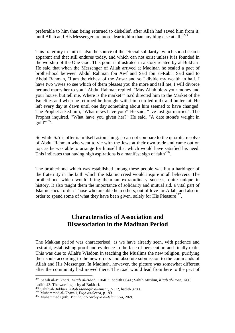preferable to him than being returned to disbelief, after Allah had saved him from it; untilAllah and His Messenger are more dear to him than anything else at all."<sup>274</sup>

This fraternity in faith is also the source of the "Social solidarity" which soon became apparent and that still endures today, and which can not exist unless it is founded in the worship of the One God. This point is illustrated in a story related by al-Bukhari. He said that when the Messenger of Allah arrived at Madinah he sealed a pact of brotherhood between Abdul Rahman Ibn Awf and Sa'd Ibn ar-Rabi'. Sa'd said to Abdul Rahman, "I am the richest of the Ansar and so I divide my wealth in half. I have two wives so see which of them pleases you the more and tell me, I will divorce her and marry her to you." Abdul Rahman replied, "May Allah bless your money and your house, but tell me, Where is the market?" Sa'd directed him to the Market of the Israelites and when he returned he brought with him curdled milk and butter fat. He left every day at dawn until one day something about him seemed to have changed. The Prophet asked him, "What news have you?" He said, "I've just got married". The Prophet inquired, "What have you given her?" He said, "A date stone's weight in  $\text{gold}^{\text{m275}}$  $\text{gold}^{\text{m275}}$  $\text{gold}^{\text{m275}}$ .

So while Sa'd's offer is in itself astonishing, it can not compare to the quixotic resolve of Abdul Rahman who went to vie with the Jews at their own trade and came out on top, as he was able to arrange for himself that which would have satisfied his need. Thisindicates that having high aspirations is a manifest sign of faith $276$ .

The brotherhood which was established among these people was but a harbinger of the fraternity in the faith which the Islamic creed would inspire in all believers. The brotherhood which would bring them an extraordinary success, quite unique in history. It also taught them the importance of solidarity and mutual aid, a vital part of Islamic social order: Those who are able help others, out of love for Allah, and also in order to spend some of what they have been given, solely for His Pleasure $^{277}$  $^{277}$  $^{277}$ .

### **Characteristics of Association and Disassociation in the Madinan Period**

The Makkan period was characterised, as we have already seen, with patience and restraint, establishing proof and evidence in the face of persecution and finally exile. This was due to Allah's Wisdom in teaching the Muslims the new religion, purifying their souls according to the new orders and absolute submission to the commands of Allah and His Messenger. In Madinah, however, the picture was somewhat different after the community had moved there. The road would lead from here to the pact of

<span id="page-85-0"></span><sup>274</sup> Sahih al-Bukhari, *Kitab al-Adab,* 10/463, hadith 6041; Sahih Muslim, *Kitab al-Iman,* 1/66, hadith 43. The wording is by al-Bukhari.

<span id="page-85-1"></span><sup>275</sup> Sahih al-Bukhari, *Kitab Manaqib al-Ansar,* 7/112, hadith 3780.

<span id="page-85-3"></span><span id="page-85-2"></span><sup>276</sup> Muhammad al-Ghazali, *Fiqh as-Seera,* p.193.

<sup>277</sup> Muhammad Qutb, *Manhaj at-Tarbiyya al-Islamiyya,* 2/69.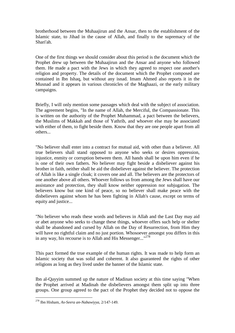brotherhood between the Muhaajirun and the Ansar, then to the establishment of the Islamic state, to Jihad in the cause of Allah, and finally to the supremacy of the Shari'ah.

One of the first things we should consider about this period is the document which the Prophet drew up between the Muhaajirun and the Ansar and anyone who followed them. He made a pact with the Jews in which they agreed to respect one another's religion and property. The details of the document which the Prophet composed are contained in Ibn Ishaq, but without any isnad. Imam Ahmed also reports it in the Musnad and it appears in various chronicles of the Maghaazi, or the early military campaigns.

Briefly, I will only mention some passages which deal with the subject of association. The agreement begins, "In the name of Allah, the Merciful, the Compassionate. This is written on the authority of the Prophet Muhammad, a pact between the believers, the Muslims of Makkah and those of Yathrib, and whoever else may be associated with either of them, to fight beside them. Know that they are one people apart from all others...

"No believer shall enter into a contract for mutual aid, with other than a believer. All true believers shall stand opposed to anyone who seeks or desires oppression, injustice, enmity or corruption between them. All hands shall be upon him even if he is one of their own fathers. No believer may fight beside a disbeliever against his brother in faith, neither shall he aid the disbeliever against the believer. The protection of Allah is like a single cloak; it covers one and all. The believers are the protectors of one another above all others. Whoever follows us from among the Jews shall have our assistance and protection, they shall know neither oppression nor subjugation. The believers know but one kind of peace, so no believer shall make peace with the disbelievers against whom he has been fighting in Allah's cause, except on terms of equity and justice...

"No believer who reads these words and believes in Allah and the Last Day may aid or abet anyone who seeks to change these things, whoever offers such help or shelter shall be abandoned and cursed by Allah on the Day of Resurrection, from Him they will have no rightful claim and no just portion. Whosoever amongst you differs in this in any way, his recourse is to Allah and His Messenger..."<sup>[278](#page-86-0)</sup>

This pact formed the true example of the human rights. It was made to help form an Islamic society that was solid and coherent. It also guaranteed the rights of other religions as long as they lived under the banner of the Islamic state.

Ibn al-Qayyim summed up the nature of Madinan society at this time saying "When the Prophet arrived at Madinah the disbelievers amongst them split up into three groups. One group agreed to the pact of the Prophet they decided not to oppose the

<span id="page-86-0"></span><sup>278</sup> Ibn Hisham, *As-Seera an-Nabawiyya,* 2/147-149.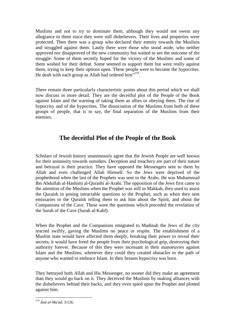Muslims and not to try to dominate them, although they would not swear any allegiance to them since they were still disbelievers. Their lives and properties were protected. Then there was a group who declared their enmity towards the Muslims and struggled against them. Lastly there were those who stood aside, who neither approved nor disapproved of the new community but waited to see the outcome of the struggle. Some of them secretly hoped for the victory of the Muslims and some of them wished for their defeat. Some seemed to support them but were really against them, trying to keep their options open. These people were to become the hypocrites. He dealt with each group as Allah had ordered him<sup>"[279](#page-87-0)</sup>.

There remain three particularly characteristic points about this period which we shall now discuss in more detail. They are the deceitful plot of the People of the Book against Islam and the warning of taking them as allies or obeying them. The rise of hypocrisy and of the hypocrites. The dissociation of the Muslims from both of these groups of people, that is to say, the final separation of the Muslims from their enemies.

### **The deceitful Plot of the People of the Book**

Scholars of Jewish history unanimously agree that the Jewish People are well known for their animosity towards outsiders. Deception and treachery are part of their nature and betrayal is their practice. They have opposed the Messengers sent to them by Allah and even challenged Allah Himself. So the Jews were deprived of the prophethood when the last of the Prophets was sent to the Arabs. He was Muhammad Ibn Abdullah al-Hashimi al-Qurashi al-Arabi. The opposition of the Jews first came to the attention of the Muslims when the Prophet was still in Makkah, they used to assist the Quraish in posing intractable questions to the Prophet, such as when they sent emissaries to the Quraish telling them to ask him about the Spirit, and about the Companions of the Cave. These were the questions which preceded the revelation of the Surah of the Cave (Surah al-Kahf).

When the Prophet and the Companions emigrated to Madinah the Jews of the city reacted swiftly, gaving the Muslims no peace or respite. The establishment of a Muslim state would have affected them deeply, breaking their power to reveal their secrets; it would have freed the people from their psychological grip, destroying their authority forever. Because of this they were incessant in their manoeuvres against Islam and the Muslims; whenever they could they created obstacles in the path of anyone who wanted to embrace Islam. In their breasts hypocrisy was born.

They betrayed both Allah and His Messenger, no sooner did they make an agreement than they would go back on it. They deceived the Muslims by making alliances with the disbelievers behind their backs, and they even spied upon the Prophet and plotted against him.

<span id="page-87-0"></span><sup>279</sup> *Zad al-Ma'ad,* 3/126.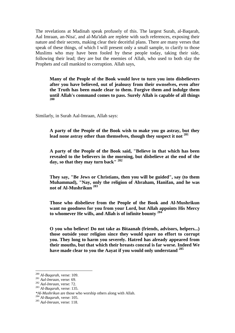The revelations at Madinah speak profusely of this. The largest Surah, al-Baqarah, Aal Imraan, an-Nisa', and al-Ma'idah are replete with such references, exposing their nature and their secrets, making clear their deceitful plans. There are many verses that speak of these things, of which I will present only a small sample, to clarify to those Muslims who may have been fooled by these people today, taking their side, following their lead; they are but the enemies of Allah, who used to both slay the Prophets and call mankind to corruption. Allah says,

**Many of the People of the Book would love to turn you into disbelievers after you have believed, out of jealousy from their ownselves, even after the Truth has been made clear to them. Forgive them and indulge them until Allah's command comes to pass. Surely Allah is capable of all things [280](#page-88-0)**

Similarly, in Surah Aal-Imraan, Allah says:

**A party of the People of the Book wish to make you go astray, but they lead none astray other than themselves, though they suspect itnot <sup>281</sup>**

**A party of the People of the Book said, "Believe in that which has been revealed to the believers in the morning, but disbelieve at the end of the day, so that they may turn back" [282](#page-88-2)**

**They say, "Be Jews or Christians, then you will be guided", say (to them Muhammad), "Nay, only the religion of Abraham, Hanifan, and he was not of Al-Mushrikun [283](#page-88-3)**

**Those who disbelieve from the People of the Book and Al-Mushrikun want no goodness for you from your Lord, but Allah appoints His Mercy to whomever He wills, and Allah is of infinite bounty [284](#page-88-4)**

**O you who believe! Do not take as Bitaanah (friends, advisors, helpers...) those outside your religion since they would spare no effort to corrupt you. They long to harm you severely. Hatred has already appeared from their mouths, but that which their breasts conceal is far worse. Indeed We have made clear to you the Aayat if you would only understand [285](#page-88-5)**

<span id="page-88-0"></span><sup>280</sup> *Al-Baqarah,* verse: 109.

<span id="page-88-1"></span><sup>281</sup> *Aal-Imraan,* verse: 69.

<span id="page-88-2"></span><sup>282</sup> *Aal-Imraan,* verse: 72.

<span id="page-88-3"></span><sup>283</sup> *Al-Baqarah,* verse: 135.

<span id="page-88-4"></span>*<sup>\*</sup>Al-Mushrikun* are those who worship others along with Allah.

<sup>284</sup> *Al-Baqarah,* verse: 105.

<span id="page-88-5"></span><sup>285</sup> *Aal-Imraan,* verse: 118.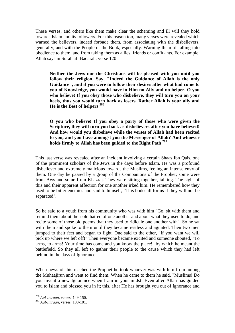These verses, and others like them make clear the scheming and ill will they hold towards Islam and its followers. For this reason too, many verses were revealed which warned the believers, indeed forbade them, from associating with the disbelievers, generally, and with the People of the Book, especially. Warning them of falling into obedience to them, and from taking them as allies, friends or confidants. For example, Allah says in Surah al- Baqarah, verse 120:

**Neither the Jews nor the Christians will be pleased with you until you follow their religion. Say, "Indeed the Guidance of Allah is the only Guidance", and if you were to follow their desires after what had come to you of Knowledge, you would have in Him no Ally and no helper. O you who believe! If you obey those who disbelieve, they will turn you on your heels, thus you would turn back as losers. Rather Allah is your ally and He is the Best of helpers [286](#page-89-0)**

**O you who believe! If you obey a party of those who were given the Scripture, they will turn you back as disbelievers after you have believed! And how would you disbelieve while the verses of Allah had been recited to you, and you have amongst you the Messenger of Allah? And whoever holds firmly to Allah has been guided to the Right Path [287](#page-89-1)**

This last verse was revealed after an incident involving a certain Shaas Ibn Qais, one of the prominent scholars of the Jews in the days before Islam. He was a profound disbeliever and extremely malicious towards the Muslims, feeling an intense envy of them. One day he passed by a group of the Companions of the Prophet; some were from Aws and some from Khazraj. They were sitting together, talking. The sight of this and their apparent affection for one another irked him. He remembered how they used to be bitter enemies and said to himself, "This bodes ill for us if they will not be separated".

So he said to a youth from his community who was with him "Go, sit with them and remind them about their old hatred of one another and about what they used to do, and recite some of those old poems that they used to ridicule one another with". So he sat with them and spoke to them until they became restless and agitated. Then two men jumped to their feet and began to fight. One said to the other, "If you want we will pick up where we left off!" Then everyone became excited and someone shouted, "To arms, to arms! Your time has come and you know the place!" by which he meant the battlefield. So they all left to gather their people to the cause which they had left behind in the days of Ignorance.

When news of this reached the Prophet he took whoever was with him from among the Muhaajirun and went to find them. When he came to them he said, "Muslims! Do you invent a new Ignorance when I am in your midst! Even after Allah has guided you to Islam and blessed you in it; this, after He has brought you out of Ignorance and

<span id="page-89-0"></span><sup>286</sup> *Aal-Imraan,* verses: 149-150.

<span id="page-89-1"></span><sup>287</sup> *Aal-Imraan,* verses: 100-101.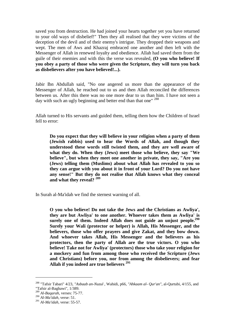saved you from destruction. He had joined your hearts together yet you have returned to your old ways of disbelief!" Then they all realised that they were victims of the deception of the devil and of their enemy's intrigue. They dropped their weapons and wept. The men of Aws and Khazraj embraced one another and then left with the Messenger of Allah in renewed loyalty and obedience. Allah had saved them from the guile of their enemies and with this the verse was revealed, **(O you who believe! If you obey a party of those who were given the Scripture, they will turn you back as disbelievers after you have believed!...).**

Jabir Ibn Abdullah said, "No one angered us more than the appearance of the Messenger of Allah, he reached out to us and then Allah reconciled the differences between us. After this there was no one more dear to us than him. I have not seen a day with such an ugly beginning and better end than that one" <sup>[288](#page-90-0)</sup>

Allah turned to His servants and guided them, telling them how the Children of Israel fell to error:

**Do you expect that they will believe in your religion when a party of them (Jewish rabbis) used to hear the Words of Allah, and though they understood these words still twisted them, and they are well aware of what they do. When they (Jews) meet those who believe, they say "We believe", but when they meet one another in private, they say, "Are you (Jews) telling them (Muslims) about what Allah has revealed to you so they can argue with you about it in front of your Lord? Do you not have any sense!" But they do not realise that Allah knows what they conceal and what they reveal? [289](#page-90-1)**

In Surah al-Ma'idah we find the sternest warning of all.

**O you who believe! Do not take the Jews and the Christians as Awliya', they are but Awliya' to one another. Whoever takes them as Awliya' is surely one of them. Indeed Allah does not guide an unjust people.[290](#page-90-2) Surely your Wali (protector or helper) is Allah, His Messenger, and the believers, those who offer prayers and give Zakat, and they bow down. And whoever takes Allah, His Messenger and the believers as his protectors, then the party of Allah are the true victors. O you who believe! Take not for Awliya' (protectors) those who take your religion for a mockery and fun from among those who received the Scripture (Jews and Christians) before you, nor from among the disbelievers; and fear Allah if you indeed are true believers [291](#page-90-3)**

<span id="page-90-0"></span><sup>288</sup> "Tafsir Tabari" 4/23, *"Asbaab an-Nuzul ,* Wahidi, p66, *"Ahkaam al- Qur'an",* al-Qurtubi, 4/155, and "Tafsir al-Baghawi", 1/389.

<span id="page-90-1"></span><sup>289</sup> *Al-Baqarah,* verses: 75-77.

<span id="page-90-2"></span><sup>290</sup> *Al-Ma'idah,* verse: 51.

<span id="page-90-3"></span><sup>291</sup> *Al-Ma'idah,* verse: 55-57.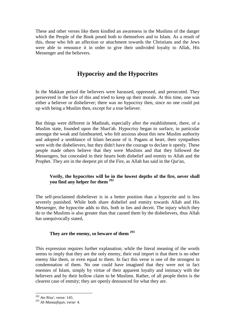These and other verses like them kindled an awareness in the Muslims of the danger which the People of the Book posed both to themselves and to Islam. As a result of this, those who felt an affection or attachment towards the Christians and the Jews were able to renounce it in order to give their undivided loyalty to Allah, His Messenger and the believers.

## **Hypocrisy and the Hypocrites**

In the Makkan period the believers were harassed, oppressed, and persecuted. They persevered in the face of this and tried to keep up their morale. At this time, one was either a believer or disbeliever; there was no hypocrisy then, since no one could put up with being a Muslim then, except for a true believer.

But things were different in Madinah, especially after the establishment, there, of a Muslim state, founded upon the Shari'ah. Hypocrisy began to surface, in particular amongst the weak and fainthearted, who felt anxious about this new Muslim authority and adopted a semblance of Islam because of it. Pagans at heart, their sympathies were with the disbelievers, but they didn't have the courage to declare it openly. These people made others believe that they were Muslims and that they followed the Messengers, but concealed in their hearts both disbelief and enmity to Allah and the Prophet. They are in the deepest pit of the Fire, as Allah has said in the Qur'an,

#### **Verily, the hypocrites will be in the lowest depths of the fire, never shall you find any helper for them [292](#page-91-0)**

The self-proclaimed disbeliever is in a better position than a hypocrite and is less severely punished. While both share disbelief and enmity towards Allah and His Messenger, the hypocrite adds to this, both in lies and deceit. The injury which they do to the Muslims is also greater than that caused them by the disbelievers, thus Allah has unequivocally stated,

#### **They are the enemy, so beware of them [293](#page-91-1)**

This expression requires further explanation; while the literal meaning of the words seems to imply that they are the only enemy, their real import is that there is no other enemy like them, or even equal to them. In fact this verse is one of the strongest in condemnation of them. No one could have imagined that they were not in fact enemies of Islam, simply by virtue of their apparent loyalty and intimacy with the believers and by their hollow claim to be Muslims. Rather, of all people theirs is the clearest case of enmity; they are openly denounced for what they are.

<span id="page-91-0"></span><sup>292</sup> *An-Nisa',* verse: 145.

<span id="page-91-1"></span><sup>293</sup> *AI-Munaafiqun,* verse: 4.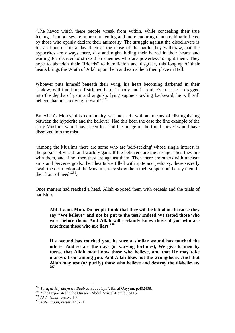"The havoc which these people wreak from within, while concealing their true feelings, is more severe, more unrelenting and more enduring than anything inflicted by those who openly declare their animosity. The struggle against the disbelievers is for an hour or for a day, then at the close of the battle they withdraw, but the hypocrites are always there, day and night, hiding their hatred in their hearts and waiting for disaster to strike their enemies who are powerless to fight them. They hope to abandon their "friends" to humiliation and disgrace, this longing of their hearts brings the Wrath of Allah upon them and earns them their place in Hell.

Whoever puts himself beneath their wing, his heart becoming darkened in their shadow, will find himself stripped bare, in body and in soul. Even as he is dragged into the depths of pain and anguish, lying supine crawling backward, he will still believe that he is moving forward".<sup>[294](#page-92-0)</sup>

By Allah's Mercy, this community was not left without means of distinguishing between the hypocrite and the believer. Had this been the case the fine example of the early Muslims would have been lost and the image of the true believer would have dissolved into the mist.

"Among the Muslims there are some who are 'self-seeking' whose single interest is the pursuit of wealth and worldly gain. If the believers are the stronger then they are with them, and if not then they are against them. Then there are others with unclean aims and perverse goals, their hearts are filled with spite and jealousy, these secretly await the destruction of the Muslims, they show them their support but betray them in their hour of need" $295$ .

Once matters had reached a head, Allah exposed them with ordeals and the trials of hardship,

**Alif. Laam. Mim. Do people think that they will be left alone because they say "We believe" and not be put to the test? Indeed We tested those who were before them. And Allah will certainly know those of you who are true from those who are liars [296](#page-92-2)**

**If a wound has touched you, be sure a similar wound has touched the others. And so are the days (of varying fortunes), We give to men by turns, that Allah may know those who believe, and that He may take martyrs from among you. And Allah likes not the wrongdoers. And that Allah may test (or purify) those who believe and destroy the disbelievers [297](#page-92-3)**

<span id="page-92-0"></span><sup>294</sup> *Tariq al-Hijratayn wa Baab as-Saadatayn",* Ibn al-Qayyim, p.402408.

<span id="page-92-1"></span> $295$  "The Hypocrites in the Qur'an", Abdul Aziz al-Hamidi, p116.

<span id="page-92-2"></span><sup>296</sup> *Al-Ankabut,* verses: 1-3.

<span id="page-92-3"></span><sup>297</sup> *Aal-Imraan,* verses: 140-141.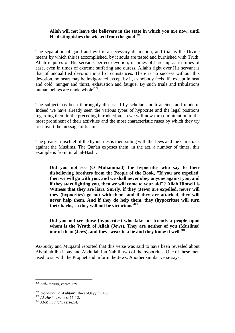#### **Allah will not leave the believers in the state in which you are now, until He distinguishes the wicked from the good [298](#page-93-0)**

The separation of good and evil is a necessary distinction, and trial is the Divine means by which this is accomplished, by it souls are tested and burnished with Truth. Allah requires of His servants perfect devotion, in times of hardship as in times of ease, even in times of extreme suffering and duress. Allah's right over His servant is that of unqualified devotion in all circumstances. There is no success without this devotion, no heart may be invigorated except by it, as nobody feels life except in heat and cold, hunger and thirst, exhaustion and fatigue. By such trials and tribulations human beings are made whole $^{299}$  $^{299}$  $^{299}$ .

The subject has been thoroughly discussed by scholars, both ancient and modern. Indeed we have already seen the various types of hypocrite and the legal positions regarding them in the preceding introduction, so we will now turn our attention to the most prominent of their activities and the most characteristic ruses by which they try to subvert the message of Islam.

The greatest mischief of the hypocrites is their siding with the Jews and the Christians against the Muslims. The Qur'an exposes them, in the act, a number of times, this example is from Surah al-Hashr:

**Did you not see (O Muhammad) the hypocrites who say to their disbelieving brothers from the People of the Book, "If you are expelled, then we will go with you, and we shall never obey anyone against you, and if they start fighting you, then we will come to your aid"? Allah Himself is Witness that they are liars. Surely, if they (Jews) are expelled, never will they (hypocrites) go out with them, and if they are attacked, they will never help them. And if they do help them, they (hypocrites) will turn their backs, so they will not be victorious [300](#page-93-2)**

#### **Did you not see those (hypocrites) who take for friends a people upon whom is the Wrath of Allah (Jews). They are neither of you (Muslims) nor of them (Jews), and they swear to a lie and they know it well [301](#page-93-3)**

As-Sudiy and Muqaatil reported that this verse was said to have been revealed about Abdullah Ibn Ubay and Abdullah Ibn Nabtil, two of the hypocrites. One of these men used to sit with the Prophet and inform the Jews. Another similar verse says,

<span id="page-93-0"></span><sup>298</sup> *Aal-Imraan,* verse: 179.

<span id="page-93-1"></span><sup>299</sup> *"Ighathatu al-Luhfan",* Ibn al-Qayyim, 190.

<span id="page-93-2"></span><sup>300</sup> *Al-Hash* r, verses: 11-12.

<span id="page-93-3"></span><sup>301</sup> *Al-Mujadilah,* verse:14.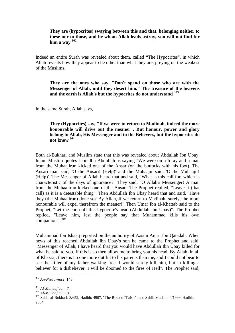#### **They are (hypocrites) swaying between this and that, belonging neither to these nor to those, and he whom Allah leads astray, you will not find for him away <sup>302</sup>**

Indeed an entire Surah was revealed about them, called "The Hypocrites", in which Allah reveals how they appear to be other than what they are, preying on the weakest of the Muslims.

**They are the ones who say, "Don't spend on those who are with the Messenger of Allah, until they desert him." The treasure of the heavens and the earth is Allah's but the hypocrites do not understand [303](#page-94-1)**

In the same Surah, Allah says,

#### **They (Hypocrites) say, "If we were to return to Madinah, indeed the more honourable will drive out the meaner". But honour, power and glory belong to Allah, His Messenger and to the Believers, but the hypocrites do not know [304](#page-94-2)**

Both al-Bukhari and Muslim state that this was revealed about Abdullah Ibn Ubay. Imam Muslim quotes Jabir Ibn Abdullah as saying "We were on a foray and a man from the Muhaajirun kicked one of the Ansar (on the buttocks with his foot). The Ansari man said, 'O the Ansari! (Help)' and the Muhaajir said, 'O the Muhaajir! (Help)'. The Messenger of Allah heard that and said, "What is this call for, which is characteristic of the days of ignorance?" They said, "O Allah's Messenger! A man from the Muhaajirun kicked one of the Ansar" The Prophet replied, "Leave it (that call) as it is a detestable thing". Then Abdullah Ibn Ubay heard that and said, "Have they (the Muhaajirun) done so? By Allah, if we return to Madinah, surely, the more honourable will expel therefrom the meaner!" Then Umar Ibn al-Khattab said to the Prophet, "Let me chop off this hypocrite's head (Abdullah Ibn Ubay)". The Prophet replied, "Leave him, lest the people say that Muhammad kills his own companions".<sup>[305](#page-94-3)</sup>

Muhammad Ibn Ishaaq reported on the authority of Aasim Amru Ibn Qatadah: When news of this reached Abdullah Ibn Ubay's son he came to the Prophet and said, "Messenger of Allah, I have heard that you would have Abdullah Ibn Ubay killed for what he said to you. If this is so then allow me to bring you his head. By Allah, in all of Khazraj, there is no one more dutiful to his parents than me, and I could not bear to see the killer of my father walking free. I would surely kill him, but in killing a believer for a disbeliever, I will be doomed to the fires of Hell". The Prophet said,

<span id="page-94-0"></span><sup>302</sup> *An-Nisa',* verse: 143.

<span id="page-94-1"></span><sup>303</sup> *Al-Munaafiqun: 7.*

<span id="page-94-2"></span><sup>304</sup> *Al-Munaafiqun:* 8.

<span id="page-94-3"></span><sup>305</sup> Sahih al-Bukhari: 8/652, Hadith: 4907, "The Book of Tafsir", and Sahih Muslim: 4/1999, Hadith: 2584.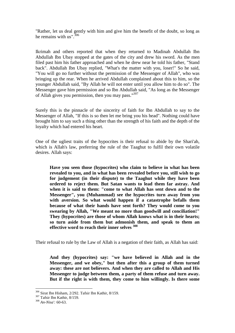"Rather, let us deal gently with him and give him the benefit of the doubt, so long as heremains with us"[.](#page-95-0)<sup>306</sup>

Ikrimah and others reported that when they returned to Madinah Abdullah Ibn Abdullah Ibn Ubay stopped at the gates of the city and drew his sword. As the men filed past him his father approached and when he drew near he told his father, "Stand back". Abdullah Ibn Ubay replied, "What's the matter with you, loser!" So he said, "You will go no further without the permission of the Messenger of Allah", who was bringing up the rear. When he arrived Abdullah complained about this to him, so the younger Abdullah said, "By Allah he will not enter until you allow him to do so". The Messenger gave him permission and so Ibn Abdullah said, "As long as the Messenger of Allah gives you permission, then you may pass."[307](#page-95-1)

Surely this is the pinnacle of the sincerity of faith for Ibn Abdullah to say to the Messenger of Allah, "If this is so then let me bring you his head". Nothing could have brought him to say such a thing other than the strength of his faith and the depth of the loyalty which had entered his heart.

One of the ugliest traits of the hypocrites is their refusal to abide by the Shari'ah, which is Allah's law, preferring the rule of the Taaghut to fulfil their own volatile desires. Allah says:

**Have you seen those (hypocrites) who claim to believe in what has been revealed to you, and in what has been revealed before you, still wish to go for judgement (in their dispute) to the Taaghut while they have been ordered to reject them. But Satan wants to lead them far astray. And when it is said to them: "come to what Allah has sent down and to the Messenger", you (Muhammad) see the hypocrites turn away from you with aversion. So what would happen if a catastrophe befalls them because of what their hands have sent forth? They would come to you swearing by Allah, "We meant no more than goodwill and conciliation!" They (hypocrites) are those of whom Allah knows what is in their hearts; so turn aside from them but admonish them, and speak to them an effective word to reach their inner selves [308](#page-95-2)**

Their refusal to rule by the Law of Allah is a negation of their faith, as Allah has said:

**And they (hypocrites) say: "we have believed in Allah and in the Messenger, and we obey," but then after this a group of them turned away: these are not believers. And when they are called to Allah and His Messenger to judge between them, a party of them refuse and turn away. But if the right is with them, they come to him willingly. Is there some**

<span id="page-95-0"></span><sup>306</sup> Sirat Ibn Hisham, 2/292. Tafsir Ibn Kathir, 8/159.

<span id="page-95-1"></span><sup>307</sup> Tafsir Ibn Kathir, 8/159.

<span id="page-95-2"></span><sup>308</sup> *An-Nisa':* 60-63.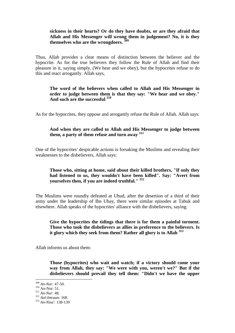#### **sickness in their hearts? Or do they have doubts, or are they afraid that Allah and His Messenger will wrong them in judgement? No, it is they themselves who are the wrongdoers. [309](#page-96-0)**

Thus, Allah provides a clear means of distinction between the believer and the hypocrite. As for the true believers they follow the Rule of Allah and find their pleasure in it, saying simply, (We hear and we obey), but the hypocrites refuse to do this and react arrogantly. Allah says,

#### **The word of the believers when called to Allah and His Messenger in order to judge between them is that they say: "We hear and we obey." And such are the successful [310](#page-96-1)**

As for the hypocrites, they oppose and arrogantly refuse the Rule of Allah. Allah says:

#### **And when they are called to Allah and His Messenger to judge between them, a party of them refuse and turn away [311](#page-96-2)**

One of the hypocrites' despicable actions is forsaking the Muslims and revealing their weaknesses to the disbelievers, Allah says:

#### **Those who, sitting at home, said about their killed brothers, "If only they had listened to us, they wouldn't have been killed". Say: "Avert from yourselves then, if you are indeed truthful." [312](#page-96-3)**

The Muslims were roundly defeated at Uhud, after the desertion of a third of their army under the leadership of Ibn Ubay, there were similar episodes at Tabuk and elsewhere. Allah speaks of the hypocrites' alliance with the disbelievers, saying:

**Give the hypocrites the tidings that there is for them a painful torment. Those who took the disbelievers as allies in preference to the believers. Is it glory which they seek from them? Rather all glory is to Allah [313](#page-96-4)**

Allah informs us about them:

**Those (hypocrites) who wait and watch; if a victory should come your way from Allah, they say: "We were with you, weren't we?" But if the disbelievers should prevail they tell them: "Didn't we have the upper**

<span id="page-96-0"></span><sup>309</sup> *An-Nur:* 47-50.

<span id="page-96-1"></span><sup>&</sup>lt;sup>310</sup> An-Nur: 51.

<span id="page-96-2"></span><sup>311</sup> *An-Nur:* 48.

<span id="page-96-3"></span><sup>312</sup> *Aal-Imraan:* 168.

<span id="page-96-4"></span><sup>313</sup> *An-Nisa':* 138-139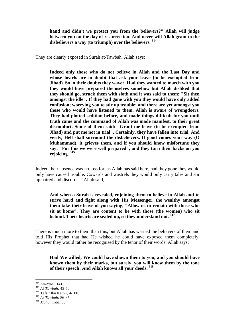**hand and didn't we protect you from the believers?" Allah will judge between you on the day of resurrection. And never will Allah grant to the disbelievers a way (to triumph) over the believers. [314](#page-97-0)**

They are clearly exposed in Surah at-Tawbah. Allah says:

**Indeed only those who do not believe in Allah and the Last Day and whose hearts are in doubt that ask your leave (to be exempted from Jihad). So in their doubts they waver. Had they wanted to march with you they would have prepared themselves somehow but Allah disliked that they should go, struck them with sloth and it was said to them: "Sit then amongst the idle". If they had gone with you they would have only added confusion; worrying you to stir up trouble; and there are yet amongst you those who would have listened to them. Allah is aware of wrongdoers. They had plotted sedition before, and made things difficult for you until truth came and the command of Allah was made manifest, to their great discomfort. Some of them said: "Grant me leave (to be exempted from Jihad) and put me not in trial". Certainly, they have fallen into trial. And verily, Hell shall surround the disbelievers. If good comes your way (O Muhammad), it grieves them, and if you should know misfortune they say: "For this we were well prepared", and they turn their backs on you rejoicing. [315](#page-97-1)**

Indeed their absence was no loss for, as Allah has said here, had they gone they would only have caused trouble. Cowards and wastrels they would only carry tales and stir up hatred and discord. $316$  Allah said,

**And when a Surah is revealed, enjoining them to believe in Allah and to strive hard and fight along with His Messenger, the wealthy amongst them take their leave of you saying, "Allow us to remain with those who sit at home". They are content to be with those (the women) who sit behind. Their hearts are sealed up, so they understandnot. <sup>317</sup>**

There is much more to them than this, but Allah has warned the believers of them and told His Prophet that had He wished he could have exposed them completely, however they would rather be recognised by the tenor of their words. Allah says:

**Had We willed, We could have shown them to you, and you should have known them by their marks, but surely, you will know them by the tone of their speech! And Allah knows all your deeds. [318](#page-97-4)**

<span id="page-97-0"></span><sup>314</sup> *An-Nisa':* 141.

<span id="page-97-1"></span><sup>315</sup> *At-Tawbah:* 45-50.

<span id="page-97-2"></span><sup>316</sup> Tafsir Ibn Kathir, 4/100.

<span id="page-97-3"></span><sup>317</sup> *At-Tawbah:* 86-87.

<span id="page-97-4"></span><sup>318</sup> *Muhammad:* 30.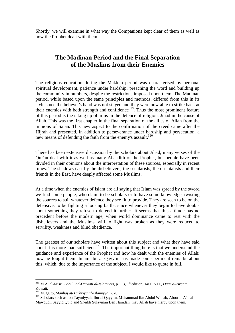Shortly, we will examine in what way the Companions kept clear of them as well as how the Prophet dealt with them.

## **The Madinan Period and the Final Separation of the Muslims from their Enemies**

The religious education during the Makkan period was characterised by personal spiritual development, patience under hardship, preaching the word and building up the community in numbers, despite the restrictions imposed upon them. The Madinan period, while based upon the same principles and methods, differed from this in its style since the believer's hand was not stayed and they were now able to strike back at their enemies with both strength and confidence<sup>[319](#page-98-0)</sup>. Thus the most prominent feature of this period is the taking up of arms in the defence of religion, Jihad in the cause of Allah. This was the first chapter in the final separation of the allies of Allah from the minions of Satan. This new aspect to the confirmation of the creed came after the Hijrah and presented, in addition to perseverance under hardship and persecution, a new means of defending the faith from the enemy's assault.<sup>[320](#page-98-1)</sup>

There has been extensive discussion by the scholars about Jihad, many verses of the Qur'an deal with it as well as many Ahaadith of the Prophet, but people have been divided in their opinions about the interpretation of these sources, especially in recent times. The shadows cast by the disbelievers, the secularists, the orientalists and their friends in the East, have deeply affected some Muslims.

At a time when the enemies of Islam are all saying that Islam was spread by the sword we find some people, who claim to be scholars or to have some knowledge, twisting the sources to suit whatever defence they see fit to provide. They are seen to be on the defensive, to be fighting a loosing battle, since whenever they begin to have doubts about something they refuse to defend it further. It seems that this attitude has no precedent before the modern age, when world dominance came to rest with the disbelievers and the Muslims' will to fight was broken as they were reduced to servility, weakness and blind obedience.

The greatest of our scholars have written about this subject and what they have said about it is more than sufficient.<sup>[321](#page-98-2)</sup> The important thing here is that we understand the guidance and experience of the Prophet and how he dealt with the enemies of Allah; how he fought them. Imam Ibn al-Qayyim has made some pertinent remarks about this, which, due to the importance of the subject, I would like to quote in full.

<span id="page-98-0"></span><sup>&</sup>lt;sup>319</sup> M.A. al-Misri, *Sabilu ad-Da'wati al-Islamiyya*, p.113, 1<sup>st</sup> edition, 1400 A.H., *Daar al-Arqam*, Kuwait.

<span id="page-98-1"></span><sup>320</sup> M. Qutb, *Manhaj at-Tarbiyya al-Islamiyya,* 2/70.

<span id="page-98-2"></span><sup>&</sup>lt;sup>321</sup> Scholars such as Ibn Taymiyyah, Ibn al-Qayyim, Muhammad Ibn Abdul Wahab, Abou al-A'la al-Mawdudi, Sayyid Qutb and Sheikh Sulayman Ben Hamdan, may Allah have mercy upon them.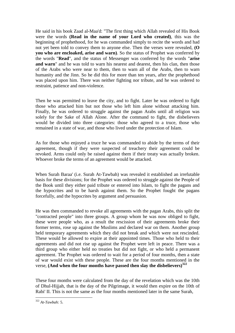He said in his book Zaad al-Maa'd: "The first thing which Allah revealed of His Book were the words **(Read in the name of your Lord who created)**, this was the beginning of prophethood, for he was commanded simply to recite the words and had not yet been told to convey them to anyone else. Then the verses were revealed, **(O you who are encloaked, arise and warn)**. So the status of Prophet was conferred by the words "**Read**", and the status of Messenger was conferred by the words "**arise and warn**" and he was told to warn his nearest and dearest, then his clan, then those of the Arabs who were near to them, then to warn all of the Arabs, then to warn humanity and the Jinn. So he did this for more than ten years, after the prophethood was placed upon him. There was neither fighting nor tribute, and he was ordered to restraint, patience and non-violence.

Then he was permitted to leave the city, and to fight. Later he was ordered to fight those who attacked him but not those who left him alone without attacking him. Finally, he was ordered to struggle against the pagan Arabs until all religion was solely for the Sake of Allah Alone. After the command to fight, the disbelievers would be divided into three categories: those who agreed to a truce, those who remained in a state of war, and those who lived under the protection of Islam.

As for those who enjoyed a truce he was commanded to abide by the terms of their agreement, though if they were suspected of treachery their agreement could be revoked. Arms could only be raised against them if their treaty was actually broken. Whoever broke the terms of an agreement would be attacked.

When Surah Baraa' (i.e. Surah At-Tawbah) was revealed it established an irrefutable basis for these divisions; for the Prophet was ordered to struggle against the People of the Book until they either paid tribute or entered into Islam, to fight the pagans and the hypocrites and to be harsh against them. So the Prophet fought the pagans forcefully, and the hypocrites by argument and persuasion.

He was then commanded to revoke all agreements with the pagan Arabs, this split the "contracted people" into three groups. A group whom he was now obliged to fight, these were people who, as a result the rescission of their agreements broke their former terms, rose up against the Muslims and declared war on them. Another group held temporary agreements which they did not break and which were not rescinded. These would be allowed to expire at their appointed times. Those who held to their agreements and did not rise up against the Prophet were left in peace. There was a third group who either held no treaties but did not fight, or who held a permanent agreement. The Prophet was ordered to wait for a period of four months, then a state of war would exist with these people. These are the four months mentioned in the verse, **(And when the four months have passed then slay the disbelievers)[322](#page-99-0)**

These four months were calculated from the day of the revelation which was the 10th of Dhul-Hijjah, that is the day of the Pilgrimage, it would then expire on the 10th of Rabi' II. This is not the same as the four months mentioned later in the same Surah,

<span id="page-99-0"></span><sup>322</sup> *At-Tawbah:* 5.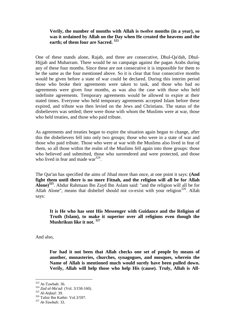#### **Verily, the number of months with Allah is twelve months (in a year), so was it ordained by Allah on the Day when He created the heavens and the earth; of them four are Sacred. [323](#page-100-0)**

One of these stands alone, Rajab, and three are consecutive, Dhul-Qa'dah, Dhul-Hijjah and Muharram. There would be no campaign against the pagan Arabs during any of these four months. Since these are not consecutive it is impossible for them to be the same as the four mentioned above. So it is clear that four consecutive months would be given before a state of war could be declared. During this interim period those who broke their agreements were taken to task, and those who had no agreements were given four months, as was also the case with those who held indefinite agreements. Temporary agreements would be allowed to expire at their stated times. Everyone who held temporary agreements accepted Islam before these expired, and tribute was then levied on the Jews and Christians. The status of the disbelievers was settled; there were those with whom the Muslims were at war, those who held treaties, and those who paid tribute.

As agreements and treaties began to expire the situation again began to change, after this the disbelievers fell into only two groups; those who were in a state of war and those who paid tribute. Those who were at war with the Muslims also lived in fear of them, so all those within the realm of the Muslims fell again into three groups: those who believed and submitted, those who surrendered and were protected, and those wholived in fear and made  $war^{324}$ .

The Qur'an has specified the aims of Jihad more than once, at one point it says: **(And fight them until there is no more Fitnah, and the religion will all be for Allah Alone)[325](#page-100-2)**. Abdur Rahmaan Ibn Zayd Ibn Aslam said: "and the religion will all be for Allah Alone", means that disbelief should not co-exist with your religion<sup>[326](#page-100-3)</sup>. Allah says:

**It is He who has sent His Messenger with Guidance and the Religion of Truth (Islam), to make it superior over all religions even though the Mushrikun like itnot. <sup>327</sup>**

And also,

**For had it not been that Allah checks one set of people by means of another, monasteries, churches, synagogues, and mosques, wherein the Name of Allah is mentioned much would surely have been pulled down. Verily, Allah will help those who help His (cause). Truly, Allah is All-**

<span id="page-100-0"></span><sup>323</sup> At-Tawbah: 36.

<span id="page-100-1"></span><sup>324</sup> *Zad al-Ma'ad:* (Vol. 3/158-160).

<span id="page-100-2"></span><sup>325</sup> *Al-Anfaal:* 39.

<span id="page-100-3"></span><sup>326</sup> Tafsir Ibn Kathir: Vol.3/597.

<span id="page-100-4"></span><sup>327</sup> *At-Tawbah:* 33.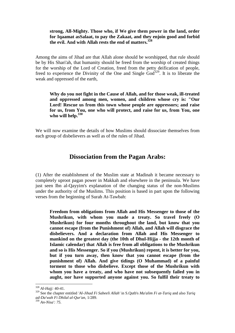#### **strong, All-Mighty. Those who, if We give them power in the land, order for Iqaamat asSalaat, to pay the Zakaat, and they enjoin good and forbid the evil. And with Allah rests the end of matters.[328](#page-101-0)**

Among the aims of Jihad are that Allah alone should be worshipped, that rule should be by His Shari'ah, that humanity should be freed from the worship of created things for the worship of the Lord of Creation, freed from the petty deification of people, freedto experience the Divinity of the One and Single God<sup>329</sup>. It is to liberate the weak and oppressed of the earth,

**Why do you not fight in the Cause of Allah, and for those weak, ill-treated and oppressed among men, women, and children whose cry is: "Our Lord! Rescue us from this town whose people are oppressors; and raise for us, from You, one who will protect, and raise for us, from You, one who will help.[330](#page-101-2)**

We will now examine the details of how Muslims should dissociate themselves from each group of disbelievers as well as of the rules of Jihad.

### **Dissociation from the Pagan Arabs:**

(1) After the establishment of the Muslim state at Madinah it became necessary to completely uproot pagan power in Makkah and elsewhere in the peninsula. We have just seen Ibn al-Qayyim's explanation of the changing status of the non-Muslims under the authority of the Muslims. This position is based in part upon the following verses from the beginning of Surah At-Tawbah:

**Freedom from obligations from Allah and His Messenger to those of the Mushrikun, with whom you made a treaty. So travel freely (O Mushrikun) for four months throughout the land, but know that you cannot escape (from the Punishment of) Allah, and Allah will disgrace the disbelievers. And a declaration from Allah and His Messenger to mankind on the greatest day (the 10th of Dhul-Hijja - the 12th month of Islamic calendar) that Allah is free from all obligations to the Mushrikun and so is His Messenger. So if you (Mushrikun) repent, it is better for you, but if you turn away, then know that you cannot escape (from the punishment of) Allah. And give tidings (O Muhammad) of a painful torment to those who disbelieve. Except those of the Mushrikun with whom you have a treaty, and who have not subsequently failed you in aught, nor have supported anyone against you. So fulfil their treaty to**

<span id="page-101-0"></span><sup>328</sup> *Al-Hajj:* 40-41.

<span id="page-101-1"></span><sup>329</sup> See the chapter entitled *'Al-Jihad Fi Sabeeli Allah'* in S.Qutb's *Ma'alim Fi at-Tariq* and also *Tariq ad-Da'wah Fi Dhilal al-Qur'an,* 1/289.

<span id="page-101-2"></span><sup>330</sup> *An-Nisa': 75.*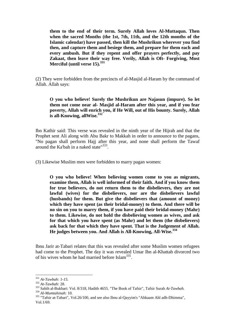**them to the end of their term. Surely Allah loves Al-Muttaqun. Then when the sacred Months (the 1st, 7th, 11th, and the 12th months of the Islamic calendar) have passed, then kill the Mushrikun wherever you find then, and capture them and besiege them, and prepare for them each and every ambush. But if they repent and offer prayers perfectly, and pay Zakaat, then leave their way free. Verily, Allah is Oft- Forgiving, Most Merciful (until verse15).<sup>331</sup>**

(2) They were forbidden from the precincts of al-Masjid al-Haram by the command of Allah. Allah says:

#### **O you who believe! Surely the Mushrikun are Najasun (impure). So let them not come near al- Masjid al-Haram after this year, and if you fear poverty, Allah will enrich you, if He Will, out of His bounty. Surely, Allah is all-Knowing, allWise.[332](#page-102-1)**

Ibn Kathir said: This verse was revealed in the ninth year of the Hijrah and that the Prophet sent Ali along with Abu Bakr to Makkah in order to announce to the pagans, "No pagan shall perform Hajj after this year, and none shall perform the Tawaf around the Ka'bah in a naked state"<sup>[333](#page-102-2)</sup>.

(3) Likewise Muslim men were forbidden to marry pagan women:

**O you who believe! When believing women come to you as migrants, examine them, Allah is well informed of their faith. And if you know them for true believers, do not return them to the disbelievers, they are not lawful (wives) for the disbelievers, nor are the disbelievers lawful (husbands) for them. But give the disbelievers that (amount of money) which they have spent (as their bridal-money) to them. And there will be no sin on you to marry them, if you have paid their bridal-money (Mahr) to them. Likewise, do not hold the disbelieving women as wives, and ask for that which you have spent (as Mahr) and let them (the disbelievers) ask back for that which they have spent. That is the Judgement of Allah. He judges between you. And Allah is All-Knowing, All-Wise.[334](#page-102-3)**

Ibnu Jarir at-Tabari relates that this was revealed after some Muslim women refugees had come to the Prophet. The day it was revealed Umar Ibn al-Khattab divorced two of his wives whom he had married before Islam<sup>[335](#page-102-4)</sup>.

<span id="page-102-0"></span><sup>331</sup> *At-Tawbah: 1-15.*

<span id="page-102-1"></span><sup>332</sup> *At-Tawbah:* 28.

<span id="page-102-3"></span><span id="page-102-2"></span><sup>333</sup> Sahih al-Bukhari: Vol. 8/318, Hadith 4655. "The Book of Tafsir", Tafsir Surah *At-Tawbah.* <sup>334</sup> *Al-Mumtahinah:* 10.

<span id="page-102-4"></span><sup>335</sup> "Tafsir at-Tabari", Vol.26/100, and see also Ibnu al-Qayyim's "Ahkaam Ahl adh-Dhimma", Vol.1/69.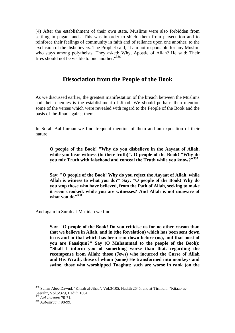(4) After the establishment of their own state, Muslims were also forbidden from settling in pagan lands. This was in order to shield them from persecution and to reinforce their feelings of community in faith and of reliance upon one another, to the exclusion of the disbelievers. The Prophet said, "I am not responsible for any Muslim who stays among polytheists. They asked: Why, Apostle of Allah? He said: Their fires should not be visible to one another."[336](#page-103-0)

### **Dissociation from the People of the Book**

As we discussed earlier, the greatest manifestation of the breach between the Muslims and their enemies is the establishment of Jihad. We should perhaps then mention some of the verses which were revealed with regard to the People of the Book and the basis of the Jihad against them.

In Surah Aal-Imraan we find frequent mention of them and an exposition of their nature:

**O people of the Book! "Why do you disbelieve in the Aayaat of Allah, while you bear witness (to their truth)". O people of the Book! "Why do you mix Truth with falsehood and conceal the Truth while you know?"[337](#page-103-1)**

**Say: "O people of the Book! Why do you reject the Aayaat of Allah, while Allah is witness to what you do?" Say, "O people of the Book! Why do you stop those who have believed, from the Path of Allah, seeking to make it seem crooked, while you are witnesses? And Allah is not unaware of what youdo"<sup>338</sup>**

And again in Surah al-Ma' idah we find,

**Say: "O people of the Book! Do you criticise us for no other reason than that we believe in Allah, and in (the Revelation) which has been sent down to us and in that which has been sent down before (us), and that most of you are Faasiqun?" Say (O Muhammad to the people of the Book): "Shall I inform you of something worse than that, regarding the recompense from Allah: those (Jews) who incurred the Curse of Allah and His Wrath, those of whom (some) He transformed into monkeys and swine, those who worshipped Taaghut; such are worse in rank (on the**

<span id="page-103-0"></span><sup>336</sup> Sunan Abee Dawud, "Kitaab al-Jihad", Vol.3/105, Hadith 2645, and at-Tirmidhi, "Kitaab as-Seerah", Vol.5/329, Hadith 1604.

<span id="page-103-2"></span><span id="page-103-1"></span><sup>337</sup> *Aal-Imraan:* 70-71.

<sup>338</sup> *Aal-lmraan:* 98-99.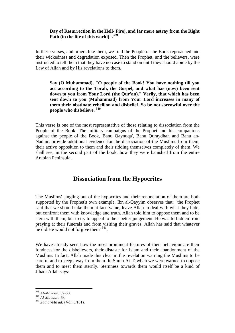#### **Day of Resurrection in the Hell- Fire), and far more astray from the Right Path (in the life of this world)".[339](#page-104-0)**

In these verses, and others like them, we find the People of the Book reproached and their wickedness and degradation exposed. Then the Prophet, and the believers, were instructed to tell them that they have no case to stand on until they should abide by the Law of Allah and by His revelations to them.

**Say (O Muhammad), "O people of the Book! You have nothing till you act according to the Torah, the Gospel, and what has (now) been sent down to you from Your Lord (the Qur'an)." Verily, that which has been sent down to you (Muhammad) from Your Lord increases in many of them their obstinate rebellion and disbelief. So be not sorrowful over the people who disbelieve. [340](#page-104-1)**

This verse is one of the most representative of those relating to dissociation from the People of the Book. The military campaigns of the Prophet and his companions against the people of the Book, Banu Qaynuqa', Banu Quraydhah and Banu an-Nadhir, provide additional evidence for the dissociation of the Muslims from them, their active opposition to them and their ridding themselves completely of them. We shall see, in the second part of the book, how they were banished from the entire Arabian Peninsula.

### **Dissociation from the Hypocrites**

The Muslims' singling out of the hypocrites and their renunciation of them are both supported by the Prophet's own example. Ibn al-Qayyim observes that: "the Prophet said that we should take them at face value, leave Allah to deal with what they hide, but confront them with knowledge and truth. Allah told him to oppose them and to be stern with them, but to try to appeal to their better judgement. He was forbidden from praying at their funerals and from visiting their graves. Allah has said that whatever he did He would not forgive them"<sup>[341](#page-104-2)</sup>.

We have already seen how the most prominent features of their behaviour are their fondness for the disbelievers, their distaste for Islam and their abandonment of the Muslims. In fact, Allah made this clear in the revelation warning the Muslims to be careful and to keep away from them. In Surah At-Tawbah we were warned to oppose them and to meet them sternly. Sternness towards them would itself be a kind of Jihad: Allah says:

<span id="page-104-0"></span><sup>339</sup> *Al-Ma'idah:* 59-60.

<span id="page-104-1"></span><sup>340</sup> *Al-Ma'idah:* 68.

<span id="page-104-2"></span><sup>341</sup> *Zad al-Ma'ad:* (Vol. 3/161).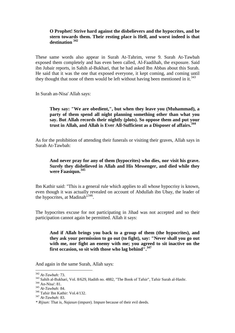#### **O Prophet! Strive hard against the disbelievers and the hypocrites, and be stern towards them. Their resting place is Hell, and worst indeed is that destination [342](#page-105-0)**

These same words also appear in Surah At-Tahrim, verse 9. Surah At-Tawbah exposed them completely and has even been called, Al-Faadihah, the exposure. Said ibn Jubair reports, in Sahih al-Bukhari, that he had asked Ibn Abbas about this Surah. He said that it was the one that exposed everyone, it kept coming, and coming until theythought that none of them would be left without having been mentioned in it.<sup>343</sup>

In Surah an-Nisa' Allah says:

#### **They say: "We are obedient,", but when they leave you (Muhammad), a party of them spend all night planning something other than what you say. But Allah records their nightly (plots). So oppose them and put your trust in Allah, and Allah is Ever All-Sufficient as a Disposer of affairs.[344](#page-105-2)**

As for the prohibition of attending their funerals or visiting their graves, Allah says in Surah At-Tawbah:

#### **And never pray for any of them (hypocrites) who dies, nor visit his grave. Surely they disbelieved in Allah and His Messenger, and died while they were Faasiqun.[345](#page-105-3)**

Ibn Kathir said: "This is a general rule which applies to all whose hypocrisy is known, even though it was actually revealed on account of Abdullah ibn Ubay, the leader of the hypocrites, at Madinah<sup>"[346](#page-105-4)</sup>.

The hypocrites excuse for not participating in Jihad was not accepted and so their participation cannot again be permitted. Allah it says:

**And if Allah brings you back to a group of them (the hypocrites), and they ask your permission to go out (to fight), say: "Never shall you go out with me, nor fight an enemy with me; you agreed to sit inactive on the first occasion, so sit with those who lag behind".[347](#page-105-5)**

And again in the same Surah, Allah says:

<span id="page-105-0"></span><sup>342</sup> *At-Tawbah:* 73.

<span id="page-105-1"></span><sup>343</sup> Sahih al-Bukhari, Vol. 8/629, Hadith no. 4882, "The Book of Tafsir", Tafsir Surah al-Hashr.

<span id="page-105-3"></span><span id="page-105-2"></span><sup>344</sup> An-Nisa': 81.

<span id="page-105-4"></span><sup>345</sup> *At-Tawbah:* 84.

<sup>346</sup> Tafsir Ibn Kathir: Vol.4/132.

<span id="page-105-5"></span><sup>347</sup> *At-Tawbah:* 83.

*<sup>\*</sup> Rijsun:* That is, *Najasun* (impure). Impure because of their evil deeds.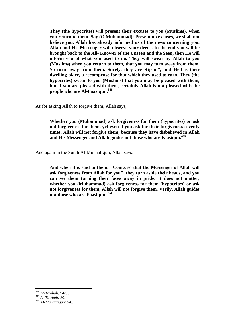**They (the hypocrites) will present their excuses to you (Muslims), when you return to them. Say (O Muhammad): Present no excuses, we shall not believe you. Allah has already informed us of the news concerning you. Allah and His Messenger will observe your deeds. In the end you will be brought back to the All- Knower of the Unseen and the Seen, then He will inform you of what you used to do. They will swear by Allah to you (Muslims) when you return to them, that you may turn away from them. So turn away from them. Surely, they are Rijsun\*, and Hell is their dwelling place, a recompense for that which they used to earn. They (the hypocrites) swear to you (Muslims) that you may be pleased with them, but if you are pleased with them, certainly Allah is not pleased with the people who are Al-Faasiqun.[348](#page-106-0)**

As for asking Allah to forgive them, Allah says,

**Whether you (Muhammad) ask forgiveness for them (hypocrites) or ask not forgiveness for them, yet even if you ask for their forgiveness seventy times, Allah will not forgive them; because they have disbelieved in Allah and His Messenger and Allah guides not those who are Faasiqun.[349](#page-106-1)**

And again in the Surah Al-Munaafiqun, Allah says:

**And when it is said to them: "Come, so that the Messenger of Allah will ask forgiveness from Allah for you", they turn aside their heads, and you can see them turning their faces away in pride. It does not matter, whether you (Muhammad) ask forgiveness for them (hypocrites) or ask not forgiveness for them, Allah will not forgive them. Verily, Allah guides not those who are Faasiqun. [350](#page-106-2)**

<span id="page-106-0"></span><sup>348</sup> *At-Tawbah:* 94-96.

<span id="page-106-1"></span><sup>349</sup> *At-Tawbah:* 80.

<span id="page-106-2"></span><sup>350</sup> *AI-Munaafiqun:* 5-6.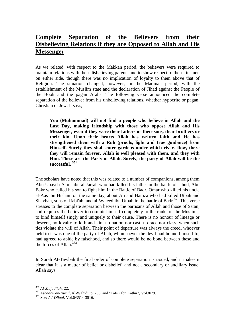## **Complete Separation of the Believers from their Disbelieving Relations if they are Opposed to Allah and His Messenger**

As we related, with respect to the Makkan period, the believers were required to maintain relations with their disbelieving parents and to show respect to their kinsmen on either side, though there was no implication of loyalty to them above that of Religion. The situation changed, however, in the Madinan period, with the establishment of the Muslim state and the declaration of Jihad against the People of the Book and the pagan Arabs. The following verse announced the complete separation of the believer from his unbelieving relations, whether hypocrite or pagan, Christian or Jew. It says,

**You (Muhammad) will not find a people who believe in Allah and the Last Day, making friendship with those who oppose Allah and His Messenger, even if they were their fathers or their sons, their brothers or their kin. Upon their hearts Allah has written faith and He has strengthened them with a Ruh (proofs, light and true guidance) from Himself. Surely they shall enter gardens under which rivers flow, there they will remain forever. Allah is well pleased with them, and they with Him. These are the Party of Allah. Surely, the party of Allah will be the successful. [351](#page-107-0)**

The scholars have noted that this was related to a number of companions, among them Abu Ubayda A'mir ibn al-Jarrah who had killed his father in the battle of Uhud, Abu Bakr who called his son to fight him in the Battle of Badr, Omar who killed his uncle al-Aas ibn Hisham on the same day, about Ali and Hamza who had killed Utbah and Shaybah,sons of Rabi'ah, and al-Waleed ibn Utbah in the battle of Bad[r](#page-107-1)<sup>352</sup>. This verse stresses to the complete separation between the partisans of Allah and those of Satan, and requires the believer to commit himself completely to the ranks of the Muslims, to bind himself singly and uniquely to their cause. There is no honour of lineage or descent, no loyalty to kith and kin, no nation nor cast, no race nor class, when such ties violate the will of Allah. Their point of departure was always the creed, whoever held to it was one of the party of Allah, whomsoever the devil had bound himself to, had agreed to abide by falsehood, and so there would be no bond between these and the forces of Allah $^{353}$  $^{353}$  $^{353}$ 

In Surah At-Tawbah the final order of complete separation is issued, and it makes it clear that it is a matter of belief or disbelief, and not a secondary or ancillary issue, Allah says:

<span id="page-107-0"></span><sup>351</sup> *Al-Mujadilah:* 22.

<span id="page-107-1"></span><sup>352</sup> *Asbaabu an-Nuzul,* Al-Wahidi, p. 236, and "Tafsir Ibn Kathir", Vol.8/79.

<span id="page-107-2"></span><sup>353</sup> See: *Ad-Dilaal,* Vol.6/3514-3516.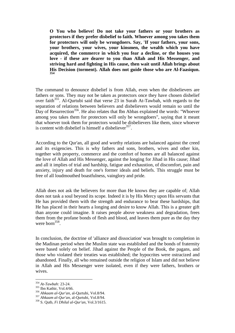**O You who believe! Do not take your fathers or your brothers as protectors if they prefer disbelief to faith. Whoever among you takes them for protectors will only be wrongdoers. Say, 'If your fathers, your sons, your brothers, your wives, your kinsmen, the wealth which you have acquired, the commerce in which you fear a decline, or the houses you love - if these are dearer to you than Allah and His Messenger, and striving hard and fighting in His cause, then wait until Allah brings about His Decision (torment). Allah does not guide those who are Al-Faasiqun. [354](#page-108-0)**

The command to denounce disbelief is from Allah, even when the disbelievers are fathers or sons. They may not be taken as protectors once they have chosen disbelief overfait[h](#page-108-1) $^{355}$ . Al-Qurtubi said that verse 23 in Surah At-Tawbah, with regards to the separation of relations between believers and disbelievers would remain so until the Day of Resurrection<sup>[356](#page-108-2)</sup>. He also relates that Ibn Abbas explained the words: "Whoever among you takes them for protectors will only be wrongdoers", saying that it meant that whoever took them for protectors would be disbelievers like them, since whoever is content with disbelief is himself a disbeliever  $357$ .

According to the Qur'an, all good and worthy relations are balanced against the creed and its exigencies. This is why fathers and sons, brothers, wives and other kin, together with property, commerce and the comfort of homes are all balanced against the love of Allah and His Messenger, against the longing for Jihad in His cause; Jihad and all it implies of trial and hardship, fatigue and exhaustion, of discomfort, pain and anxiety, injury and death for one's former ideals and beliefs. This struggle must be free of all loudmouthed boastfulness, vainglory and pride.

Allah does not ask the believers for more than He knows they are capable of; Allah does not task a soul beyond its scope. Indeed it is by His Mercy upon His servants that He has provided them with the strength and endurance to bear these hardships, that He has placed in their hearts a longing and desire to know Allah. This is a greater gift than anyone could imagine. It raises people above weakness and degradation, frees them from the profane bonds of flesh and blood, and leaves them pure as the day they werebor[n](#page-108-4)<sup>358</sup>.

In conclusion, the doctrine of 'alliance and dissociation' was brought to completion in the Madinan period when the Muslim state was established and the bonds of fraternity were based solely on belief. Jihad against the People of the Book, the pagans, and those who violated their treaties was established; the hypocrites were ostracized and abandoned. Finally, all who remained outside the religion of Islam and did not believe in Allah and His Messenger were isolated, even if they were fathers, brothers or wives.

- <span id="page-108-2"></span><sup>356</sup> *Ahkaam al-Qur'an,* al-Qurtubi, Vol.8/94.
- <span id="page-108-3"></span><sup>357</sup> *Ahkaam al-Qur'an,* al-Qurtubi, Vol.8/94.

<span id="page-108-0"></span><sup>354</sup> *At-Tawbah:* 23-24.

<span id="page-108-1"></span><sup>355</sup> Ibn Kathir, Vol.4/66.

<span id="page-108-4"></span><sup>358</sup> S. Qutb, *Fi Dhilal al-Qur'an,* Vol.3/1615.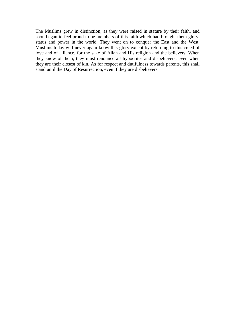The Muslims grew in distinction, as they were raised in stature by their faith, and soon began to feel proud to be members of this faith which had brought them glory, status and power in the world. They went on to conquer the East and the West. Muslims today will never again know this glory except by returning to this creed of love and of alliance, for the sake of Allah and His religion and the believers. When they know of them, they must renounce all hypocrites and disbelievers, even when they are their closest of kin. As for respect and dutifulness towards parents, this shall stand until the Day of Resurrection, even if they are disbelievers.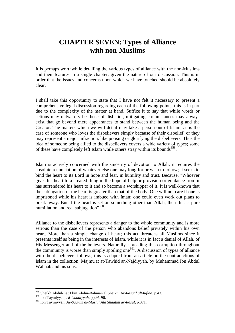# **CHAPTER SEVEN: Types of Alliance with non-Muslims**

It is perhaps worthwhile detailing the various types of alliance with the non-Muslims and their features in a single chapter, given the nature of our discussion. This is in order that the issues and concerns upon which we have touched should be absolutely clear.

I shall take this opportunity to state that I have not felt it necessary to present a comprehensive legal discussion regarding each of the following points, this is in part due to the complexity of the matter at hand. Suffice it to say that while words or actions may outwardly be those of disbelief, mitigating circumstances may always exist that go beyond mere appearances to stand between the human being and the Creator. The matters which we will detail may take a person out of Islam, as is the case of someone who loves the disbelievers simply because of their disbelief, or they may represent a major infraction, like praising or glorifying the disbelievers. Thus the idea of someone being allied to the disbelievers covers a wide variety of types; some of these have completely left Islam while others stray within its bounds<sup>[359](#page-110-0)</sup>.

Islam is actively concerned with the sincerity of devotion to Allah; it requires the absolute renunciation of whatever else one may long for or wish to follow; it seeks to bind the heart to its Lord in hope and fear, in humility and trust. Because, "Whoever gives his heart to a created thing in the hope of help or provision or guidance from it has surrendered his heart to it and so become a worshipper of it. It is well-known that the subjugation of the heart is greater than that of the body. One will not care if one is imprisoned while his heart is imbued with Iman; one could even work out plans to break away. But if the heart is set on something other than Allah, then this is pure humiliation and real subjugation"<sup>[360](#page-110-1)</sup>.

Alliance to the disbelievers represents a danger to the whole community and is more serious than the case of the person who abandons belief privately within his own heart. More than a simple change of heart; this act threatens all Muslims since it presents itself as being in the interests of Islam, while it is in fact a denial of Allah, of His Messenger and of the believers. Naturally, spreading this corruption throughout thecommunity is worse than simply spoiling one<sup>361</sup>. A discussion of types of alliance with the disbelievers follows; this is adapted from an article on the contradictions of Islam in the collection, Majmu'at at-Tawhid an-Najdiyyah, by Muhammad Ibn Abdul Wahhab and his sons.

<span id="page-110-0"></span><sup>359</sup> Sheikh Abdul-Latif bin Abdur-Rahman al Sheikh, *Ar-Rasa'il alMufida,* p.43.

<span id="page-110-2"></span><span id="page-110-1"></span><sup>360</sup> Ibn Taymiyyah, *Al-Ubudiyyah,* pp.95-96.

<sup>361</sup> Ibn Taymiyyah, *As-Saarim al-Maslul Ala Shaatim ar-Rasul,* p.371.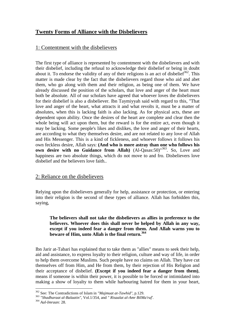## **Twenty Forms of Alliance with the Disbelievers**

## 1: Contentment with the disbelievers

The first type of alliance is represented by contentment with the disbelievers and with their disbelief, including the refusal to acknowledge their disbelief or being in doubt about it. To endorse the validity of any of their religions is an act of disbelief<sup>[362](#page-111-0)</sup>. This matter is made clear by the fact that the disbelievers regard those who aid and abet them, who go along with them and their religion, as being one of them. We have already discussed the position of the scholars, that love and anger of the heart must both be absolute. All of our scholars have agreed that whoever loves the disbelievers for their disbelief is also a disbeliever. Ibn Taymiyyah said with regard to this, "That love and anger of the heart, what attracts it and what revolts it, must be a matter of absolutes, when this is lacking faith is also lacking. As for physical acts, these are dependent upon ability. Once the desires of the heart are complete and clear then the whole being will act upon them, but the reward is for the entire act, even though it may be lacking. Some people's likes and dislikes, the love and anger of their hearts, are according to what they themselves desire, and are not related to any love of Allah and His Messenger. This is a kind of fickleness, and whoever follows it follows his own feckless desire, Allah says: **(And who is more astray than one who follows his own desire with no Guidance from Allah**) (Al-Qasas:50)<sup>"[363](#page-111-1)</sup>. So, Love and happiness are two absolute things, which do not move to and fro. Disbelievers love disbelief and the believers love faith..

## 2: Reliance on the disbelievers

Relying upon the disbelievers generally for help, assistance or protection, or entering into their religion is the second of these types of alliance. Allah has forbidden this, saying,

#### **The believers shall not take the disbelievers as allies in preference to the believers. Whoever does this shall never be helped by Allah in any way, except if you indeed fear a danger from them. And Allah warns you to beware of Him, unto Allah is the final return.[364](#page-111-2)**

Ibn Jarir at-Tabari has explained that to take them as "allies" means to seek their help, aid and assistance, to express loyalty to their religion, culture and way of life, in order to help them overcome Muslims. Such people have no claims on Allah. They have cut themselves off from Him, and He from them, by their rejection of His Religion and their acceptance of disbelief. **(Except if you indeed fear a danger from them)**, means if someone is within their power, it is possible to be forced or intimidated into making a show of loyalty to them while harbouring hatred for them in your heart,

<span id="page-111-0"></span><sup>362</sup> See: The Contradictions of Islam in *"Majmuat at-Tawhid",* p.129.

<span id="page-111-1"></span><sup>363</sup> *"Shadharaat al-Balaatin",* Vol.1/354, and *" Risaalat al-Amr BilMa'ruf'.*

<span id="page-111-2"></span><sup>364</sup> *Aal-Imraan:* 28.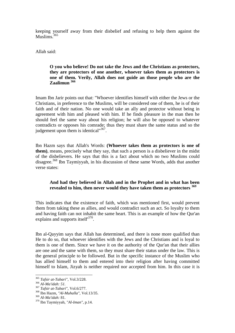keeping yourself away from their disbelief and refusing to help them against the Muslims.<sup>[365](#page-112-0)</sup>

Allah said:

#### **O you who believe! Do not take the Jews and the Christians as protectors, they are protectors of one another, whoever takes them as protectors is one of them. Verily, Allah does not guide an those people who are the Zaalimun [366](#page-112-1)**

Imam Ibn Jarir points out that: "Whoever identifies himself with either the Jews or the Christians, in preference to the Muslims, will be considered one of them, he is of their faith and of their nation. No one would take an ally and protector without being in agreement with him and pleased with him. If he finds pleasure in the man then he should feel the same way about his religion; he will also be opposed to whatever contradicts or opposes his comrade; thus they must share the same status and so the judgement upon them is identical"<sup>[367](#page-112-2)</sup>.

Ibn Hazm says that Allah's Words: **(Whoever takes them as protectors is one of them)**, means, precisely what they say, that such a person is a disbeliever in the midst of the disbelievers. He says that this is a fact about which no two Muslims could disagree.<sup>[368](#page-112-3)</sup> Ibn Taymiyyah, in his discussion of these same Words, adds that another verse states:

#### **And had they believed in Allah and in the Prophet and in what has been revealed to him, then never would they have taken them as protectors [369](#page-112-4)**

This indicates that the existence of faith, which was mentioned first, would prevent them from taking these as allies, and would contradict such an act. So loyalty to them and having faith can not inhabit the same heart. This is an example of how the Qur'an explains and supports itself<sup>[370](#page-112-5)</sup>.

Ibn al-Qayyim says that Allah has determined, and there is none more qualified than He to do so, that whoever identifies with the Jews and the Christians and is loyal to them is one of them. Since we have it on the authority of the Qur'an that their allies are one and the same with them, so they must share their status under the law. This is the general principle to be followed. But in the specific instance of the Muslim who has allied himself to them and entered into their religion after having committed himself to Islam, Jizyah is neither required nor accepted from him. In this case it is

<span id="page-112-0"></span><sup>365</sup> *Tafsir at-Tabari",* Vol.3/228.

<span id="page-112-1"></span><sup>366</sup> *Al-Ma'idah: 51.*

<span id="page-112-2"></span><sup>367</sup> *Tafsir at-Tabari",* Vol.6/277.

<span id="page-112-3"></span><sup>368</sup> Ibn Hazm, *"Al-Muhalla",* Vol.13/35.

<span id="page-112-4"></span><sup>369</sup> *Al-Ma'idah:* 81.

<span id="page-112-5"></span><sup>370</sup> Ibn Taymiyyah, *"Al-Iman",* p.14.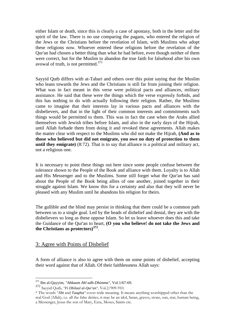either Islam or death, since this is clearly a case of apostasy, both in the letter and the spirit of the law. There is no use comparing the pagans, who entered the religion of the Jews or the Christians before the revelation of Islam, with Muslims who adopt these religions now. Whoever entered these religions before the revelation of the Qur'an had chosen a better thing than what he had before, even though neither of them were correct, but for the Muslim to abandon the true faith for falsehood after his own avowal of truth, is not permitted. $371$ 

Sayyid Qutb differs with at-Tabari and others over this point saying that the Muslim who leans towards the Jews and the Christians is still far from joining their religion. What was in fact meant in this verse were political pacts and alliances, military assistance. He said that these were the things which the verse expressly forbids, and this has nothing to do with actually following their religion. Rather, the Muslims came to imagine that their interests lay in various pacts and alliances with the disbelievers, and that in the light of their common interests and commitments such things would be permitted to them. This was in fact the case when the Arabs allied themselves with Jewish tribes before Islam, and also in the early days of the Hijrah, until Allah forbade them from doing it and revoked these agreements. Allah makes the matter clear with respect to the Muslims who did not make the Hijrah, **(And as to those who believed but did not emigrate, you owe no duty of protection to them until they emigrate**) (8:72). That is to say that alliance is a political and military act, not a religious one.

It is necessary to point these things out here since some people confuse between the tolerance shown to the People of the Book and alliance with them. Loyalty is to Allah and His Messenger and to the Muslims. Some still forget what the Qur'an has said about the People of the Book being allies of one another, joined together in their struggle against Islam. We know this for a certainty and also that they will never be pleased with any Muslim until he abandons his religion for theirs.

The gullible and the blind may persist in thinking that there could be a common path between us to a single goal. Led by the heads of disbelief and denial, they are with the disbelievers so long as these oppose Islam. So let us leave whoever does this and take the Guidance of the Qur'an to heart, **(O you who believe! do not take the Jews and the Christians as protectors)[372](#page-113-1)** .

## 3: Agree with Points of Disbelief

A form of alliance is also to agree with them on some points of disbelief, accepting their word against that of Allah. Of their faithlessness Allah says:

<span id="page-113-0"></span><sup>371</sup> Ibn al-Qayyim, *"Ahkaam Ahl adh-Dhimma",* Vol.1/67-69.

<span id="page-113-1"></span><sup>372</sup> Sayyid Qutb, *"Fi Dhilaal al-Qur'an",* Vol.2/909-910.

<sup>\*</sup> The words *"Jibt* and *Taaghut"* cover wide meaning. It means anything worshipped other than the real God (Allah), i.e. all the false deities, it may be an idol, Satan, graves, stone, sun, star, human being, a Messenger, Jesus the son of Mary, Ezra, Moses, Saints etc.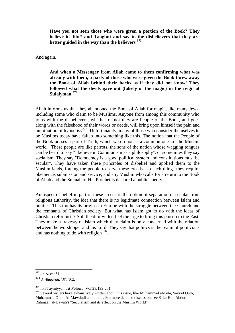**Have you not seen those who were given a portion of the Book? They believe in Jibt\* and Taaghut and say to the disbelievers that they are better guided in the way than the believers [373](#page-114-0)**

And again,

**And when a Messenger from Allah came to them confirming what was already with them, a party of those who were given the Book threw away the Book of Allah behind their backs as if they did not know! They followed what the devils gave out (falsely of the magic) in the reign of Sulaiyman.[374](#page-114-1)**

Allah informs us that they abandoned the Book of Allah for magic, like many Jews, including some who claim to be Muslims. Anyone from among this community who joins with the disbelievers, whether or not they are People of the Book, and goes along with the falsehood of their words or deeds, will bring upon himself the pain and humiliation of hypocrisy<sup>[375](#page-114-2)</sup>. Unfortunately, many of those who consider themselves to be Muslims today have fallen into something like this. The notion that the People of the Book posses a part of Truth, which we do not, is a common one in "the Muslim world". These people are like parrots, the sons of the nation whose wagging tongues can be heard to say "I believe in Communism as a philosophy", or sometimes they say socialism. They say "Democracy is a good political system and constitutions must be secular". They have taken these principles of disbelief and applied them to the Muslim lands, forcing the people to serve these creeds. To such things they require obedience, submission and service, and any Muslim who calls for a return to the Book of Allah and the Sunnah of His Prophet is declared a public enemy.

An aspect of belief in part of these creeds is the notion of separation of secular from religious authority, the idea that there is no legitimate connection between Islam and politics. This too has its origins in Europe with the struggle between the Church and the remnants of Christian society. But what has Islam got to do with the ideas of Christian reformists? Still the dim-witted feel the urge to bring this poison to the East. They make a travesty of Islam which they claim is only concerned with the relation between the worshipper and his Lord. They say that politics is the realm of politicians and has nothing to do with religion  $376$ .

<span id="page-114-0"></span><sup>373</sup> *An-Nisa':* 51.

<span id="page-114-1"></span><sup>374</sup> *Al-Baqarah:* 101-102.

<span id="page-114-2"></span><sup>375</sup> Ibn Taymiyyah, *Al-Fatawa,* Vol.28/199-201.

<span id="page-114-3"></span><sup>&</sup>lt;sup>376</sup> Several writers have exhaustively written about this issue, like Muhammad al-Bihi, Sayyid Qutb, Muhammad Qutb, Al-Mawdudi and others. For more detailed discussion, see Safar Ben Abdur Rahmaan al-Hawali's "Secularism and its effect on the Muslim World".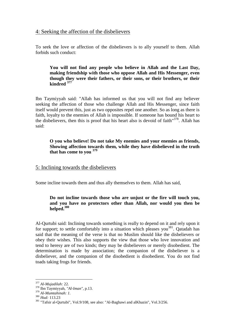## 4: Seeking the affection of the disbelievers

To seek the love or affection of the disbelievers is to ally yourself to them. Allah forbids such conduct:

#### **You will not find any people who believe in Allah and the Last Day, making friendship with those who oppose Allah and His Messenger, even though they were their fathers, or their sons, or their brothers, or their kindred [377](#page-115-0)**

Ibn Taymiyyah said: "Allah has informed us that you will not find any believer seeking the affection of those who challenge Allah and His Messenger, since faith itself would prevent this, just as two opposites repel one another. So as long as there is faith, loyalty to the enemies of Allah is impossible. If someone has bound his heart to the disbelievers, then this is proof that his heart also is devoid of faith $1378$  $1378$ . Allah has said:

#### **O you who believe! Do not take My enemies and your enemies as friends, Showing affection towards them, while they have disbelieved in the truth that has come toyou <sup>379</sup>**

## 5: Inclining towards the disbelievers

Some incline towards them and thus ally themselves to them. Allah has said,

#### **Do not incline towards those who are unjust or the fire will touch you, and you have no protectors other than Allah, nor would you then be helped.[380](#page-115-3)**

Al-Qurtubi said: Inclining towards something is really to depend on it and rely upon it forsupport; to settle comfortably into a situation which pleases you<sup>381</sup>. Qatadah has said that the meaning of the verse is that no Muslim should like the disbelievers or obey their wishes. This also supports the view that those who love innovation and tend to heresy are of two kinds; they may be disbelievers or merely disobedient. The determination is made by association; the companion of the disbeliever is a disbeliever, and the companion of the disobedient is disobedient. You do not find toads taking frogs for friends.

<span id="page-115-0"></span><sup>377</sup> *Al-Mujadilah:* 22.

<span id="page-115-1"></span><sup>378</sup> Ibn Taymiyyah, *"Al-Iman",* p.13.

<span id="page-115-2"></span><sup>379</sup> *Al-Mumtahinah: 1.*

<span id="page-115-3"></span><sup>380</sup> *Hud:* 113.23

<span id="page-115-4"></span><sup>381</sup> "Tafsir al-Qurtubi", Vol.9/108, see also: "Al-Baghawi and alKhazin", Vol.3/256.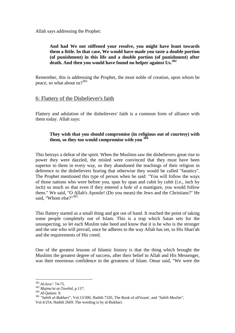Allah says addressing the Prophet:

#### **And had We not stiffened your resolve, you might have leant towards them a little. In that case, We would have made you taste a double portion (of punishment) in this life and a double portion (of punishment) after death. And then you would have found no helper againstUs.<sup>382</sup>**

Remember, this is addressing the Prophet, the most noble of creation, upon whom be peace,so what about us? $383$ 

## 6: Flattery of the Disbeliever's faith

Flattery and adulation of the disbelievers' faith is a common form of alliance with them today. Allah says:

#### **They wish that you should compromise (in religious out of courtesy) with them, so they too would compromise withyou <sup>384</sup>**

This betrays a defeat of the spirit. When the Muslims saw the disbelievers great rise to power they were dazzled, the misled were convinced that they must have been superior to them in every way, so they abandoned the teachings of their religion in deference to the disbelievers fearing that otherwise they would be called "fanatics". The Prophet mentioned this type of person when he said: "You will follow the ways of those nations who were before you, span by span and cubit by cubit (i.e., inch by inch) so much so that even if they entered a hole of a mastigure, you would follow them." We said, "O Allah's Apostle! (Do you mean) the Jews and the Christians?" He said, "Whom else?"<sup>[385](#page-116-3)</sup>

This flattery started as a small thing and got out of hand. It reached the point of taking some people completely out of Islam. This is a trap which Satan sets for the unsuspecting, so let each Muslim take heed and know that it is he who is the stronger and the one who will prevail, once he adheres to the way Allah has set, to His Shari'ah and the requirements of His creed.

One of the greatest lessons of Islamic history is that the thing which brought the Muslims the greatest degree of success, after their belief in Allah and His Messenger, was their enormous confidence in the greatness of Islam. Omar said, "We were the

<span id="page-116-0"></span><sup>382</sup> *Al-Isra':* 74-75.

<span id="page-116-1"></span><sup>383</sup> *Majmu'at at-Tawhid,* p.117.

<span id="page-116-2"></span><sup>384</sup> *Al-Qalam:* 9.

<span id="page-116-3"></span><sup>385</sup> *"Sahih al-Bukhari",* Vol.13/300, Hadith 7320, The Book of alI'tisam', and *"Sahih Muslim",* Vol.4/254, Hadith 2669. The wording is by al-Bukhari.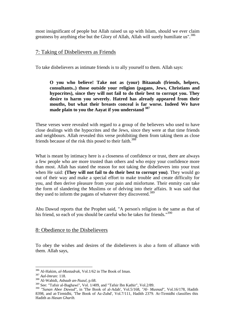most insignificant of people but Allah raised us up with Islam, should we ever claim greatnessby anything else but the Glory of Allah, Allah will surely humiliate us".<sup>386</sup>

## 7: Taking of Disbelievers as Friends

To take disbelievers as intimate friends is to ally yourself to them. Allah says:

**O you who believe! Take not as (your) Bitaanah (friends, helpers, consultants..) those outside your religion (pagans, Jews, Christians and hypocrites), since they will not fail to do their best to corrupt you. They desire to harm you severely. Hatred has already appeared from their mouths, but what their breasts conceal is far worse. Indeed We have made plain to you the Aayat if you understand [387](#page-117-1)**

These verses were revealed with regard to a group of the believers who used to have close dealings with the hypocrites and the Jews, since they were at that time friends and neighbours. Allah revealed this verse prohibiting them from taking them as close friends because of the risk this posed to their faith.<sup>[388](#page-117-2)</sup>

What is meant by intimacy here is a closeness of confidence or trust, there are always a few people who are more trusted than others and who enjoy your confidence more than most. Allah has stated the reason for not taking the disbelievers into your trust when He said: **(They will not fail to do their best to corrupt you)**. They would go out of their way and make a special effort to make trouble and create difficulty for you, and then derive pleasure from your pain and misfortune. Their enmity can take the form of slandering the Muslims or of delving into their affairs. It was said that they used to inform the pagans of whatever they discovered.<sup>[389](#page-117-3)</sup>

Abu Dawud reports that the Prophet said, "A person's religion is the same as that of his friend, so each of you should be careful who he takes for friends."<sup>[390](#page-117-4)</sup>

#### 8: Obedience to the Disbelievers

To obey the wishes and desires of the disbelievers is also a form of alliance with them. Allah says,

<span id="page-117-0"></span><sup>386</sup> Al-Hakim, *al-Mustadrak,* Vol.1/62 in The Book of Iman.

<span id="page-117-1"></span><sup>387</sup> *Aal-Imran:* 118.

<span id="page-117-2"></span><sup>388</sup> Al-Wahidi, *Asbaab an-Nuzul,* p.68.

<span id="page-117-3"></span><sup>389</sup> See: "Tafsir al-Baghawi", Vol. 1/409, and "Tafsir Ibn Kathir", Vol.2/89.

<span id="page-117-4"></span><sup>390</sup> *"Sunan Abee Dawud",* in 'The Book of al-Adab', Vol.5/168, *"Al- Musnad",* Vol.16/178, Hadith 8398, and at-Tirmidhi, 'The Book of Az-Zuhd', Vol.7/111, Hadith 2379. At-Tirmidhi classifies this Hadith as *Hasan Gharib.*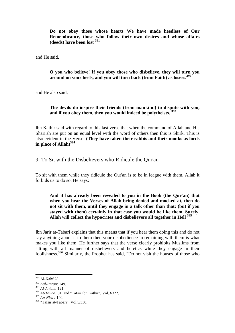**Do not obey those whose hearts We have made heedless of Our Remembrance, those who follow their own desires and whose affairs (deeds) have beenlost <sup>391</sup>**

and He said,

**O you who believe! If you obey those who disbelieve, they will turn you around on your heels, and you will turn back (from Faith) as losers.[392](#page-118-1)**

and He also said,

#### **The devils do inspire their friends (from mankind) to dispute with you, and if you obey them, then you would indeed be polytheists. [393](#page-118-2)**

Ibn Kathir said with regard to this last verse that when the command of Allah and His Shari'ah are put on an equal level with the word of others then this is Shirk. This is also evident in the Verse: **(They have taken their rabbis and their monks as lords in place of Allah)[394](#page-118-3)**

#### 9: To Sit with the Disbelievers who Ridicule the Qur'an

To sit with them while they ridicule the Qur'an is to be in league with them. Allah it forbids us to do so, He says:

#### **And it has already been revealed to you in the Book (the Qur'an) that when you hear the Verses of Allah being denied and mocked at, then do not sit with them, until they engage in a talk other than that; (but if you stayed with them) certainly in that case you would be like them. Surely, Allah will collect the hypocrites and disbelievers all together in Hell [395](#page-118-4)**

Ibn Jarir at-Tabari explains that this means that if you hear them doing this and do not say anything about it to them then your disobedience in remaining with them is what makes you like them. He further says that the verse clearly prohibits Muslims from sitting with all manner of disbelievers and heretics while they engage in their foolishness.[396](#page-118-5) Similarly, the Prophet has said, "Do not visit the houses of those who

<span id="page-118-0"></span><sup>391</sup> Al-Kahf 28.

<span id="page-118-1"></span><sup>392</sup> *Aal-Imran:* 149.

<span id="page-118-2"></span><sup>393</sup> *Al-An'am:* 121.

<span id="page-118-3"></span><sup>394</sup> *At-Tauba:* 31, and "Tafsir Ibn Kathir", Vol.3/322.

<span id="page-118-4"></span><sup>395</sup> *An-Nisa':* 140.

<span id="page-118-5"></span><sup>396</sup> "Tafsir at-Tabari", Vol.5/330.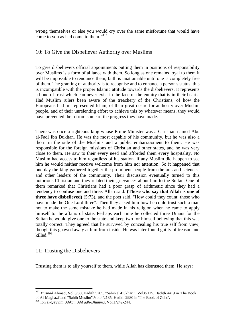wrong themselves or else you would cry over the same misfortune that would have come to you as had come to them."[397](#page-119-0)

## 10: To Give the Disbeliever Authority over Muslims

To give disbelievers official appointments putting them in positions of responsibility over Muslims is a form of alliance with them. So long as one remains loyal to them it will be impossible to renounce them, faith is unattainable until one is completely free of them. The granting of authority is to recognise and to enhance a person's status, this is incompatible with the proper Islamic attitude towards the disbelievers. It represents a bond of trust which can never exist in the face of the enmity that is in their hearts. Had Muslim rulers been aware of the treachery of the Christians, of how the Europeans had misrepresented Islam, of their great desire for authority over Muslim people, and of their unrelenting effort to achieve this by whatever means, they would have prevented them from some of the progress they have made.

There was once a righteous king whose Prime Minister was a Christian named Abu al-Fadl Ibn Dukhan. He was the most capable of his community, but he was also a thorn in the side of the Muslims and a public embarrassment to them. He was responsible for the foreign missions of Christian and other states, and he was very close to them. He saw to their every need and afforded them every hospitality. No Muslim had access to him regardless of his station. If any Muslim did happen to see him he would neither receive welcome from him nor attention. So it happened that one day the king gathered together the prominent people from the arts and sciences, and other leaders of the community. Their discussion eventually turned to this notorious Christian and they related their grievances about him to the Sultan. One of them remarked that Christians had a poor grasp of arithmetic since they had a tendency to confuse one and three. Allah said: **(Those who say that Allah is one of three have disbelieved)** (5:73), and the poet said, "How could they count; those who have made the One Lord three". Then they asked him how he could trust such a man not to make the same mistake he had made in his religion when he came to apply himself to the affairs of state. Perhaps each time he collected three Dinars for the Sultan he would give one to the state and keep two for himself believing that this was totally correct. They agreed that he survived by concealing his true self from view, though this gnawed away at him from inside. He was later found guilty of treason and killed.[398](#page-119-1)

## 11: Trusting the Disbelievers

Trusting them is to ally yourself to them, while Allah has distrusted them. He says:

<span id="page-119-0"></span><sup>397</sup> *Musnad* Ahmad, Vol.8/80, Hadith 5705, "Sahih al-Bukhari", Vol.8/125, Hadith 4419 in 'The Book of Al-Maghazi' and "Sahih Muslim",Vol.4/2185, Hadith 2980 in 'The Book of Zuhd'.

<span id="page-119-1"></span><sup>398</sup> Ibn al-Qayyim, *Ahkam Ahl adh-Dhimma,* Vol.1/242-244.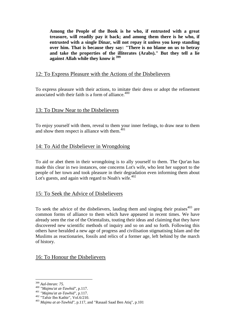**Among the People of the Book is he who, if entrusted with a great treasure, will readily pay it back; and among them there is he who, if entrusted with a single Dinar, will not repay it unless you keep standing over him. That is because they say: "There is no blame on us to betray and take the properties of the illiterates (Arabs)." But they tell a lie against Allah while they knowit <sup>399</sup>**

## 12: To Express Pleasure with the Actions of the Disbelievers

To express pleasure with their actions, to imitate their dress or adopt the refinement associated with their faith is a form of alliance.<sup>[400](#page-120-1)</sup>

## 13: To Draw Near to the Disbelievers

To enjoy yourself with them, reveal to them your inner feelings, to draw near to them and show them respect is alliance with them. $401$ 

## 14: To Aid the Disbeliever in Wrongdoing

To aid or abet them in their wrongdoing is to ally yourself to them. The Qur'an has made this clear in two instances, one concerns Lot's wife, who lent her support to the people of her town and took pleasure in their degradation even informing them about Lot'sguests, and again with regard to Noah's wife[.](#page-120-3) $402$ 

## 15: To Seek the Advice of Disbelievers

To seek the advice of the disbelievers, lauding them and singing their praises $403$  are common forms of alliance to them which have appeared in recent times.W[e ha](#page-120-4)ve already seen the rise of the Orientalists, touting their ideas and claiming that they have discovered new scientific methods of inquiry and so on and so forth. Following this others have heralded a new age of progress and civilisation stigmatising Islam and the Muslims as reactionaries, fossils and relics of a former age, left behind by the march of history.

## 16: To Honour the Disbelievers

<span id="page-120-0"></span><sup>399</sup> *Aal-Imran: 75.*

<span id="page-120-1"></span><sup>400</sup> *"Majmu'at at-Tawhid",* p.117.

<span id="page-120-2"></span><sup>401</sup> *"Majmu'at at-Tawhid",* p.117.

<span id="page-120-3"></span><sup>402</sup> "Tafsir Ibn Kathir", Vol.6/210.

<span id="page-120-4"></span><sup>403</sup> *Majmu at at-Tawhid",* p.117, and "Rasaail Saad Ben Atiq", p.101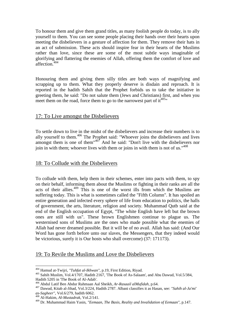To honour them and give them grand titles, as many foolish people do today, is to ally yourself to them. You can see some people placing their hands over their hearts upon meeting the disbelievers in a gesture of affection for them. They remove their hats in an act of submission. These acts should inspire fear in their hearts of the Muslims rather than love, since these are some of the most subtle ways imaginable of glorifying and flattering the enemies of Allah, offering them the comfort of love and affection.[404](#page-121-0)

Honouring them and giving them silly titles are both ways of magnifying and scrapping up to them. What they properly deserve is disdain and reproach. It is reported in the hadith Sahih that the Prophet forbids us to take the initiative in greeting them, he said: "Do not salute them (Jews and Christians) first, and when you meetthem on the road, force them to go to the narrowest part of  $it^{405}$ "

## 17: To Live amongst the Disbelievers

To settle down to live in the midst of the disbelievers and increase their numbers is to ally yourself to them.<sup>[406](#page-121-2)</sup> The Prophet said: "Whoever joins the disbelievers and lives amongst them is one of them<sup> $1407$  $1407$ </sup> And he said: "Don't live with the disbelievers nor joinin with them; whoever lives with them or joins in with them is not of us."<sup>408</sup>

#### 18: To Collude with the Disbelievers

To collude with them, help them in their schemes, enter into pacts with them, to spy on their behalf, informing them about the Muslims or fighting in their ranks are all the acts of their allies.<sup>[409](#page-121-5)</sup> This is one of the worst ills from which the Muslims are suffering today. This is what is sometimes called the "Fifth Column". It has spoiled an entire generation and infected every sphere of life from education to politics, the halls of government, the arts, literature, religion and society. Muhammad Qutb said at the end of the English occupation of Egypt, "The white English have left but the brown ones are still with us". These brown Englishmen continue to plague us. The westernised sons of Muslims are the ones who made possible what the enemies of Allah had never dreamed possible. But it will be of no avail. Allah has said: (And Our Word has gone forth before unto our slaves, the Messengers, that they indeed would be victorious, surely it is Our hosts who shall overcome) (37: 171173).

## 19: To Revile the Muslims and Love the Disbelievers

<span id="page-121-0"></span><sup>404</sup> Hamud at-Twijri, *"Tuhfat al-Ikhwan",* p.19, First Edition, Riyad.

<span id="page-121-1"></span><sup>405</sup> Sahih Muslim, Vol.4/1707, Hadith 2167, 'The Book of As-Salaam', and Abu Dawud, Vol.5/384, Hadith 5205 in 'The Book of Al-Adab'.

<span id="page-121-2"></span><sup>406</sup> Abdul Latif Ben Abdur Rahmaan Aal Sheikh, *Ar-Rasaail alMufidah,* p.64.

<span id="page-121-3"></span><sup>407</sup> Dawud, Kitab al-Jihad, Vol.3/224, Hadith 2787. Albani classifies it as Hasan, see: *"Sahih al-Ja'mi' as-Sagheer",* Vol.6/279, hadith 6062.

<span id="page-121-5"></span><span id="page-121-4"></span><sup>408</sup> Al-Hakim, *Al-Mustadrak,* Vol.2/141.

<sup>409</sup> Dr. Muhammad Haim Yasin, *"Eemaan, The Basis, Reality and Invalidation of Eemaan",* p.147.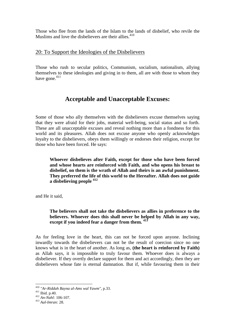Those who flee from the lands of the Islam to the lands of disbelief, who revile the Muslims and love the disbelievers are their allies.<sup>[410](#page-122-0)</sup>

#### 20: To Support the Ideologies of the Disbelievers

Those who rush to secular politics, Communism, socialism, nationalism, allying themselves to these ideologies and giving in to them, all are with those to whom they have gone.<sup>[411](#page-122-1)</sup>

# **Acceptable and Unacceptable Excuses:**

Some of those who ally themselves with the disbelievers excuse themselves saying that they were afraid for their jobs, material well-being, social status and so forth. These are all unacceptable excuses and reveal nothing more than a fondness for this world and its pleasures. Allah does not excuse anyone who openly acknowledges loyalty to the disbelievers, obeys them willingly or endorses their religion, except for those who have been forced. He says:

**Whoever disbelieves after Faith, except for those who have been forced and whose hearts are reinforced with Faith, and who opens his breast to disbelief, on them is the wrath of Allah and theirs is an awful punishment. They preferred the life of this world to the Hereafter. Allah does not guide a disbelieving people [412](#page-122-2)**

and He it said,

**The believers shall not take the disbelievers as allies in preference to the believers. Whoever does this shall never be helped by Allah in any way, except if you indeed fear a danger from them. [413](#page-122-3)**

As for feeling love in the heart, this can not be forced upon anyone. Inclining inwardly towards the disbelievers can not be the result of coercion since no one knows what is in the heart of another. As long as, **(the heart is reinforced by Faith)** as Allah says, it is impossible to truly favour them. Whoever does is always a disbeliever. If they overtly declare support for them and act accordingly, then they are disbelievers whose fate is eternal damnation. But if, while favouring them in their

<span id="page-122-0"></span><sup>410</sup> *"Ar-Riddah Bayna al-Ams wal Yawm",* p.33.

<span id="page-122-1"></span><sup>411</sup> Ibid. p.40.

<span id="page-122-2"></span><sup>412</sup> *An-Nahl:* 106-107.

<span id="page-122-3"></span><sup>413</sup> *Aal-Imran:* 28.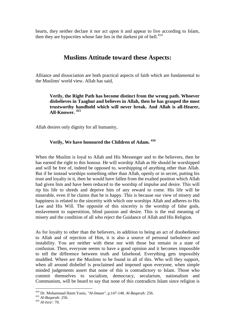hearts, they neither declare it nor act upon it and appear to live according to Islam, thenthey are hypocrites whose fate lies in the darkest pit of hell. $^{414}$ 

# **Muslims Attitude toward these Aspects:**

Alliance and dissociation are both practical aspects of faith which are fundamental to the Muslims' world view. Allah has said,

**Verily, the Right Path has become distinct from the wrong path. Whoever disbelieves in Taaghut and believes in Allah, then he has grasped the most trustworthy handhold which will never break. And Allah is all-Hearer, All-Knower. [415](#page-123-1)**

Allah desires only dignity for all humanity,

#### **Verily, We have honoured the Children of Adam. [416](#page-123-2)**

When the Muslim is loyal to Allah and His Messenger and to the believers, then he has earned the right to this honour. He will worship Allah as He should be worshipped and will be free of, indeed be opposed to, worshipping of anything other than Allah. But if he instead worships something other than Allah, openly or in secret, putting his trust and loyalty in it, then he would have fallen from the exalted position which Allah had given him and have been reduced to the worship of impulse and desire. This will rip his life to shreds and deprive him of any reward to come. His life will be miserable, even if he claims that he is happy. This is because our view of misery and happiness is related to the sincerity with which one worships Allah and adheres to His Law and His Will. The opposite of this sincerity is the worship of false gods, enslavement to superstition, blind passion and desire. This is the real meaning of misery and the condition of all who reject the Guidance of Allah and His Religion.

As for loyalty to other than the believers, in addition to being an act of disobedience to Allah and of rejection of Him, it is also a source of personal turbulence and instability. You are neither with these nor with those but remain in a state of confusion. Then, everyone seems to have a good opinion and it becomes impossible to tell the difference between truth and falsehood. Everything gets impossibly muddled. Where are the Muslims to be found in all of this. Who will they support, when all around disbelief is proclaimed and imposed upon everyone, when simple minded judgements assert that none of this is contradictory to Islam. Those who commit themselves to socialism, democracy, secularism, nationalism and Communism, will be heard to say that none of this contradicts Islam since religion is

<span id="page-123-0"></span><sup>414</sup> Dr. Muhammad Haim Yasin, *"Al-Imaan",* p.147-148. *Al-Baqarah:* 256.

<span id="page-123-1"></span><sup>415</sup> *Al-Baqarah:* 256.

<span id="page-123-2"></span><sup>416</sup> *Al-Isra':* 70.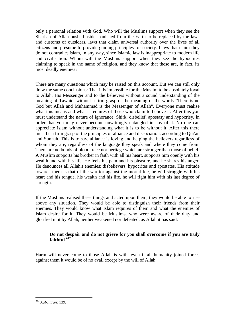only a personal relation with God. Who will the Muslims support when they see the Shari'ah of Allah pushed aside, banished from the Earth to be replaced by the laws and customs of outsiders, laws that claim universal authority over the lives of all citizens and presume to provide guiding principles for society. Laws that claim they do not contradict Islam, in any way, since Islamic law is inappropriate to modern life and civilisation. Whom will the Muslims support when they see the hypocrites claiming to speak in the name of religion, and they know that these are, in fact, its most deadly enemies?

There are many questions which may be raised on this account. But we can still only draw the same conclusions: That it is impossible for the Muslim to be absolutely loyal to Allah, His Messenger and to the believers without a sound understanding of the meaning of Tawhid, without a firm grasp of the meaning of the words "There is no God but Allah and Muhammad is the Messenger of Allah". Everyone must realise what this means and what it requires of those who claim to believe it. After this you must understand the nature of ignorance, Shirk, disbelief, apostasy and hypocrisy, in order that you may never become unwittingly entangled in any of it. No one can appreciate Islam without understanding what it is to be without it. After this there must be a firm grasp of the principles of alliance and dissociation, according to Qur'an and Sunnah. This is to say, alliance is loving and helping the believers regardless of whom they are, regardless of the language they speak and where they come from. There are no bonds of blood, race nor heritage which are stronger than those of belief. A Muslim supports his brother in faith with all his heart, supports him openly with his wealth and with his life. He feels his pain and his pleasure, and he shares his anger. He denounces all Allah's enemies; disbelievers, hypocrites and apostates. His attitude towards them is that of the warrior against the mortal foe, he will struggle with his heart and his tongue, his wealth and his life, he will fight him with his last degree of strength.

If the Muslims realised these things and acted upon them, they would be able to rise above any situation. They would be able to distinguish their friends from their enemies. They would know what Islam requires of them and what the enemies of Islam desire for it. They would be Muslims, who were aware of their duty and glorified in it by Allah, neither weakened nor defeated, as Allah it has said,

## **Do not despair and do not grieve for you shall overcome if you are truly faithful [417](#page-124-0)**

Harm will never come to those Allah is with, even if all humanity joined forces against them it would be of no avail except by the will of Allah.

<span id="page-124-0"></span><sup>417</sup> *Aal-Imran:* 139.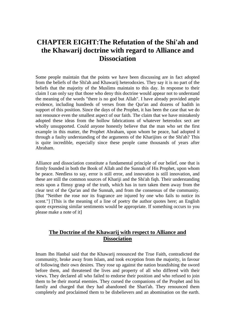# **CHAPTER EIGHT:The Refutation of the Shi'ah and the Khawarij doctrine with regard to Alliance and Dissociation**

Some people maintain that the points we have been discussing are in fact adopted from the beliefs of the Shi'ah and Khawarij heterodoxies. They say it is no part of the beliefs that the majority of the Muslims maintain to this day. In response to their claim I can only say that those who deny this doctrine would appear not to understand the meaning of the words "there is no god but Allah". I have already provided ample evidence, including hundreds of verses from the Qur'an and dozens of hadith in support of this position. Since the days of the Prophet, it has been the case that we do not renounce even the smallest aspect of our faith. The claim that we have mistakenly adopted these ideas from the hollow fabrications of whatever heterodox sect are wholly unsupported. Could anyone honestly believe that the man who set the first example in this matter, the Prophet Abraham, upon whom be peace, had adopted it through a faulty understanding of the arguments of the Kharijites or the Shi'ah? This is quite incredible, especially since these people came thousands of years after Abraham.

Alliance and dissociation constitute a fundamental principle of our belief, one that is firmly founded in both the Book of Allah and the Sunnah of His Prophet, upon whom be peace. Needless to say, error is still error, and innovation is still innovation, and these are still the common sources of Khariji and the Shi'ah fiqh. Their understanding rests upon a flimsy grasp of the truth, which has in turn taken them away from the clear text of the Qur'an and the Sunnah, and from the consensus of the community. [But "Neither the rose nor its fragrance are injured by one who fails to notice its scent."] [This is the meaning of a line of poetry the author quotes here; an English quote expressing similar sentiments would be appropriate. If something occurs to you please make a note of it]

## **The Doctrine of the Khawarij with respect to Alliance and Dissociation**

Imam Ibn Hanbal said that the Khawarij renounced the True Faith, contradicted the community, broke away from Islam, and took exception from the majority, in favour of following their own desires. They rose up against the nation brandishing the sword before them, and threatened the lives and property of all who differed with their views. They declared all who failed to endorse their position and who refused to join them to be their mortal enemies. They cursed the companions of the Prophet and his family and charged that they had abandoned the Shari'ah. They renounced them completely and proclaimed them to be disbelievers and an abomination on the earth.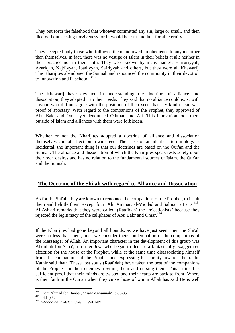They put forth the falsehood that whoever committed any sin, large or small, and then died without seeking forgiveness for it, would be cast into hell for all eternity.

They accepted only those who followed them and owed no obedience to anyone other than themselves. In fact, there was no vestige of Islam in their beliefs at all; neither in their practice nor in their faith. They were known by many names: Harruriyyah, Azariqah, Najdiyyah, Ibadiyyah, Safriyyah and others, but they were all Khawarij. The Kharijites abandoned the Sunnah and renounced the community in their devotion to innovation and falsehood. [418](#page-126-0)

The Khawarij have deviated in understanding the doctrine of alliance and dissociation; they adapted it to their needs. They said that no alliance could exist with anyone who did not agree with the positions of their sect, that any kind of sin was proof of apostasy. With regard to the companions of the Prophet, they approved of Abu Bakr and Omar yet denounced Othman and Ali. This innovation took them outside of Islam and alliances with them were forbidden.

Whether or not the Kharijites adopted a doctrine of alliance and dissociation themselves cannot affect our own creed. Their use of an identical terminology is incidental, the important thing is that our doctrines are based on the Qur'an and the Sunnah. The alliance and dissociation of which the Kharijites speak rests solely upon their own desires and has no relation to the fundamental sources of Islam, the Qur'an and the Sunnah.

## **The Doctrine of the Shi'ah with regard to Alliance and Dissociation**

As for the Shi'ah, they are known to renounce the companions of the Prophet, to insult them and belittle them, except four: Ali, Ammar, al-Miqdad and Salman alFarisi<sup>[419](#page-126-1)</sup>. Al-Ash'ari remarks that they were called, (Raafidah) the "rejectionists" because they rejected the legitimacy of the caliphates of Abu Bakr and Omar.<sup>[420](#page-126-2)</sup>

If the Kharijites had gone beyond all bounds, as we have just seen, then the Shi'ah were no less than them, once we consider their condemnation of the companions of the Messenger of Allah. An important character in the development of this group was Abdullah Ibn Saba', a former Jew, who began to declare a fantastically exaggerated affection for the house of the Prophet, while at the same time disassociating himself from the companions of the Prophet and expressing his enmity towards them. Ibn Kathir said that: "These lost souls (Raafidah) have taken the best of the companions of the Prophet for their enemies, reviling them and cursing them. This in itself is sufficient proof that their minds are twisted and their hearts are back to front. Where is their faith in the Qur'an when they curse those of whom Allah has said He is well

<span id="page-126-0"></span><sup>418</sup> Imam Ahmad Ibn Hanbal, *"Kitab as-Sunnah",* p.83-85.

<span id="page-126-1"></span> $419$  Ibid. p.82.

<span id="page-126-2"></span><sup>420</sup> *"Maqaalaat al-Islamiyyeen",* Vol.1/89.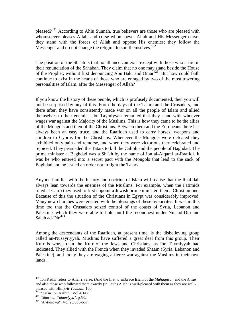pleased?<sup>[421](#page-127-0)</sup> According to Ahlu Sunnah, true believers are those who are pleased with whomsoever pleases Allah, and curse whomsoever Allah and His Messenger curse; they stand with the forces of Allah and oppose His enemies; they follow the Messenger and do not change the religion to suit themselves.<sup>[422](#page-127-1)</sup>

The position of the Shi'ah is that no alliance can exist except with those who share in their renunciation of the Sahabah. They claim that no one may stand beside the House of the Prophet, without first denouncing Abu Bakr and Omar<sup>[423](#page-127-2)</sup>. But how could faith continue to exist in the hearts of those who are enraged by two of the most towering personalities of Islam, after the Messenger of Allah?

If you know the history of these people, which is profusely documented, then you will not be surprised by any of this. From the days of the Tatars and the Crusaders, and there after, they have consistently made war on all the people of Islam and allied themselves to their enemies. Ibn Taymiyyah remarked that they stand with whoever wages war against the Majority of the Muslims. This is how they came to be the allies of the Mongols and then of the Christians. Between them and the Europeans there has always been an easy truce, and the Raafidah used to carry horses, weapons and children to Cyprus for the Christians. Whenever the Mongols were defeated they exhibited only pain and remorse, and when they were victorious they celebrated and rejoiced. They persuaded the Tatars to kill the Caliph and the people of Baghdad. The prime minister at Baghdad was a Shi'ah by the name of Ibn al-Alqami ar-Raafidi. It was he who entered into a secret pact with the Mongols that lead to the sack of Baghdad and he issued an order not to fight the Tatars.

Anyone familiar with the history and doctrine of Islam will realise that the Raafidah always lean towards the enemies of the Muslims. For example, when the Fatimids ruled at Cairo they used to first appoint a Jewish prime minister, then a Christian one. Because of this the situation of the Christians in Egypt was considerably improved. Many new churches were erected with the blessings of these hypocrites. It was in this time too that the Crusaders seized control of the coasts of Syria, Lebanon and Palestine, which they were able to hold until the reconquest under Nur ad-Din and Salah ad- $Din^{424}$  $Din^{424}$  $Din^{424}$ 

Among the descendants of the Raafidah, at present time, is the disbelieving group called an-Nusayriyyah. Muslims have suffered a great deal from this group. Their Kufr is worse than the Kufr of the Jews and Christians, as Ibn Taymiyyah had indicated. They allied with the French when they invaded Shaam (Syria, Lebanon and Palestine), and today they are waging a fierce war against the Muslims in their own lands.

<span id="page-127-0"></span><sup>421</sup> Ibn Kathir refers to Allah's verse: (And the first to embrace Islam of the *Muhaajirun* and the *Ansar* and also those who followed them exactly (in Faith) Allah is well-pleased with them as they are wellpleased with Him) *At-Tawbah:* 100.

<span id="page-127-2"></span><span id="page-127-1"></span> $422$  "Tafsir Ibn Kathir": Vol.4/142.

<sup>423</sup> *"Sharh at-Tahawiyya",* p.532

<span id="page-127-3"></span><sup>424</sup> *"Al-Fatawa",* Vol.28/636-637.